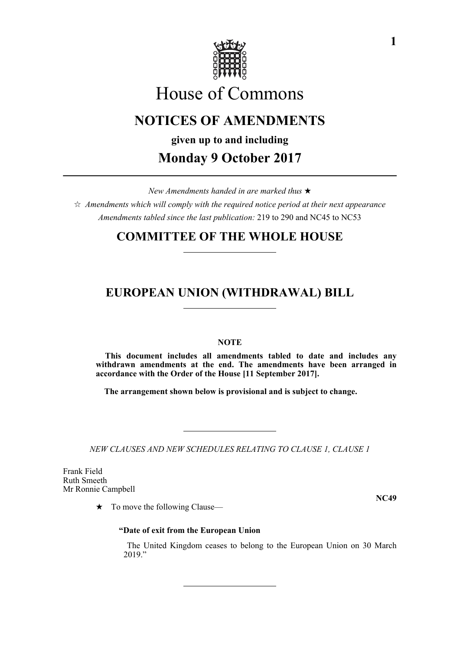

# House of Commons

## **NOTICES OF AMENDMENTS**

**given up to and including Monday 9 October 2017**

*New Amendments handed in are marked thus* 

 $\hat{\varphi}$  Amendments which will comply with the required notice period at their next appearance *Amendments tabled since the last publication:* 219 to 290 and NC45 to NC53

### **COMMITTEE OF THE WHOLE HOUSE**

### **EUROPEAN UNION (WITHDRAWAL) BILL**

#### **NOTE**

**This document includes all amendments tabled to date and includes any withdrawn amendments at the end. The amendments have been arranged in accordance with the Order of the House [11 September 2017].**

**The arrangement shown below is provisional and is subject to change.**

*NEW CLAUSES AND NEW SCHEDULES RELATING TO CLAUSE 1, CLAUSE 1*

Frank Field Ruth Smeeth Mr Ronnie Campbell

 $\star$  To move the following Clause—

**NC49**

#### **"Date of exit from the European Union**

 The United Kingdom ceases to belong to the European Union on 30 March 2019."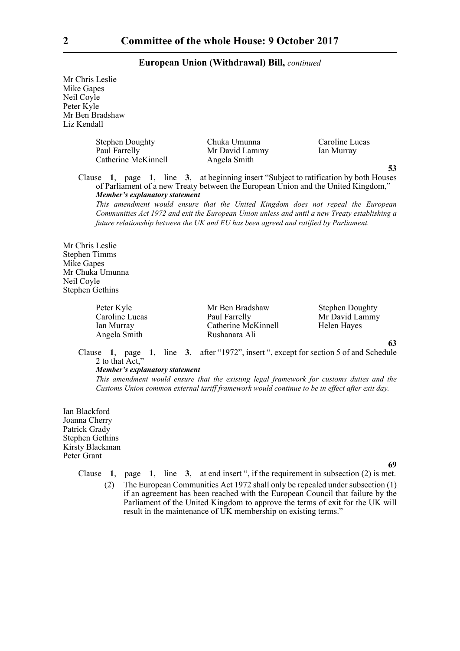Mr Chris Leslie Mike Gapes Neil Coyle Peter Kyle Mr Ben Bradshaw Liz Kendall

> Stephen Doughty Chuka Umunna Caroline Lucas<br>
> Paul Farrelly Mr David Lammy Ian Murray Catherine McKinnell Angela Smith

**Paul Farrelly Farrelly Mr David Lammy Ian Murray** 

**53**

Clause **1**, page **1**, line **3**, at beginning insert "Subject to ratification by both Houses of Parliament of a new Treaty between the European Union and the United Kingdom," *Member's explanatory statement* 

*This amendment would ensure that the United Kingdom does not repeal the European Communities Act 1972 and exit the European Union unless and until a new Treaty establishing a future relationship between the UK and EU has been agreed and ratified by Parliament.*

Mr Chris Leslie Stephen Timms Mike Gapes Mr Chuka Umunna Neil Coyle Stephen Gethins

Angela Smith

Peter Kyle Mr Ben Bradshaw Stephen Doughty Caroline Lucas Paul Farrelly Mr David Lammy Ian Murray Catherine McKinnell Helen Hayes<br>
Rushanara Ali Rushanara Ali

**63**

Clause **1**, page **1**, line **3**, after "1972", insert ", except for section 5 of and Schedule 2 to that Act,"

#### *Member's explanatory statement*

*This amendment would ensure that the existing legal framework for customs duties and the Customs Union common external tariff framework would continue to be in effect after exit day.*

Ian Blackford Joanna Cherry Patrick Grady Stephen Gethins Kirsty Blackman Peter Grant

**69**

Clause **1**, page **1**, line **3**, at end insert ", if the requirement in subsection (2) is met. (2) The European Communities Act 1972 shall only be repealed under subsection (1) if an agreement has been reached with the European Council that failure by the Parliament of the United Kingdom to approve the terms of exit for the UK will result in the maintenance of UK membership on existing terms."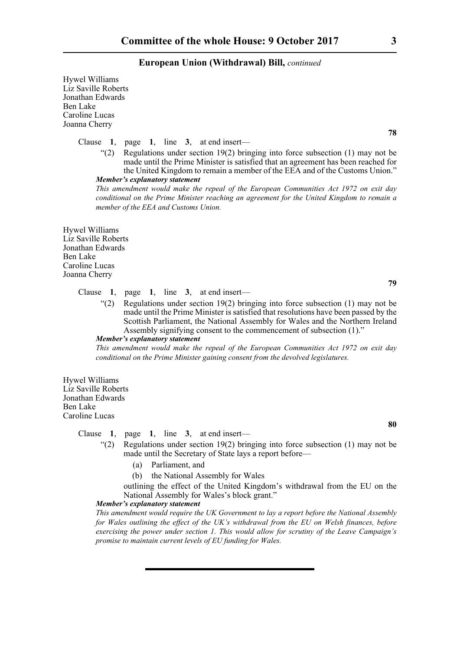Hywel Williams Liz Saville Roberts Jonathan Edwards Ben Lake Caroline Lucas Joanna Cherry

Clause **1**, page **1**, line **3**, at end insert—

"(2) Regulations under section  $19(2)$  bringing into force subsection (1) may not be made until the Prime Minister is satisfied that an agreement has been reached for the United Kingdom to remain a member of the EEA and of the Customs Union." *Member's explanatory statement* 

*This amendment would make the repeal of the European Communities Act 1972 on exit day conditional on the Prime Minister reaching an agreement for the United Kingdom to remain a member of the EEA and Customs Union.*

Hywel Williams Liz Saville Roberts Jonathan Edwards Ben Lake Caroline Lucas Joanna Cherry

**79**

**80**

#### Clause **1**, page **1**, line **3**, at end insert—

 $\degree$ (2) Regulations under section 19(2) bringing into force subsection (1) may not be made until the Prime Minister is satisfied that resolutions have been passed by the Scottish Parliament, the National Assembly for Wales and the Northern Ireland Assembly signifying consent to the commencement of subsection (1)."

#### *Member's explanatory statement*

*This amendment would make the repeal of the European Communities Act 1972 on exit day conditional on the Prime Minister gaining consent from the devolved legislatures.*

Hywel Williams Liz Saville Roberts Jonathan Edwards Ben Lake Caroline Lucas

#### Clause **1**, page **1**, line **3**, at end insert—

- "(2) Regulations under section 19(2) bringing into force subsection (1) may not be made until the Secretary of State lays a report before—
	- (a) Parliament, and
	- (b) the National Assembly for Wales

outlining the effect of the United Kingdom's withdrawal from the EU on the National Assembly for Wales's block grant."

#### *Member's explanatory statement*

*This amendment would require the UK Government to lay a report before the National Assembly for Wales outlining the effect of the UK's withdrawal from the EU on Welsh finances, before exercising the power under section 1. This would allow for scrutiny of the Leave Campaign's promise to maintain current levels of EU funding for Wales.*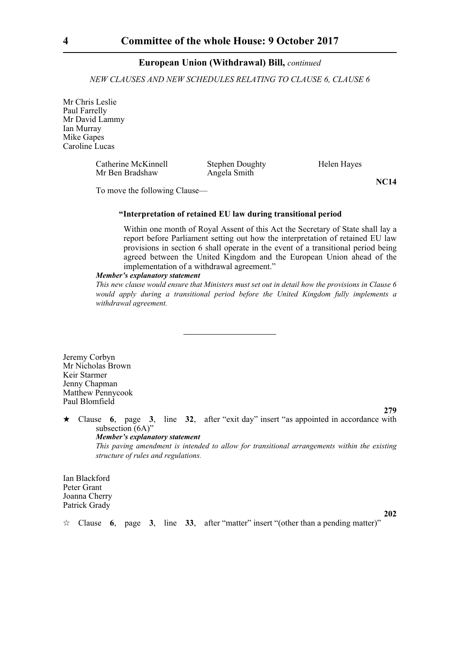*NEW CLAUSES AND NEW SCHEDULES RELATING TO CLAUSE 6, CLAUSE 6*

Mr Chris Leslie Paul Farrelly Mr David Lammy Ian Murray Mike Gapes Caroline Lucas

> Catherine McKinnell Stephen Doughty Helen Hayes Mr Ben Bradshaw Angela Smith

**NC14**

To move the following Clause—

#### **"Interpretation of retained EU law during transitional period**

Within one month of Royal Assent of this Act the Secretary of State shall lay a report before Parliament setting out how the interpretation of retained EU law provisions in section 6 shall operate in the event of a transitional period being agreed between the United Kingdom and the European Union ahead of the implementation of a withdrawal agreement."

#### *Member's explanatory statement*

*This new clause would ensure that Ministers must set out in detail how the provisions in Clause 6 would apply during a transitional period before the United Kingdom fully implements a withdrawal agreement.* 

Jeremy Corbyn Mr Nicholas Brown Keir Starmer Jenny Chapman Matthew Pennycook Paul Blomfield

**279**

 $\star$  Clause 6, page 3, line 32, after "exit day" insert "as appointed in accordance with subsection (6A)" *Member's explanatory statement* 

*This paving amendment is intended to allow for transitional arrangements within the existing structure of rules and regulations.*

Ian Blackford Peter Grant Joanna Cherry Patrick Grady

**202**

Clause **6**, page **3**, line **33**, after "matter" insert "(other than a pending matter)"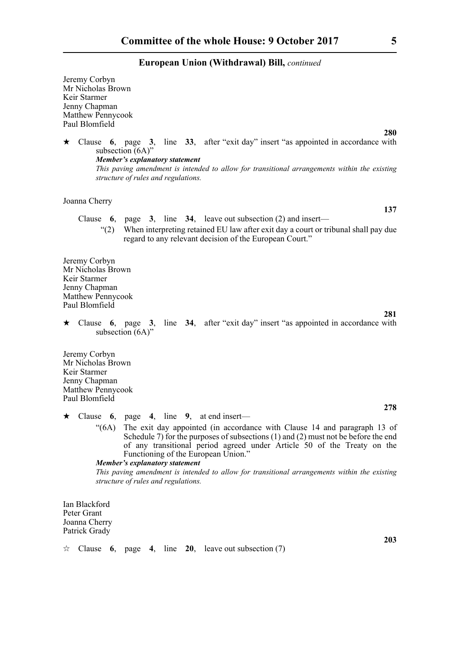Jeremy Corbyn Mr Nicholas Brown Keir Starmer Jenny Chapman Matthew Pennycook Paul Blomfield

 $\star$  Clause 6, page 3, line 33, after "exit day" insert "as appointed in accordance with subsection (6A)" *Member's explanatory statement This paving amendment is intended to allow for transitional arrangements within the existing structure of rules and regulations.*

Joanna Cherry

- Clause **6**, page **3**, line **34**, leave out subsection (2) and insert—
	- "(2) When interpreting retained EU law after exit day a court or tribunal shall pay due regard to any relevant decision of the European Court."

Jeremy Corbyn Mr Nicholas Brown Keir Starmer Jenny Chapman Matthew Pennycook Paul Blomfield

 Clause **6**, page **3**, line **34**, after "exit day" insert "as appointed in accordance with subsection  $(6A)$ "

Jeremy Corbyn Mr Nicholas Brown Keir Starmer Jenny Chapman Matthew Pennycook Paul Blomfield

- Clause **6**, page **4**, line **9**, at end insert—
	- "(6A) The exit day appointed (in accordance with Clause 14 and paragraph 13 of Schedule 7) for the purposes of subsections  $(1)$  and  $(2)$  must not be before the end of any transitional period agreed under Article 50 of the Treaty on the Functioning of the European Union."

*Member's explanatory statement This paving amendment is intended to allow for transitional arrangements within the existing structure of rules and regulations.*

Ian Blackford Peter Grant Joanna Cherry Patrick Grady

**280**

**137**

**203**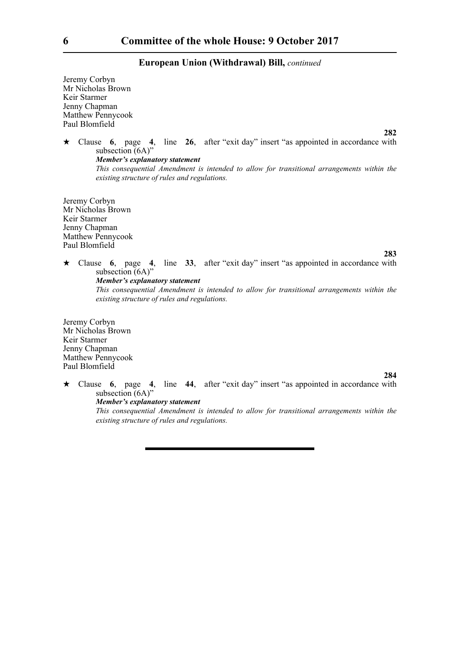Jeremy Corbyn Mr Nicholas Brown Keir Starmer Jenny Chapman Matthew Pennycook Paul Blomfield

 Clause **6**, page **4**, line **26**, after "exit day" insert "as appointed in accordance with subsection (6A)" *Member's explanatory statement This consequential Amendment is intended to allow for transitional arrangements within the existing structure of rules and regulations.*

Jeremy Corbyn Mr Nicholas Brown Keir Starmer Jenny Chapman Matthew Pennycook Paul Blomfield

**283**

**282**

 Clause **6**, page **4**, line **33**, after "exit day" insert "as appointed in accordance with subsection (6A)" *Member's explanatory statement* 

*This consequential Amendment is intended to allow for transitional arrangements within the existing structure of rules and regulations.*

Jeremy Corbyn Mr Nicholas Brown Keir Starmer Jenny Chapman Matthew Pennycook Paul Blomfield

#### **284**

 Clause **6**, page **4**, line **44**, after "exit day" insert "as appointed in accordance with subsection (6A)"

*Member's explanatory statement* 

*This consequential Amendment is intended to allow for transitional arrangements within the existing structure of rules and regulations.*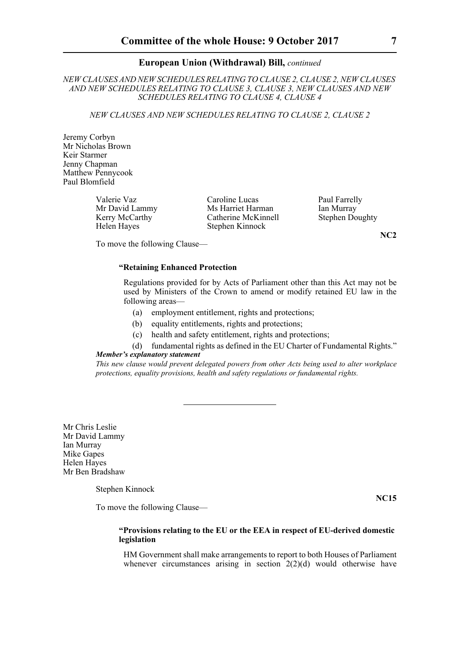*NEW CLAUSES AND NEW SCHEDULES RELATING TO CLAUSE 2, CLAUSE 2, NEW CLAUSES AND NEW SCHEDULES RELATING TO CLAUSE 3, CLAUSE 3, NEW CLAUSES AND NEW SCHEDULES RELATING TO CLAUSE 4, CLAUSE 4*

*NEW CLAUSES AND NEW SCHEDULES RELATING TO CLAUSE 2, CLAUSE 2*

Jeremy Corbyn Mr Nicholas Brown Keir Starmer Jenny Chapman Matthew Pennycook Paul Blomfield

Valerie Vaz<br>
Caroline Lucas Paul Farrelly<br>
Ms Harriet Harman Ian Murray

Mr David Lammy Ms Harriet Harman Ian Murray<br>
Kerry McCarthy Catherine McKinnell Stephen Doughty Kerry McCarthy Catherine McKinnell<br>Helen Hayes Stephen Kinnock Stephen Kinnock

To move the following Clause—

#### **"Retaining Enhanced Protection**

Regulations provided for by Acts of Parliament other than this Act may not be used by Ministers of the Crown to amend or modify retained EU law in the following areas—

- (a) employment entitlement, rights and protections;
- (b) equality entitlements, rights and protections;
- (c) health and safety entitlement, rights and protections;
- (d) fundamental rights as defined in the EU Charter of Fundamental Rights." *Member's explanatory statement*

*This new clause would prevent delegated powers from other Acts being used to alter workplace protections, equality provisions, health and safety regulations or fundamental rights.*

Mr Chris Leslie Mr David Lammy Ian Murray Mike Gapes Helen Hayes Mr Ben Bradshaw

Stephen Kinnock

**NC15**

To move the following Clause—

#### **"Provisions relating to the EU or the EEA in respect of EU-derived domestic legislation**

HM Government shall make arrangements to report to both Houses of Parliament whenever circumstances arising in section  $2(2)(d)$  would otherwise have

**NC2**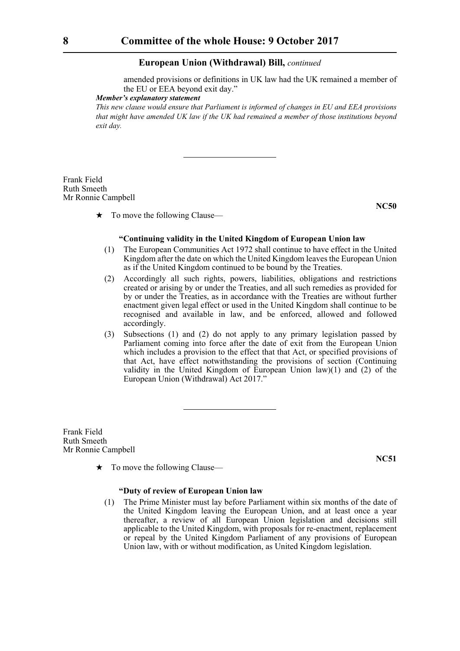amended provisions or definitions in UK law had the UK remained a member of the EU or EEA beyond exit day."

*Member's explanatory statement* 

*This new clause would ensure that Parliament is informed of changes in EU and EEA provisions that might have amended UK law if the UK had remained a member of those institutions beyond exit day.*

Frank Field Ruth Smeeth Mr Ronnie Campbell

 $\star$  To move the following Clause—

**NC50**

#### **"Continuing validity in the United Kingdom of European Union law**

- (1) The European Communities Act 1972 shall continue to have effect in the United Kingdom after the date on which the United Kingdom leaves the European Union as if the United Kingdom continued to be bound by the Treaties.
- (2) Accordingly all such rights, powers, liabilities, obligations and restrictions created or arising by or under the Treaties, and all such remedies as provided for by or under the Treaties, as in accordance with the Treaties are without further enactment given legal effect or used in the United Kingdom shall continue to be recognised and available in law, and be enforced, allowed and followed accordingly.
- (3) Subsections (1) and (2) do not apply to any primary legislation passed by Parliament coming into force after the date of exit from the European Union which includes a provision to the effect that that Act, or specified provisions of that Act, have effect notwithstanding the provisions of section (Continuing validity in the United Kingdom of European Union law)(1) and (2) of the European Union (Withdrawal) Act 2017."

Frank Field Ruth Smeeth Mr Ronnie Campbell

**NC51**

#### $\star$  To move the following Clause—

#### **"Duty of review of European Union law**

(1) The Prime Minister must lay before Parliament within six months of the date of the United Kingdom leaving the European Union, and at least once a year thereafter, a review of all European Union legislation and decisions still applicable to the United Kingdom, with proposals for re-enactment, replacement or repeal by the United Kingdom Parliament of any provisions of European Union law, with or without modification, as United Kingdom legislation.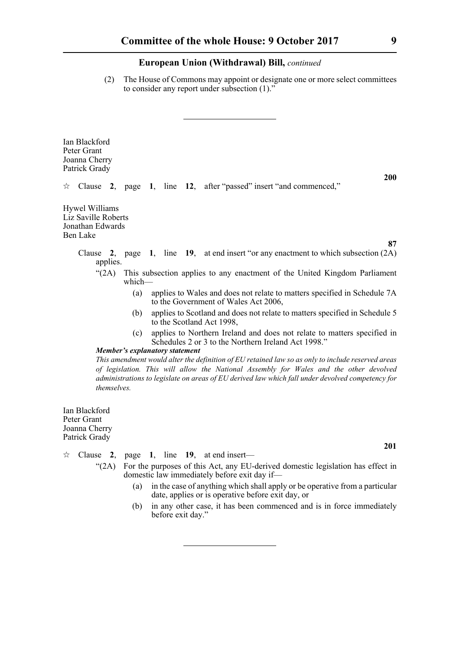(2) The House of Commons may appoint or designate one or more select committees to consider any report under subsection (1)."

Ian Blackford Peter Grant Joanna Cherry Patrick Grady

 $\forall$  Clause 2, page 1, line 12, after "passed" insert "and commenced,"

Hywel Williams Liz Saville Roberts Jonathan Edwards Ben Lake

- Clause **2**, page **1**, line **19**, at end insert "or any enactment to which subsection (2A) applies.
	- "(2A) This subsection applies to any enactment of the United Kingdom Parliament which—
		- (a) applies to Wales and does not relate to matters specified in Schedule 7A to the Government of Wales Act 2006,
		- (b) applies to Scotland and does not relate to matters specified in Schedule 5 to the Scotland Act 1998,
		- (c) applies to Northern Ireland and does not relate to matters specified in Schedules 2 or 3 to the Northern Ireland Act 1998."

*Member's explanatory statement* 

*This amendment would alter the definition of EU retained law so as only to include reserved areas of legislation. This will allow the National Assembly for Wales and the other devolved administrations to legislate on areas of EU derived law which fall under devolved competency for themselves.*

Ian Blackford Peter Grant Joanna Cherry Patrick Grady

- $\approx$  Clause 2, page 1, line 19, at end insert—
	- "(2A) For the purposes of this Act, any EU-derived domestic legislation has effect in domestic law immediately before exit day if—
		- (a) in the case of anything which shall apply or be operative from a particular date, applies or is operative before exit day, or
		- (b) in any other case, it has been commenced and is in force immediately before exit day."

**200**

**87**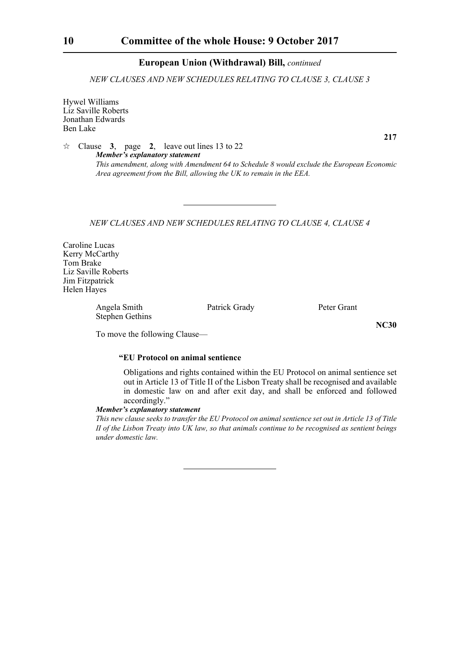*NEW CLAUSES AND NEW SCHEDULES RELATING TO CLAUSE 3, CLAUSE 3*

Hywel Williams Liz Saville Roberts Jonathan Edwards Ben Lake

 $\approx$  Clause 3, page 2, leave out lines 13 to 22 *Member's explanatory statement This amendment, along with Amendment 64 to Schedule 8 would exclude the European Economic Area agreement from the Bill, allowing the UK to remain in the EEA.*

*NEW CLAUSES AND NEW SCHEDULES RELATING TO CLAUSE 4, CLAUSE 4*

Caroline Lucas Kerry McCarthy Tom Brake Liz Saville Roberts Jim Fitzpatrick Helen Hayes

> Angela Smith Patrick Grady Peter Grant Stephen Gethins

To move the following Clause—

#### **"EU Protocol on animal sentience**

Obligations and rights contained within the EU Protocol on animal sentience set out in Article 13 of Title II of the Lisbon Treaty shall be recognised and available in domestic law on and after exit day, and shall be enforced and followed accordingly."

#### *Member's explanatory statement*

*This new clause seeks to transfer the EU Protocol on animal sentience set out in Article 13 of Title II of the Lisbon Treaty into UK law, so that animals continue to be recognised as sentient beings under domestic law.*

**217**

**NC30**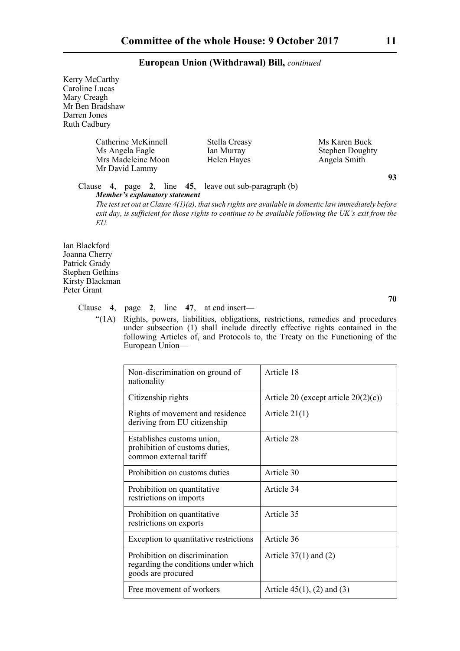| Kerry McCarthy<br>Caroline Lucas<br>Mary Creagh<br>Mr Ben Bradshaw<br>Darren Jones<br><b>Ruth Cadbury</b> |                                                                                                          |                        |    |
|-----------------------------------------------------------------------------------------------------------|----------------------------------------------------------------------------------------------------------|------------------------|----|
| Catherine McKinnell                                                                                       | Stella Creasy                                                                                            | Ms Karen Buck          |    |
| Ms Angela Eagle                                                                                           | Ian Murray                                                                                               | <b>Stephen Doughty</b> |    |
| Mrs Madeleine Moon                                                                                        | Helen Hayes                                                                                              | Angela Smith           |    |
| Mr David Lammy                                                                                            |                                                                                                          |                        |    |
|                                                                                                           |                                                                                                          |                        | 93 |
| Clause                                                                                                    | 4, page 2, line 45, leave out sub-paragraph (b)                                                          |                        |    |
| Member's explanatory statement                                                                            |                                                                                                          |                        |    |
|                                                                                                           | The test set out at Clause $4(1)(a)$ , that such rights are available in domestic law immediately before |                        |    |
|                                                                                                           | exit day, is sufficient for those rights to continue to be available following the UK's exit from the    |                        |    |
| EU.                                                                                                       |                                                                                                          |                        |    |
|                                                                                                           |                                                                                                          |                        |    |
| Ian Blackford                                                                                             |                                                                                                          |                        |    |
| Joanna Cherry                                                                                             |                                                                                                          |                        |    |
| Patrick Grady                                                                                             |                                                                                                          |                        |    |
| <b>Stephen Gethins</b>                                                                                    |                                                                                                          |                        |    |
| Kirsty Blackman                                                                                           |                                                                                                          |                        |    |
| Peter Grant                                                                                               |                                                                                                          |                        |    |

Clause **4**, page **2**, line **47**, at end insert—

"(1A) Rights, powers, liabilities, obligations, restrictions, remedies and procedures under subsection (1) shall include directly effective rights contained in the following Articles of, and Protocols to, the Treaty on the Functioning of the European Union—

| Non-discrimination on ground of<br>nationality                                              | Article 18                              |
|---------------------------------------------------------------------------------------------|-----------------------------------------|
| Citizenship rights                                                                          | Article 20 (except article $20(2)(c)$ ) |
| Rights of movement and residence<br>deriving from EU citizenship                            | Article $21(1)$                         |
| Establishes customs union,<br>prohibition of customs duties,<br>common external tariff      | Article 28                              |
| Prohibition on customs duties                                                               | Article 30                              |
| Prohibition on quantitative<br>restrictions on imports                                      | Article 34                              |
| Prohibition on quantitative<br>restrictions on exports                                      | Article 35                              |
| Exception to quantitative restrictions                                                      | Article 36                              |
| Prohibition on discrimination<br>regarding the conditions under which<br>goods are procured | Article $37(1)$ and (2)                 |
| Free movement of workers                                                                    | Article $45(1)$ , (2) and (3)           |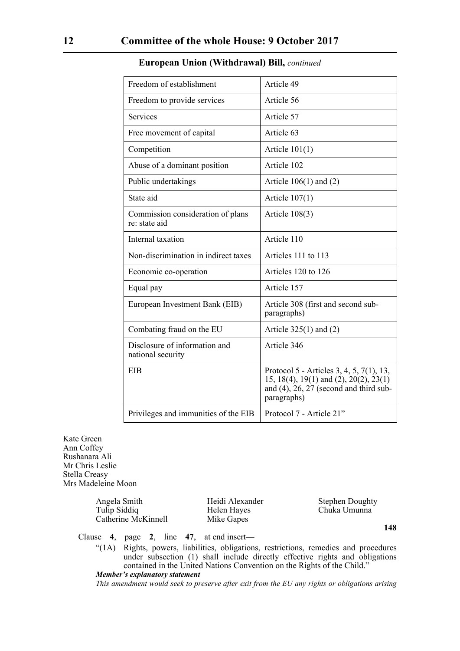| Freedom of establishment                           | Article 49                                                                                                                                     |
|----------------------------------------------------|------------------------------------------------------------------------------------------------------------------------------------------------|
| Freedom to provide services                        | Article 56                                                                                                                                     |
| <b>Services</b>                                    | Article 57                                                                                                                                     |
| Free movement of capital                           | Article 63                                                                                                                                     |
| Competition                                        | Article $101(1)$                                                                                                                               |
| Abuse of a dominant position                       | Article 102                                                                                                                                    |
| Public undertakings                                | Article $106(1)$ and $(2)$                                                                                                                     |
| State aid                                          | Article $107(1)$                                                                                                                               |
| Commission consideration of plans<br>re: state aid | Article $108(3)$                                                                                                                               |
| Internal taxation                                  | Article 110                                                                                                                                    |
| Non-discrimination in indirect taxes               | Articles 111 to 113                                                                                                                            |
| Economic co-operation                              | Articles 120 to 126                                                                                                                            |
| Equal pay                                          | Article 157                                                                                                                                    |
| European Investment Bank (EIB)                     | Article 308 (first and second sub-<br>paragraphs)                                                                                              |
| Combating fraud on the EU                          | Article $325(1)$ and (2)                                                                                                                       |
| Disclosure of information and<br>national security | Article 346                                                                                                                                    |
| <b>EIB</b>                                         | Protocol 5 - Articles 3, 4, 5, 7(1), 13,<br>15, 18(4), 19(1) and (2), 20(2), 23(1)<br>and $(4)$ , 26, 27 (second and third sub-<br>paragraphs) |
| Privileges and immunities of the EIB               | Protocol 7 - Article 21"                                                                                                                       |

Kate Green Ann Coffey Rushanara Ali Mr Chris Leslie Stella Creasy Mrs Madeleine Moon

> Angela Smith Heidi Alexander Stephen Doughty<br>Tulip Siddiq Helen Hayes Chuka Umunna Catherine McKinnell Mike Gapes

Helen Hayes Chuka Umunna

**148**

Clause **4**, page **2**, line **47**, at end insert—

"(1A) Rights, powers, liabilities, obligations, restrictions, remedies and procedures under subsection (1) shall include directly effective rights and obligations contained in the United Nations Convention on the Rights of the Child." *Member's explanatory statement* 

*This amendment would seek to preserve after exit from the EU any rights or obligations arising*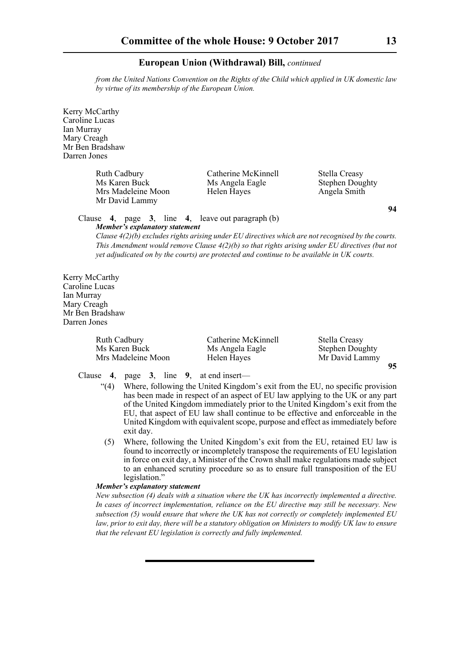*from the United Nations Convention on the Rights of the Child which applied in UK domestic law by virtue of its membership of the European Union.* 

Kerry McCarthy Caroline Lucas Ian Murray Mary Creagh Mr Ben Bradshaw Darren Jones

> Ruth Cadbury **Catherine McKinnell** Stella Creasy<br>Ms Angela Eagle Stephen Dous Mrs Madeleine Moon Helen Hayes Angela Smith Mr David Lammy

Ms Angela Eagle Stephen Doughty

**94**

#### Clause **4**, page **3**, line **4**, leave out paragraph (b) *Member's explanatory statement*

*Clause 4(2)(b) excludes rights arising under EU directives which are not recognised by the courts. This Amendment would remove Clause 4(2)(b) so that rights arising under EU directives (but not yet adjudicated on by the courts) are protected and continue to be available in UK courts.*

Kerry McCarthy Caroline Lucas Ian Murray Mary Creagh Mr Ben Bradshaw Darren Jones

| <b>Ruth Cadbury</b> | Catherine McKinnell | Stella Creasy          |    |
|---------------------|---------------------|------------------------|----|
| Ms Karen Buck       | Ms Angela Eagle     | <b>Stephen Doughty</b> |    |
| Mrs Madeleine Moon  | Helen Hayes         | Mr David Lammy         |    |
|                     |                     |                        | 95 |

Clause **4**, page **3**, line **9**, at end insert—

- "(4) Where, following the United Kingdom's exit from the EU, no specific provision has been made in respect of an aspect of EU law applying to the UK or any part of the United Kingdom immediately prior to the United Kingdom's exit from the EU, that aspect of EU law shall continue to be effective and enforceable in the United Kingdom with equivalent scope, purpose and effect as immediately before exit day.
- (5) Where, following the United Kingdom's exit from the EU, retained EU law is found to incorrectly or incompletely transpose the requirements of EU legislation in force on exit day, a Minister of the Crown shall make regulations made subject to an enhanced scrutiny procedure so as to ensure full transposition of the EU legislation."

#### *Member's explanatory statement*

*New subsection (4) deals with a situation where the UK has incorrectly implemented a directive. In cases of incorrect implementation, reliance on the EU directive may still be necessary. New subsection (5) would ensure that where the UK has not correctly or completely implemented EU law, prior to exit day, there will be a statutory obligation on Ministers to modify UK law to ensure that the relevant EU legislation is correctly and fully implemented.*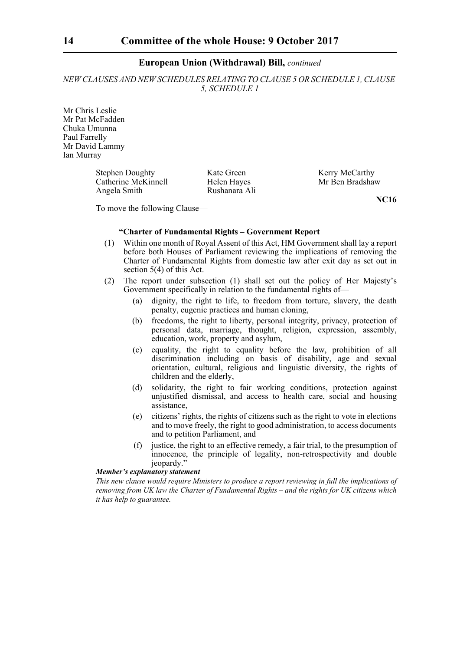*NEW CLAUSES AND NEW SCHEDULES RELATING TO CLAUSE 5 OR SCHEDULE 1, CLAUSE 5, SCHEDULE 1*

Mr Chris Leslie Mr Pat McFadden Chuka Umunna Paul Farrelly Mr David Lammy Ian Murray

> Stephen Doughty<br>
> Catherine McKinnell<br>
> Helen Haves<br>
> Mr Ben Bradshaw Catherine McKinnell Angela Smith Rushanara Ali

**NC16**

To move the following Clause—

#### **"Charter of Fundamental Rights – Government Report**

- (1) Within one month of Royal Assent of this Act, HM Government shall lay a report before both Houses of Parliament reviewing the implications of removing the Charter of Fundamental Rights from domestic law after exit day as set out in section 5(4) of this Act.
- (2) The report under subsection (1) shall set out the policy of Her Majesty's Government specifically in relation to the fundamental rights of—
	- (a) dignity, the right to life, to freedom from torture, slavery, the death penalty, eugenic practices and human cloning,
	- (b) freedoms, the right to liberty, personal integrity, privacy, protection of personal data, marriage, thought, religion, expression, assembly, education, work, property and asylum,
	- (c) equality, the right to equality before the law, prohibition of all discrimination including on basis of disability, age and sexual orientation, cultural, religious and linguistic diversity, the rights of children and the elderly,
	- (d) solidarity, the right to fair working conditions, protection against unjustified dismissal, and access to health care, social and housing assistance,
	- (e) citizens' rights, the rights of citizens such as the right to vote in elections and to move freely, the right to good administration, to access documents and to petition Parliament, and
	- (f) justice, the right to an effective remedy, a fair trial, to the presumption of innocence, the principle of legality, non-retrospectivity and double jeopardy.'

#### *Member's explanatory statement*

*This new clause would require Ministers to produce a report reviewing in full the implications of removing from UK law the Charter of Fundamental Rights – and the rights for UK citizens which it has help to guarantee.*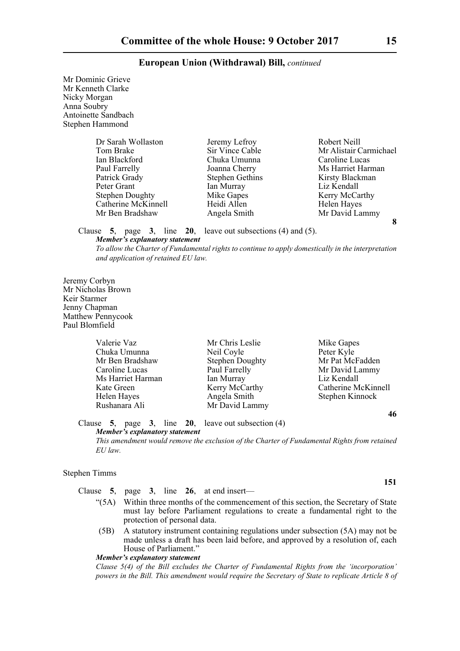Mr Dominic Grieve Mr Kenneth Clarke Nicky Morgan Anna Soubry Antoinette Sandbach Stephen Hammond

| Dr Sarah Wollaston     | Jeremy Lefroy          | Robert Neill           |
|------------------------|------------------------|------------------------|
| Tom Brake              | Sir Vince Cable        | Mr Alistair Carmichael |
| Ian Blackford          | Chuka Umunna           | Caroline Lucas         |
| Paul Farrelly          | Joanna Cherry          | Ms Harriet Harman      |
| Patrick Grady          | <b>Stephen Gethins</b> | Kirsty Blackman        |
| Peter Grant            | Ian Murray             | Liz Kendall            |
| <b>Stephen Doughty</b> | Mike Gapes             | Kerry McCarthy         |
| Catherine McKinnell    | Heidi Allen            | Helen Hayes            |
| Mr Ben Bradshaw        | Angela Smith           | Mr David Lammy         |
|                        |                        |                        |

**Ms Harriet Harman** Kerry McCarthy **8**

Clause **5**, page **3**, line **20**, leave out subsections (4) and (5).

#### *Member's explanatory statement*

*To allow the Charter of Fundamental rights to continue to apply domestically in the interpretation and application of retained EU law.*

Jeremy Corbyn Mr Nicholas Brown Keir Starmer Jenny Chapman Matthew Pennycook Paul Blomfield

| Valerie Vaz       | Mr Chris Leslie        | Mike Gapes          |
|-------------------|------------------------|---------------------|
| Chuka Umunna      | Neil Coyle             | Peter Kyle          |
| Mr Ben Bradshaw   | <b>Stephen Doughty</b> | Mr Pat McFadden     |
| Caroline Lucas    | Paul Farrelly          | Mr David Lammy      |
| Ms Harriet Harman | Ian Murray             | Liz Kendall         |
| Kate Green        | Kerry McCarthy         | Catherine McKinnell |
| Helen Hayes       | Angela Smith           | Stephen Kinnock     |
| Rushanara Ali     | Mr David Lammy         |                     |

**46**

**151**

Clause **5**, page **3**, line **20**, leave out subsection (4) *Member's explanatory statement* 

*This amendment would remove the exclusion of the Charter of Fundamental Rights from retained EU law.*

#### Stephen Timms

Clause **5**, page **3**, line **26**, at end insert—

- "(5A) Within three months of the commencement of this section, the Secretary of State must lay before Parliament regulations to create a fundamental right to the protection of personal data.
- (5B) A statutory instrument containing regulations under subsection (5A) may not be made unless a draft has been laid before, and approved by a resolution of, each House of Parliament."

#### *Member's explanatory statement*

*Clause 5(4) of the Bill excludes the Charter of Fundamental Rights from the 'incorporation' powers in the Bill. This amendment would require the Secretary of State to replicate Article 8 of*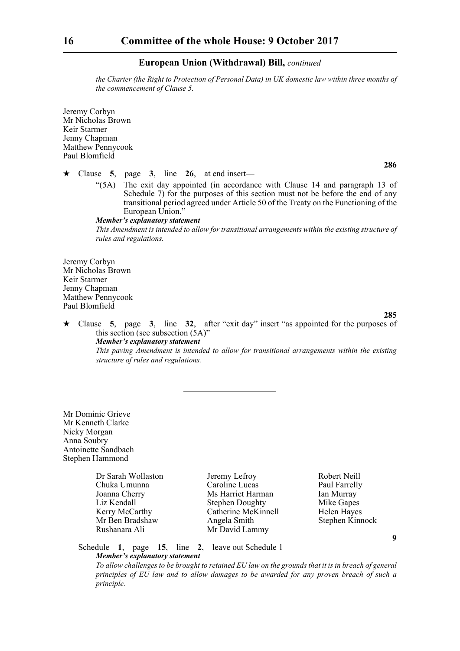*the Charter (the Right to Protection of Personal Data) in UK domestic law within three months of the commencement of Clause 5.*

Jeremy Corbyn Mr Nicholas Brown Keir Starmer Jenny Chapman Matthew Pennycook Paul Blomfield

 $\star$  Clause 5, page 3, line 26, at end insert—

"(5A) The exit day appointed (in accordance with Clause 14 and paragraph 13 of Schedule 7) for the purposes of this section must not be before the end of any transitional period agreed under Article 50 of the Treaty on the Functioning of the European Union."

#### *Member's explanatory statement*

*This Amendment is intended to allow for transitional arrangements within the existing structure of rules and regulations.*

Jeremy Corbyn Mr Nicholas Brown Keir Starmer Jenny Chapman Matthew Pennycook Paul Blomfield

**285**

**286**

 Clause **5**, page **3**, line **32**, after "exit day" insert "as appointed for the purposes of this section (see subsection (5A)" *Member's explanatory statement* 

*This paving Amendment is intended to allow for transitional arrangements within the existing structure of rules and regulations.*

Mr Dominic Grieve Mr Kenneth Clarke Nicky Morgan Anna Soubry Antoinette Sandbach Stephen Hammond

> Chuka Umunna<br>Joanna Cherry Rushanara Ali Mr David Lammy

Dr Sarah Wollaston Jeremy Lefroy Robert Neill<br>
Chuka Umunna Caroline Lucas Paul Farrelly Joanna Cherry **Ms Harriet Harman** Ian Murray<br>
Liz Kendall Stephen Doughty Mike Gapes Stephen Doughty Mike Gapes Kerry McCarthy **Catherine McKinnell** Helen Hayes Mr Ben Bradshaw Angela Smith Stephen Kinnock

**9**

Schedule **1**, page **15**, line **2**, leave out Schedule 1 *Member's explanatory statement* 

*To allow challenges to be brought to retained EU law on the grounds that it is in breach of general principles of EU law and to allow damages to be awarded for any proven breach of such a principle.*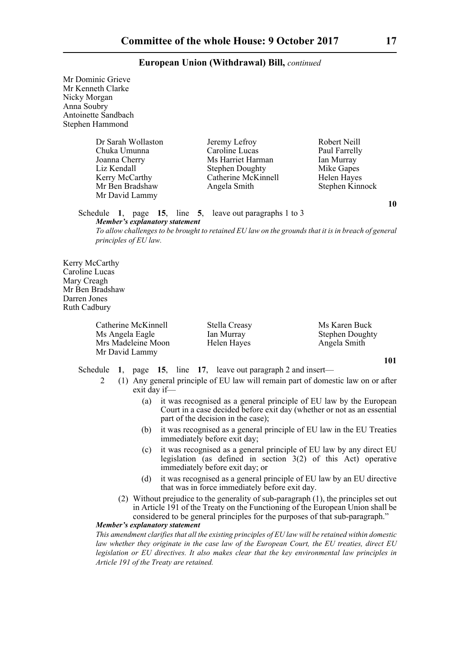Mr Dominic Grieve Mr Kenneth Clarke Nicky Morgan Anna Soubry Antoinette Sandbach Stephen Hammond

> Dr Sarah Wollaston Jeremy Lefroy Robert Neill<br>
> Chuka Umunna Caroline Lucas Paul Farrelly Chuka Umunna<br>Joanna Cherry Mr David Lammy

Joanna Cherry Ms Harriet Harman Ian Murray<br>
Liz Kendall Stephen Doughty Mike Gapes Stephen Doughty Kerry McCarthy Catherine McKinnell Helen Hayes Mr Ben Bradshaw Angela Smith Stephen Kinnock

Schedule **1**, page **15**, line **5**, leave out paragraphs 1 to 3 *Member's explanatory statement* 

*To allow challenges to be brought to retained EU law on the grounds that it is in breach of general principles of EU law.*

Kerry McCarthy Caroline Lucas Mary Creagh Mr Ben Bradshaw Darren Jones Ruth Cadbury

> Catherine McKinnell Stella Creasy Ms Karen Buck Ms Angela Eagle Ian Murray Stephen Doughty<br>
> Mrs Madeleine Moon Helen Hayes Angela Smith Mrs Madeleine Moon Helen Hayes Angela Smith Mr David Lammy

**101**

Schedule **1**, page **15**, line **17**, leave out paragraph 2 and insert—

- 2 (1) Any general principle of EU law will remain part of domestic law on or after exit day if—
	- (a) it was recognised as a general principle of EU law by the European Court in a case decided before exit day (whether or not as an essential part of the decision in the case);
	- (b) it was recognised as a general principle of EU law in the EU Treaties immediately before exit day;
	- (c) it was recognised as a general principle of EU law by any direct EU legislation (as defined in section 3(2) of this Act) operative immediately before exit day; or
	- (d) it was recognised as a general principle of EU law by an EU directive that was in force immediately before exit day.
- (2) Without prejudice to the generality of sub-paragraph (1), the principles set out in Article 191 of the Treaty on the Functioning of the European Union shall be considered to be general principles for the purposes of that sub-paragraph." *Member's explanatory statement*

*This amendment clarifies that all the existing principles of EU law will be retained within domestic law whether they originate in the case law of the European Court, the EU treaties, direct EU legislation or EU directives. It also makes clear that the key environmental law principles in Article 191 of the Treaty are retained.*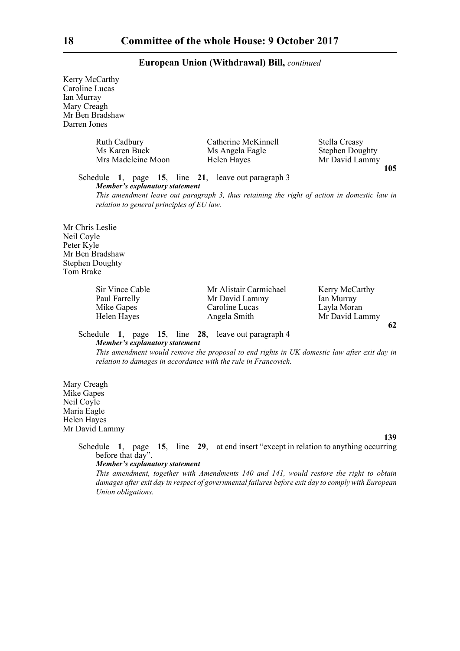Kerry McCarthy Caroline Lucas Ian Murray Mary Creagh Mr Ben Bradshaw Darren Jones

| <b>Ruth Cadbury</b> | Catherine McKinnell | Stella Creasy          |
|---------------------|---------------------|------------------------|
| Ms Karen Buck       | Ms Angela Eagle     | <b>Stephen Doughty</b> |
| Mrs Madeleine Moon  | Helen Hayes         | Mr David Lammy         |

Schedule **1**, page **15**, line **21**, leave out paragraph 3 *Member's explanatory statement* 

*This amendment leave out paragraph 3, thus retaining the right of action in domestic law in relation to general principles of EU law.*

Mr Chris Leslie Neil Coyle Peter Kyle Mr Ben Bradshaw Stephen Doughty Tom Brake

| Sir Vince Cable | Mr Alistair Carmichael | Kerry McCarthy |
|-----------------|------------------------|----------------|
| Paul Farrelly   | Mr David Lammy         | Ian Murray     |
| Mike Gapes      | Caroline Lucas         | Layla Moran    |
| Helen Hayes     | Angela Smith           | Mr David Lammy |

Schedule **1**, page **15**, line **28**, leave out paragraph 4 *Member's explanatory statement* 

*This amendment would remove the proposal to end rights in UK domestic law after exit day in relation to damages in accordance with the rule in Francovich.*

Mary Creagh Mike Gapes Neil Coyle Maria Eagle Helen Hayes Mr David Lammy

#### **139**

**62**

**105**

Schedule **1**, page **15**, line **29**, at end insert "except in relation to anything occurring before that day".

#### *Member's explanatory statement*

*This amendment, together with Amendments 140 and 141, would restore the right to obtain damages after exit day in respect of governmental failures before exit day to comply with European Union obligations.*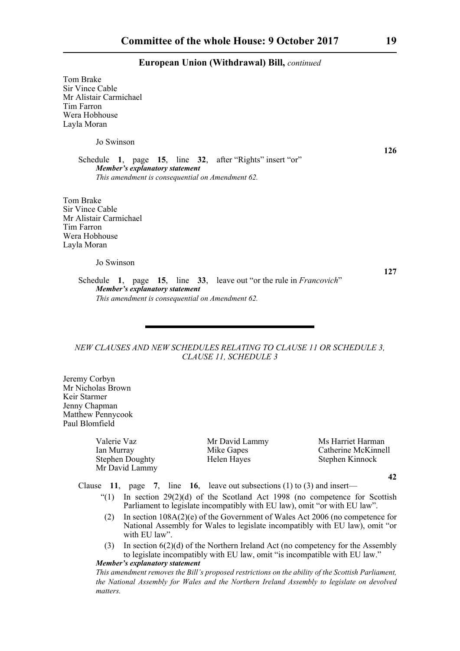Tom Brake Sir Vince Cable Mr Alistair Carmichael Tim Farron Wera Hobhouse Layla Moran

Jo Swinson

Schedule **1**, page **15**, line **32**, after "Rights" insert "or" *Member's explanatory statement This amendment is consequential on Amendment 62.*

Tom Brake Sir Vince Cable Mr Alistair Carmichael Tim Farron Wera Hobhouse Layla Moran

Jo Swinson

**127**

Schedule **1**, page **15**, line **33**, leave out "or the rule in *Francovich*" *Member's explanatory statement This amendment is consequential on Amendment 62.*

#### *NEW CLAUSES AND NEW SCHEDULES RELATING TO CLAUSE 11 OR SCHEDULE 3, CLAUSE 11, SCHEDULE 3*

Jeremy Corbyn Mr Nicholas Brown Keir Starmer Jenny Chapman Matthew Pennycook Paul Blomfield

> Stephen Doughty Helen Hayes Stephen Kinnock Mr David Lammy

Valerie Vaz Mr David Lammy Ms Harriet Harman Ian Murray Mike Gapes Catherine McKinnell<br>Stephen Doughty Helen Hayes Stephen Kinnock

**42**

Clause **11**, page **7**, line **16**, leave out subsections (1) to (3) and insert—

- "(1) In section  $29(2)(d)$  of the Scotland Act 1998 (no competence for Scottish Parliament to legislate incompatibly with EU law), omit "or with EU law".
- (2) In section 108A(2)(e) of the Government of Wales Act 2006 (no competence for National Assembly for Wales to legislate incompatibly with EU law), omit "or with EU law".
- (3) In section 6(2)(d) of the Northern Ireland Act (no competency for the Assembly to legislate incompatibly with EU law, omit "is incompatible with EU law."

*Member's explanatory statement* 

*This amendment removes the Bill's proposed restrictions on the ability of the Scottish Parliament, the National Assembly for Wales and the Northern Ireland Assembly to legislate on devolved matters.*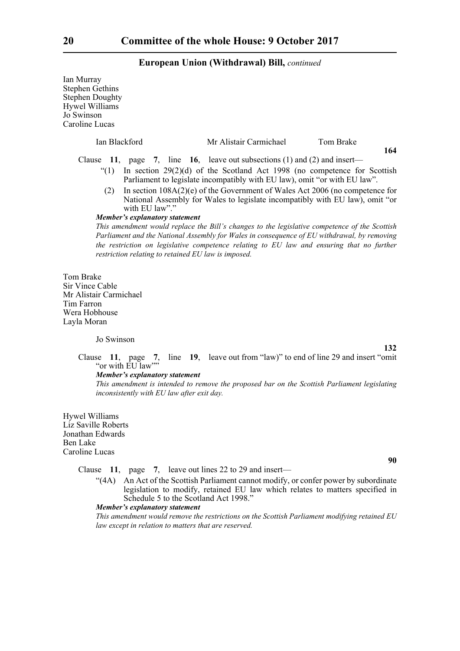Ian Murray Stephen Gethins Stephen Doughty Hywel Williams Jo Swinson Caroline Lucas Ian Blackford Mr Alistair Carmichael Tom Brake **164** Clause **11**, page **7**, line **16**, leave out subsections (1) and (2) and insert— "(1) In section  $29(2)(d)$  of the Scotland Act 1998 (no competence for Scottish Parliament to legislate incompatibly with EU law), omit "or with EU law". (2) In section 108A(2)(e) of the Government of Wales Act 2006 (no competence for National Assembly for Wales to legislate incompatibly with EU law), omit "or with EU law"." *Member's explanatory statement This amendment would replace the Bill's changes to the legislative competence of the Scottish Parliament and the National Assembly for Wales in consequence of EU withdrawal, by removing the restriction on legislative competence relating to EU law and ensuring that no further restriction relating to retained EU law is imposed.*  Tom Brake Sir Vince Cable Mr Alistair Carmichael Tim Farron Wera Hobhouse Layla Moran Jo Swinson **132** Clause **11**, page **7**, line **19**, leave out from "law)" to end of line 29 and insert "omit "or with EU law"" *Member's explanatory statement This amendment is intended to remove the proposed bar on the Scottish Parliament legislating inconsistently with EU law after exit day.* Hywel Williams Liz Saville Roberts

Jonathan Edwards Ben Lake Caroline Lucas

Clause **11**, page **7**, leave out lines 22 to 29 and insert—

"(4A) An Act of the Scottish Parliament cannot modify, or confer power by subordinate legislation to modify, retained EU law which relates to matters specified in Schedule 5 to the Scotland Act 1998."

#### *Member's explanatory statement*

*This amendment would remove the restrictions on the Scottish Parliament modifying retained EU law except in relation to matters that are reserved.*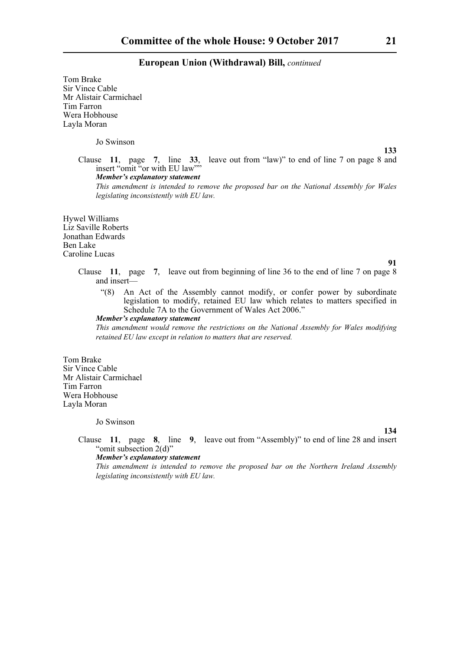Tom Brake Sir Vince Cable Mr Alistair Carmichael Tim Farron Wera Hobhouse Layla Moran

Jo Swinson

**133**

Clause **11**, page **7**, line **33**, leave out from "law)" to end of line 7 on page 8 and insert "omit "or with EU law"" *Member's explanatory statement* 

*This amendment is intended to remove the proposed bar on the National Assembly for Wales legislating inconsistently with EU law.*

Hywel Williams Liz Saville Roberts Jonathan Edwards Ben Lake Caroline Lucas

**91**

**134**

Clause **11**, page **7**, leave out from beginning of line 36 to the end of line 7 on page 8 and insert—

"(8) An Act of the Assembly cannot modify, or confer power by subordinate legislation to modify, retained EU law which relates to matters specified in Schedule 7A to the Government of Wales Act 2006."

*Member's explanatory statement* 

*This amendment would remove the restrictions on the National Assembly for Wales modifying retained EU law except in relation to matters that are reserved.*

Tom Brake Sir Vince Cable Mr Alistair Carmichael Tim Farron Wera Hobhouse Layla Moran

Jo Swinson

Clause **11**, page **8**, line **9**, leave out from "Assembly)" to end of line 28 and insert "omit subsection 2(d)"

*Member's explanatory statement* 

*This amendment is intended to remove the proposed bar on the Northern Ireland Assembly legislating inconsistently with EU law.*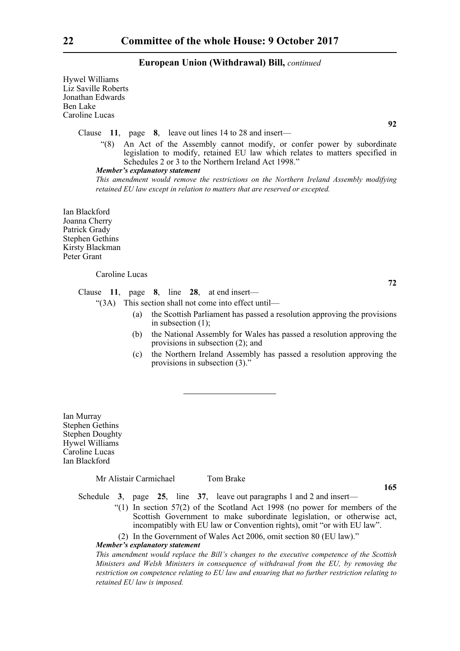Hywel Williams Liz Saville Roberts Jonathan Edwards Ben Lake Caroline Lucas

Clause **11**, page **8**, leave out lines 14 to 28 and insert—

"(8) An Act of the Assembly cannot modify, or confer power by subordinate legislation to modify, retained EU law which relates to matters specified in Schedules 2 or 3 to the Northern Ireland Act 1998."

#### *Member's explanatory statement*

*This amendment would remove the restrictions on the Northern Ireland Assembly modifying retained EU law except in relation to matters that are reserved or excepted.*

Ian Blackford Joanna Cherry Patrick Grady Stephen Gethins Kirsty Blackman Peter Grant

#### Caroline Lucas

Clause **11**, page **8**, line **28**, at end insert—

"(3A) This section shall not come into effect until—

- (a) the Scottish Parliament has passed a resolution approving the provisions in subsection (1);
- (b) the National Assembly for Wales has passed a resolution approving the provisions in subsection (2); and
- (c) the Northern Ireland Assembly has passed a resolution approving the provisions in subsection (3)."

Ian Murray Stephen Gethins Stephen Doughty Hywel Williams Caroline Lucas Ian Blackford

Mr Alistair Carmichael Tom Brake

**165**

Schedule **3**, page **25**, line **37**, leave out paragraphs 1 and 2 and insert—

- "(1) In section 57(2) of the Scotland Act 1998 (no power for members of the Scottish Government to make subordinate legislation, or otherwise act, incompatibly with EU law or Convention rights), omit "or with EU law".
- (2) In the Government of Wales Act 2006, omit section 80 (EU law)."

#### *Member's explanatory statement*

*This amendment would replace the Bill's changes to the executive competence of the Scottish Ministers and Welsh Ministers in consequence of withdrawal from the EU, by removing the restriction on competence relating to EU law and ensuring that no further restriction relating to retained EU law is imposed.*

**92**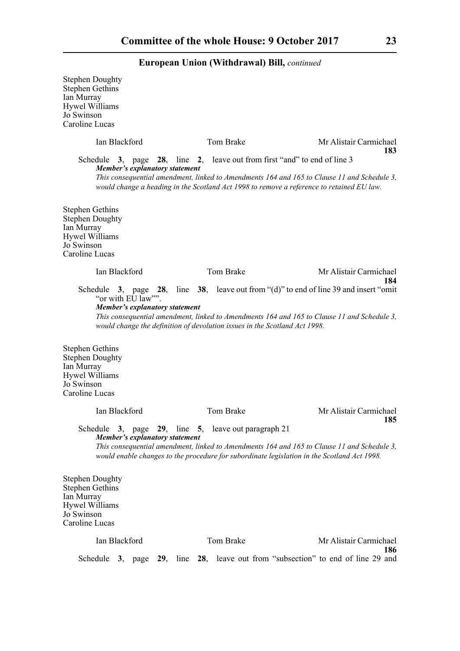| <b>Stephen Doughty</b><br><b>Stephen Gethins</b><br>Ian Murray<br><b>Hywel Williams</b><br>Jo Swinson<br>Caroline Lucas |                   |                                       |                                            |                                                                                                                                                                                                                                                                     |     |
|-------------------------------------------------------------------------------------------------------------------------|-------------------|---------------------------------------|--------------------------------------------|---------------------------------------------------------------------------------------------------------------------------------------------------------------------------------------------------------------------------------------------------------------------|-----|
|                                                                                                                         | Ian Blackford     |                                       | Tom Brake                                  | Mr Alistair Carmichael                                                                                                                                                                                                                                              | 183 |
|                                                                                                                         |                   |                                       |                                            | Schedule 3, page 28, line 2, leave out from first "and" to end of line 3                                                                                                                                                                                            |     |
|                                                                                                                         |                   | <b>Member's explanatory statement</b> |                                            | This consequential amendment, linked to Amendments 164 and 165 to Clause 11 and Schedule 3,<br>would change a heading in the Scotland Act 1998 to remove a reference to retained EU law.                                                                            |     |
| <b>Stephen Gethins</b><br><b>Stephen Doughty</b><br>Ian Murray<br><b>Hywel Williams</b><br>Jo Swinson<br>Caroline Lucas |                   |                                       |                                            |                                                                                                                                                                                                                                                                     |     |
|                                                                                                                         | Ian Blackford     |                                       | Tom Brake                                  | Mr Alistair Carmichael                                                                                                                                                                                                                                              | 184 |
| <b>Stephen Gethins</b><br><b>Stephen Doughty</b><br>Ian Murray<br><b>Hywel Williams</b><br>Jo Swinson<br>Caroline Lucas | "or with EU law"" | Member's explanatory statement        |                                            | Schedule 3, page 28, line 38, leave out from "(d)" to end of line 39 and insert "omit"<br>This consequential amendment, linked to Amendments 164 and 165 to Clause 11 and Schedule 3,<br>would change the definition of devolution issues in the Scotland Act 1998. |     |
|                                                                                                                         | Ian Blackford     |                                       | <b>Tom Brake</b>                           | Mr Alistair Carmichael                                                                                                                                                                                                                                              |     |
| Schedule                                                                                                                |                   |                                       | 3, page 29, line 5, leave out paragraph 21 |                                                                                                                                                                                                                                                                     | 185 |
|                                                                                                                         |                   | <b>Member's explanatory statement</b> |                                            | This consequential amendment, linked to Amendments 164 and 165 to Clause 11 and Schedule 3,<br>would enable changes to the procedure for subordinate legislation in the Scotland Act 1998.                                                                          |     |
| <b>Stephen Doughty</b><br><b>Stephen Gethins</b><br>Ian Murray<br>Hywel Williams<br>Jo Swinson<br>Caroline Lucas        |                   |                                       |                                            |                                                                                                                                                                                                                                                                     |     |
|                                                                                                                         | Ian Blackford     |                                       | Tom Brake                                  | Mr Alistair Carmichael                                                                                                                                                                                                                                              |     |
|                                                                                                                         |                   | Schedule 3, page $29$ , line $28$ ,   |                                            | leave out from "subsection" to end of line 29 and                                                                                                                                                                                                                   | 186 |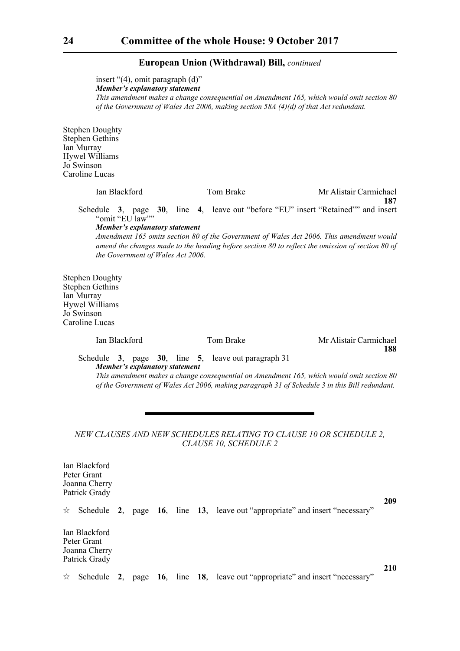insert "(4), omit paragraph (d)"

*Member's explanatory statement* 

*This amendment makes a change consequential on Amendment 165, which would omit section 80 of the Government of Wales Act 2006, making section 58A (4)(d) of that Act redundant.* 

Stephen Doughty Stephen Gethins Ian Murray Hywel Williams Jo Swinson Caroline Lucas

> Ian Blackford Tom Brake Mr Alistair Carmichael **187** Schedule **3**, page **30**, line **4**, leave out "before "EU" insert "Retained"" and insert "omit "EU law"" *Member's explanatory statement*

*Amendment 165 omits section 80 of the Government of Wales Act 2006. This amendment would amend the changes made to the heading before section 80 to reflect the omission of section 80 of the Government of Wales Act 2006.*

Stephen Doughty Stephen Gethins Ian Murray Hywel Williams Jo Swinson Caroline Lucas

Ian Blackford Tom Brake Mr Alistair Carmichael **188**

Schedule **3**, page **30**, line **5**, leave out paragraph 31 *Member's explanatory statement* 

*This amendment makes a change consequential on Amendment 165, which would omit section 80 of the Government of Wales Act 2006, making paragraph 31 of Schedule 3 in this Bill redundant.* 

#### *NEW CLAUSES AND NEW SCHEDULES RELATING TO CLAUSE 10 OR SCHEDULE 2, CLAUSE 10, SCHEDULE 2*

Ian Blackford Peter Grant Joanna Cherry Patrick Grady  $\forall$  Schedule 2, page 16, line 13, leave out "appropriate" and insert "necessary" Ian Blackford

Peter Grant Joanna Cherry Patrick Grady

 $\forall$  Schedule 2, page 16, line 18, leave out "appropriate" and insert "necessary"

**210**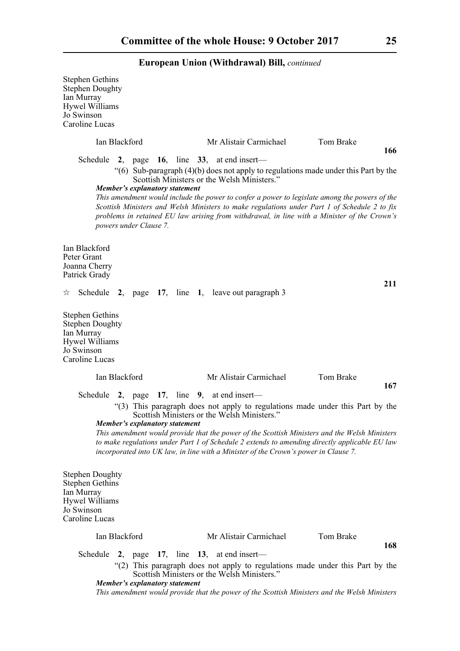| <b>Stephen Gethins</b><br><b>Stephen Doughty</b><br>Ian Murray<br>Hywel Williams<br>Jo Swinson<br>Caroline Lucas        |                        |    |                                       |                                                 |                                                    |                                                                                                                                                                                                                                                                                              |     |
|-------------------------------------------------------------------------------------------------------------------------|------------------------|----|---------------------------------------|-------------------------------------------------|----------------------------------------------------|----------------------------------------------------------------------------------------------------------------------------------------------------------------------------------------------------------------------------------------------------------------------------------------------|-----|
|                                                                                                                         | Ian Blackford          |    |                                       |                                                 | Mr Alistair Carmichael                             | Tom Brake                                                                                                                                                                                                                                                                                    | 166 |
|                                                                                                                         |                        |    |                                       | Schedule 2, page 16, line $33$ , at end insert— |                                                    |                                                                                                                                                                                                                                                                                              |     |
|                                                                                                                         |                        |    | <b>Member's explanatory statement</b> |                                                 | Scottish Ministers or the Welsh Ministers."        | "(6) Sub-paragraph (4)(b) does not apply to regulations made under this Part by the                                                                                                                                                                                                          |     |
|                                                                                                                         | powers under Clause 7. |    |                                       |                                                 |                                                    | This amendment would include the power to confer a power to legislate among the powers of the<br>Scottish Ministers and Welsh Ministers to make regulations under Part 1 of Schedule 2 to fix<br>problems in retained EU law arising from withdrawal, in line with a Minister of the Crown's |     |
| Ian Blackford<br>Peter Grant<br>Joanna Cherry<br>Patrick Grady                                                          |                        |    |                                       |                                                 |                                                    |                                                                                                                                                                                                                                                                                              |     |
| ☆                                                                                                                       |                        |    |                                       |                                                 | Schedule 2, page 17, line 1, leave out paragraph 3 |                                                                                                                                                                                                                                                                                              | 211 |
| <b>Stephen Gethins</b><br><b>Stephen Doughty</b><br>Ian Murray<br><b>Hywel Williams</b><br>Jo Swinson<br>Caroline Lucas |                        |    |                                       |                                                 |                                                    |                                                                                                                                                                                                                                                                                              |     |
|                                                                                                                         | Ian Blackford          |    |                                       |                                                 | Mr Alistair Carmichael                             | Tom Brake                                                                                                                                                                                                                                                                                    | 167 |
| Schedule                                                                                                                |                        | 2, |                                       | page $17$ , line 9, at end insert—              |                                                    |                                                                                                                                                                                                                                                                                              |     |
|                                                                                                                         |                        |    |                                       |                                                 | Scottish Ministers or the Welsh Ministers."        | "(3) This paragraph does not apply to regulations made under this Part by the                                                                                                                                                                                                                |     |
|                                                                                                                         |                        |    | Member's explanatory statement        |                                                 |                                                    | This amendment would provide that the power of the Scottish Ministers and the Welsh Ministers<br>to make regulations under Part 1 of Schedule 2 extends to amending directly applicable EU law<br>incorporated into UK law, in line with a Minister of the Crown's power in Clause 7.        |     |
| <b>Stephen Doughty</b><br><b>Stephen Gethins</b><br>Ian Murray<br><b>Hywel Williams</b><br>Jo Swinson<br>Caroline Lucas |                        |    |                                       |                                                 |                                                    |                                                                                                                                                                                                                                                                                              |     |
|                                                                                                                         | Ian Blackford          |    |                                       |                                                 | Mr Alistair Carmichael                             | Tom Brake                                                                                                                                                                                                                                                                                    | 168 |
|                                                                                                                         |                        |    |                                       | Schedule 2, page 17, line 13, at end insert—    |                                                    |                                                                                                                                                                                                                                                                                              |     |
|                                                                                                                         |                        |    | Member's explanatory statement        |                                                 | Scottish Ministers or the Welsh Ministers."        | "(2) This paragraph does not apply to regulations made under this Part by the                                                                                                                                                                                                                |     |
|                                                                                                                         |                        |    |                                       |                                                 |                                                    | This amendment would provide that the power of the Scottish Ministers and the Welsh Ministers                                                                                                                                                                                                |     |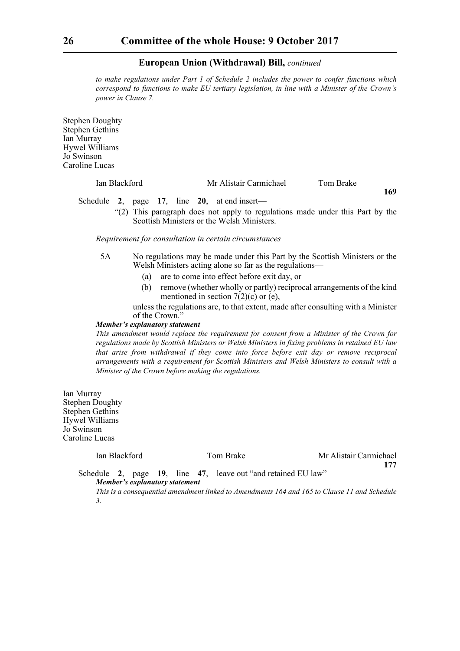*to make regulations under Part 1 of Schedule 2 includes the power to confer functions which correspond to functions to make EU tertiary legislation, in line with a Minister of the Crown's power in Clause 7.*

Stephen Doughty Stephen Gethins Ian Murray Hywel Williams Jo Swinson Caroline Lucas

| Ian Blackford | Mr Alistair Carmichael | Tom Brake |     |
|---------------|------------------------|-----------|-----|
|               |                        |           | 169 |

Schedule **2**, page **17**, line **20**, at end insert—

"(2) This paragraph does not apply to regulations made under this Part by the Scottish Ministers or the Welsh Ministers.

*Requirement for consultation in certain circumstances*

- 5A No regulations may be made under this Part by the Scottish Ministers or the Welsh Ministers acting alone so far as the regulations—
	- (a) are to come into effect before exit day, or
	- (b) remove (whether wholly or partly) reciprocal arrangements of the kind mentioned in section  $7(2)(c)$  or (e),

unless the regulations are, to that extent, made after consulting with a Minister of the Crown."

#### *Member's explanatory statement*

*This amendment would replace the requirement for consent from a Minister of the Crown for regulations made by Scottish Ministers or Welsh Ministers in fixing problems in retained EU law that arise from withdrawal if they come into force before exit day or remove reciprocal arrangements with a requirement for Scottish Ministers and Welsh Ministers to consult with a Minister of the Crown before making the regulations.*

Ian Murray Stephen Doughty Stephen Gethins Hywel Williams Jo Swinson Caroline Lucas

Ian Blackford Tom Brake Mr Alistair Carmichael **177**

Schedule **2**, page **19**, line **47**, leave out "and retained EU law" *Member's explanatory statement* 

*This is a consequential amendment linked to Amendments 164 and 165 to Clause 11 and Schedule 3.*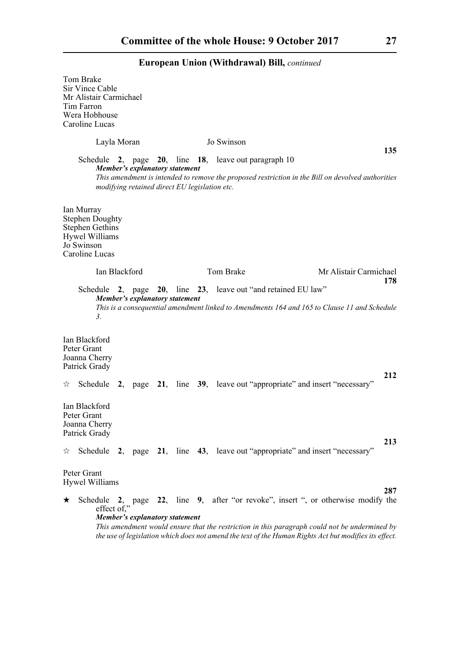|   | Tom Brake<br>Sir Vince Cable<br>Mr Alistair Carmichael<br>Tim Farron<br>Wera Hobhouse<br>Caroline Lucas                 |                                       |  |                                                                                                          |                                                                                                                                                                                                                                                                                    |
|---|-------------------------------------------------------------------------------------------------------------------------|---------------------------------------|--|----------------------------------------------------------------------------------------------------------|------------------------------------------------------------------------------------------------------------------------------------------------------------------------------------------------------------------------------------------------------------------------------------|
|   | Layla Moran                                                                                                             |                                       |  | Jo Swinson                                                                                               |                                                                                                                                                                                                                                                                                    |
|   |                                                                                                                         | <b>Member's explanatory statement</b> |  | Schedule 2, page $20$ , line 18, leave out paragraph 10<br>modifying retained direct EU legislation etc. | 135<br>This amendment is intended to remove the proposed restriction in the Bill on devolved authorities                                                                                                                                                                           |
|   | Ian Murray<br><b>Stephen Doughty</b><br><b>Stephen Gethins</b><br><b>Hywel Williams</b><br>Jo Swinson<br>Caroline Lucas |                                       |  |                                                                                                          |                                                                                                                                                                                                                                                                                    |
|   | Ian Blackford                                                                                                           |                                       |  | Tom Brake                                                                                                | Mr Alistair Carmichael<br>178                                                                                                                                                                                                                                                      |
|   | $\mathfrak{Z}$ .                                                                                                        | Member's explanatory statement        |  | Schedule 2, page 20, line 23, leave out "and retained EU law"                                            | This is a consequential amendment linked to Amendments 164 and 165 to Clause 11 and Schedule                                                                                                                                                                                       |
|   | Ian Blackford<br>Peter Grant<br>Joanna Cherry<br>Patrick Grady                                                          |                                       |  |                                                                                                          |                                                                                                                                                                                                                                                                                    |
| ☆ | Schedule                                                                                                                |                                       |  | 2, page 21, line 39, leave out "appropriate" and insert "necessary"                                      | 212                                                                                                                                                                                                                                                                                |
|   | Ian Blackford<br>Peter Grant<br>Joanna Cherry<br>Patrick Grady                                                          |                                       |  |                                                                                                          |                                                                                                                                                                                                                                                                                    |
| ☆ |                                                                                                                         |                                       |  | Schedule 2, page 21, line 43, leave out "appropriate" and insert "necessary"                             | 213                                                                                                                                                                                                                                                                                |
|   | Peter Grant<br><b>Hywel Williams</b>                                                                                    |                                       |  |                                                                                                          | 287                                                                                                                                                                                                                                                                                |
| ★ | Schedule<br>effect of."                                                                                                 | <b>Member's explanatory statement</b> |  |                                                                                                          | 2, page 22, line 9, after "or revoke", insert ", or otherwise modify the<br>This amendment would ensure that the restriction in this paragraph could not be undermined by<br>the use of legislation which does not amend the text of the Human Rights Act but modifies its effect. |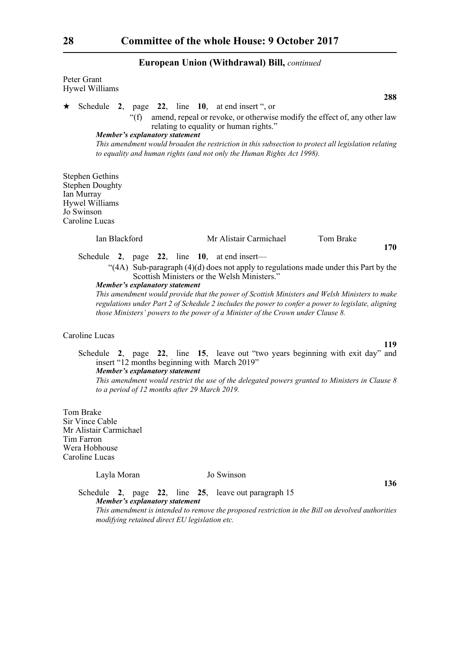| Peter Grant<br><b>Hywel Williams</b>                                                                                                                                                                                                                                                                                                                                                                                                                                   |
|------------------------------------------------------------------------------------------------------------------------------------------------------------------------------------------------------------------------------------------------------------------------------------------------------------------------------------------------------------------------------------------------------------------------------------------------------------------------|
| 288<br>Schedule 2, page 22, line 10, at end insert ", or<br>★<br>" $(f)$ "<br>amend, repeal or revoke, or otherwise modify the effect of, any other law<br>relating to equality or human rights."<br><b>Member's explanatory statement</b><br>This amendment would broaden the restriction in this subsection to protect all legislation relating<br>to equality and human rights (and not only the Human Rights Act 1998).                                            |
| <b>Stephen Gethins</b><br><b>Stephen Doughty</b><br>Ian Murray<br><b>Hywel Williams</b><br>Jo Swinson<br>Caroline Lucas                                                                                                                                                                                                                                                                                                                                                |
| Ian Blackford<br>Mr Alistair Carmichael<br>Tom Brake<br>170                                                                                                                                                                                                                                                                                                                                                                                                            |
| "(4A) Sub-paragraph (4)(d) does not apply to regulations made under this Part by the<br>Scottish Ministers or the Welsh Ministers."<br><b>Member's explanatory statement</b><br>This amendment would provide that the power of Scottish Ministers and Welsh Ministers to make<br>regulations under Part 2 of Schedule 2 includes the power to confer a power to legislate, aligning<br>those Ministers' powers to the power of a Minister of the Crown under Clause 8. |
| Caroline Lucas                                                                                                                                                                                                                                                                                                                                                                                                                                                         |
| 119<br>Schedule 2, page 22, line 15, leave out "two years beginning with exit day" and<br>insert "12 months beginning with March 2019"<br><b>Member's explanatory statement</b><br>This amendment would restrict the use of the delegated powers granted to Ministers in Clause 8<br>to a period of 12 months after 29 March 2019.                                                                                                                                     |
| Tom Brake<br>Sir Vince Cable<br>Mr Alistair Carmichael<br>Tim Farron<br>Wera Hobhouse<br>Caroline Lucas                                                                                                                                                                                                                                                                                                                                                                |
| Jo Swinson<br>Layla Moran<br>136                                                                                                                                                                                                                                                                                                                                                                                                                                       |
| Schedule 2, page 22, line 25, leave out paragraph 15<br><b>Member's explanatory statement</b><br>This amendment is intended to remove the proposed restriction in the Bill on devolved authorities<br>modifying retained direct EU legislation etc.                                                                                                                                                                                                                    |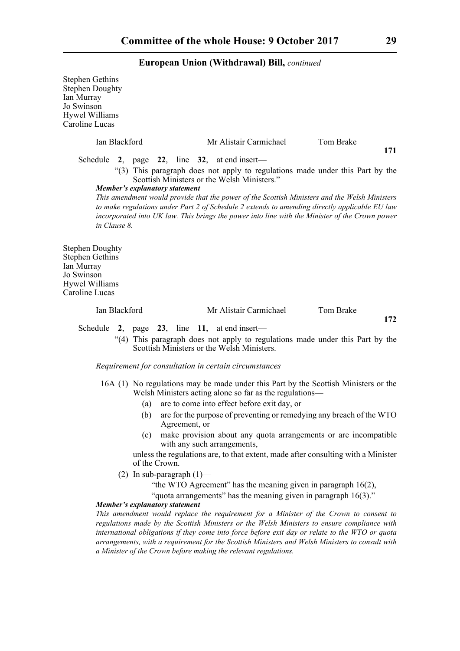| <b>Stephen Gethins</b><br><b>Stephen Doughty</b><br>Ian Murray<br>Jo Swinson<br>Hywel Williams<br>Caroline Lucas |                                |                                                                 |                                                                                                                                                                                                                                                                                                  |
|------------------------------------------------------------------------------------------------------------------|--------------------------------|-----------------------------------------------------------------|--------------------------------------------------------------------------------------------------------------------------------------------------------------------------------------------------------------------------------------------------------------------------------------------------|
| Ian Blackford                                                                                                    |                                | Mr Alistair Carmichael                                          | Tom Brake<br>171                                                                                                                                                                                                                                                                                 |
|                                                                                                                  |                                | Schedule 2, page 22, line $32$ , at end insert—                 |                                                                                                                                                                                                                                                                                                  |
|                                                                                                                  | Member's explanatory statement | Scottish Ministers or the Welsh Ministers."                     | "(3) This paragraph does not apply to regulations made under this Part by the                                                                                                                                                                                                                    |
| in Clause 8.                                                                                                     |                                |                                                                 | This amendment would provide that the power of the Scottish Ministers and the Welsh Ministers<br>to make regulations under Part 2 of Schedule 2 extends to amending directly applicable EU law<br>incorporated into UK law. This brings the power into line with the Minister of the Crown power |
| <b>Stephen Doughty</b><br><b>Stephen Gethins</b><br>Ian Murray<br>Jo Swinson<br>Hywel Williams<br>Caroline Lucas |                                |                                                                 |                                                                                                                                                                                                                                                                                                  |
| Ian Blackford                                                                                                    |                                | Mr Alistair Carmichael                                          | Tom Brake                                                                                                                                                                                                                                                                                        |
| Schedule<br>2,                                                                                                   |                                | page $23$ , line 11, at end insert—                             | 172                                                                                                                                                                                                                                                                                              |
|                                                                                                                  |                                | Scottish Ministers or the Welsh Ministers.                      | "(4) This paragraph does not apply to regulations made under this Part by the                                                                                                                                                                                                                    |
|                                                                                                                  |                                | Requirement for consultation in certain circumstances           |                                                                                                                                                                                                                                                                                                  |
|                                                                                                                  |                                | Welsh Ministers acting alone so far as the regulations—         | 16A (1) No regulations may be made under this Part by the Scottish Ministers or the                                                                                                                                                                                                              |
|                                                                                                                  | (a)                            | are to come into effect before exit day, or                     |                                                                                                                                                                                                                                                                                                  |
|                                                                                                                  | (b)<br>Agreement, or           |                                                                 | are for the purpose of preventing or remedying any breach of the WTO                                                                                                                                                                                                                             |
|                                                                                                                  | (c)                            | with any such arrangements,                                     | make provision about any quota arrangements or are incompatible                                                                                                                                                                                                                                  |
|                                                                                                                  | of the Crown.                  |                                                                 | unless the regulations are, to that extent, made after consulting with a Minister                                                                                                                                                                                                                |
|                                                                                                                  | (2) In sub-paragraph $(1)$ —   |                                                                 |                                                                                                                                                                                                                                                                                                  |
|                                                                                                                  |                                | "the WTO Agreement" has the meaning given in paragraph 16(2),   |                                                                                                                                                                                                                                                                                                  |
|                                                                                                                  | Member's explanatory statement | "quota arrangements" has the meaning given in paragraph 16(3)." |                                                                                                                                                                                                                                                                                                  |

*This amendment would replace the requirement for a Minister of the Crown to consent to regulations made by the Scottish Ministers or the Welsh Ministers to ensure compliance with international obligations if they come into force before exit day or relate to the WTO or quota arrangements, with a requirement for the Scottish Ministers and Welsh Ministers to consult with a Minister of the Crown before making the relevant regulations.*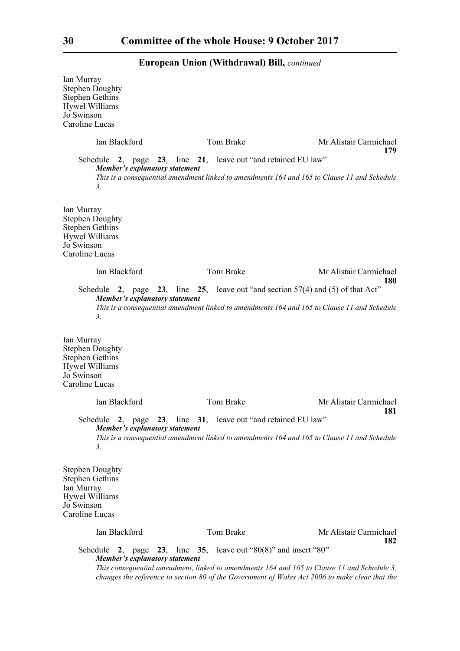Ian Murray Stephen Doughty Stephen Gethins Hywel Williams Jo Swinson Caroline Lucas Ian Blackford Tom Brake Mr Alistair Carmichael **179** Schedule **2**, page **23**, line **21**, leave out "and retained EU law" *Member's explanatory statement This is a consequential amendment linked to amendments 164 and 165 to Clause 11 and Schedule 3.*  Ian Murray Stephen Doughty Stephen Gethins Hywel Williams Jo Swinson Caroline Lucas Ian Blackford Tom Brake Mr Alistair Carmichael **180** Schedule **2**, page **23**, line **25**, leave out "and section 57(4) and (5) of that Act" *Member's explanatory statement This is a consequential amendment linked to amendments 164 and 165 to Clause 11 and Schedule 3.*  Ian Murray Stephen Doughty Stephen Gethins Hywel Williams Jo Swinson Caroline Lucas Ian Blackford Tom Brake Mr Alistair Carmichael **181** Schedule **2**, page **23**, line **31**, leave out "and retained EU law" *Member's explanatory statement This is a consequential amendment linked to amendments 164 and 165 to Clause 11 and Schedule 3.*  Stephen Doughty Stephen Gethins Ian Murray Hywel Williams Jo Swinson Caroline Lucas Ian Blackford Tom Brake Mr Alistair Carmichael **182** Schedule **2**, page **23**, line **35**, leave out "80(8)" and insert "80" *Member's explanatory statement This consequential amendment, linked to amendments 164 and 165 to Clause 11 and Schedule 3, changes the reference to section 80 of the Government of Wales Act 2006 to make clear that the*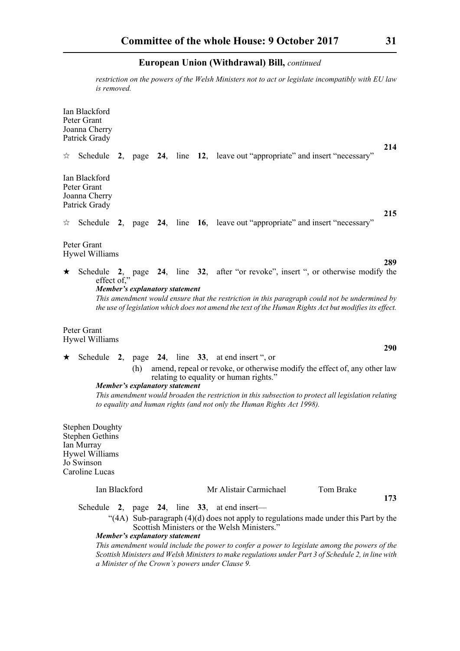*restriction on the powers of the Welsh Ministers not to act or legislate incompatibly with EU law is removed.* 

Ian Blackford Peter Grant Joanna Cherry Patrick Grady **214** Schedule **2**, page **24**, line **12**, leave out "appropriate" and insert "necessary" Ian Blackford Peter Grant Joanna Cherry Patrick Grady **215**  $\forall$  Schedule 2, page 24, line 16, leave out "appropriate" and insert "necessary" Peter Grant Hywel Williams **289** Schedule **2**, page **24**, line **32**, after "or revoke", insert ", or otherwise modify the effect of," *Member's explanatory statement This amendment would ensure that the restriction in this paragraph could not be undermined by the use of legislation which does not amend the text of the Human Rights Act but modifies its effect.* Peter Grant Hywel Williams **290** Schedule **2**, page **24**, line **33**, at end insert ", or (h) amend, repeal or revoke, or otherwise modify the effect of, any other law relating to equality or human rights." *Member's explanatory statement* 

*This amendment would broaden the restriction in this subsection to protect all legislation relating to equality and human rights (and not only the Human Rights Act 1998).*

Stephen Doughty Stephen Gethins Ian Murray Hywel Williams Jo Swinson Caroline Lucas

#### Ian Blackford Mr Alistair Carmichael Tom Brake

Schedule **2**, page **24**, line **33**, at end insert—

"(4A) Sub-paragraph (4)(d) does not apply to regulations made under this Part by the Scottish Ministers or the Welsh Ministers."

*Member's explanatory statement* 

*This amendment would include the power to confer a power to legislate among the powers of the Scottish Ministers and Welsh Ministers to make regulations under Part 3 of Schedule 2, in line with a Minister of the Crown's powers under Clause 9.*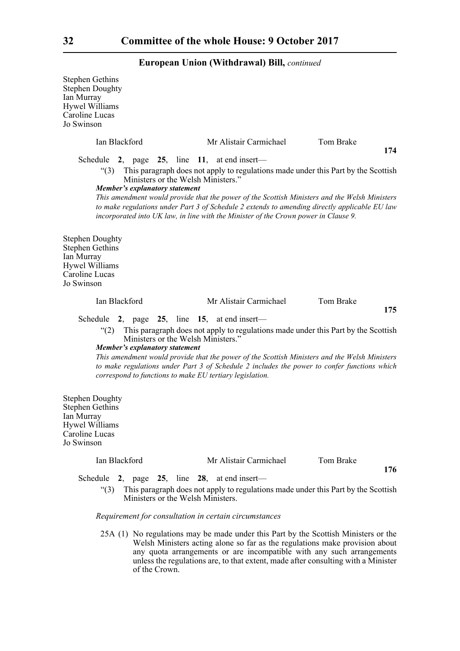| <b>Stephen Gethins</b><br><b>Stephen Doughty</b><br>Ian Murray<br>Hywel Williams<br>Caroline Lucas<br>Jo Swinson        |                                                                                                                                                                                         |                                                                                                                                                                                                                                                                                   |           |     |
|-------------------------------------------------------------------------------------------------------------------------|-----------------------------------------------------------------------------------------------------------------------------------------------------------------------------------------|-----------------------------------------------------------------------------------------------------------------------------------------------------------------------------------------------------------------------------------------------------------------------------------|-----------|-----|
| Ian Blackford                                                                                                           |                                                                                                                                                                                         | Mr Alistair Carmichael                                                                                                                                                                                                                                                            | Tom Brake |     |
|                                                                                                                         | Schedule 2, page 25, line 11, at end insert—                                                                                                                                            |                                                                                                                                                                                                                                                                                   |           | 174 |
| $\degree$ (3)                                                                                                           | Ministers or the Welsh Ministers."<br><b>Member's explanatory statement</b>                                                                                                             | This paragraph does not apply to regulations made under this Part by the Scottish<br>This amendment would provide that the power of the Scottish Ministers and the Welsh Ministers                                                                                                |           |     |
|                                                                                                                         |                                                                                                                                                                                         | to make regulations under Part 3 of Schedule 2 extends to amending directly applicable EU law<br>incorporated into UK law, in line with the Minister of the Crown power in Clause 9.                                                                                              |           |     |
| <b>Stephen Doughty</b><br><b>Stephen Gethins</b><br>Ian Murray<br><b>Hywel Williams</b><br>Caroline Lucas<br>Jo Swinson |                                                                                                                                                                                         |                                                                                                                                                                                                                                                                                   |           |     |
| Ian Blackford                                                                                                           |                                                                                                                                                                                         | Mr Alistair Carmichael                                                                                                                                                                                                                                                            | Tom Brake | 175 |
| $\degree(2)$                                                                                                            | Schedule 2, page 25, line 15, at end insert—<br>Ministers or the Welsh Ministers."<br><b>Member's explanatory statement</b><br>correspond to functions to make EU tertiary legislation. | This paragraph does not apply to regulations made under this Part by the Scottish<br>This amendment would provide that the power of the Scottish Ministers and the Welsh Ministers<br>to make regulations under Part 3 of Schedule 2 includes the power to confer functions which |           |     |
| <b>Stephen Doughty</b><br><b>Stephen Gethins</b><br>Ian Murray<br><b>Hywel Williams</b><br>Caroline Lucas<br>Jo Swinson |                                                                                                                                                                                         |                                                                                                                                                                                                                                                                                   |           |     |
| Ian Blackford                                                                                                           |                                                                                                                                                                                         | Mr Alistair Carmichael                                                                                                                                                                                                                                                            | Tom Brake |     |
| Schedule<br>$\degree$ (3)                                                                                               | 2, page $25$ , line $28$ , at end insert—<br>Ministers or the Welsh Ministers.                                                                                                          | This paragraph does not apply to regulations made under this Part by the Scottish                                                                                                                                                                                                 |           | 176 |

*Requirement for consultation in certain circumstances*

25A (1) No regulations may be made under this Part by the Scottish Ministers or the Welsh Ministers acting alone so far as the regulations make provision about any quota arrangements or are incompatible with any such arrangements unless the regulations are, to that extent, made after consulting with a Minister of the Crown.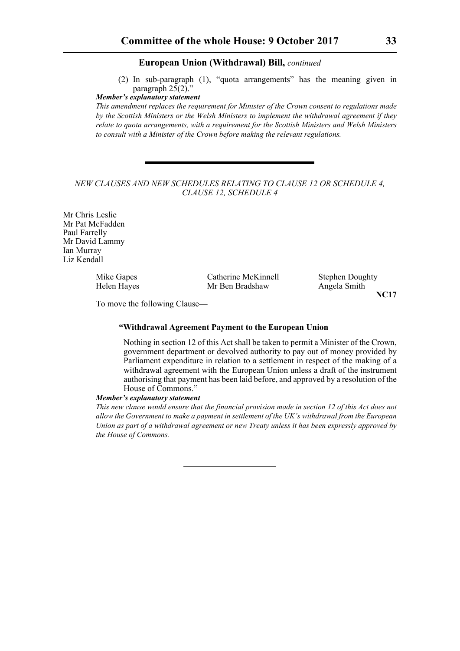(2) In sub-paragraph (1), "quota arrangements" has the meaning given in paragraph  $25(2)$ ."

#### *Member's explanatory statement*

*This amendment replaces the requirement for Minister of the Crown consent to regulations made by the Scottish Ministers or the Welsh Ministers to implement the withdrawal agreement if they relate to quota arrangements, with a requirement for the Scottish Ministers and Welsh Ministers to consult with a Minister of the Crown before making the relevant regulations.* 

#### *NEW CLAUSES AND NEW SCHEDULES RELATING TO CLAUSE 12 OR SCHEDULE 4, CLAUSE 12, SCHEDULE 4*

Mr Chris Leslie Mr Pat McFadden Paul Farrelly Mr David Lammy Ian Murray Liz Kendall

Helen Hayes Mr Ben Bradshaw Angela Smith

Mike Gapes Catherine McKinnell Stephen Doughty

**NC17**

To move the following Clause—

#### **"Withdrawal Agreement Payment to the European Union**

Nothing in section 12 of this Act shall be taken to permit a Minister of the Crown, government department or devolved authority to pay out of money provided by Parliament expenditure in relation to a settlement in respect of the making of a withdrawal agreement with the European Union unless a draft of the instrument authorising that payment has been laid before, and approved by a resolution of the House of Commons."

#### *Member's explanatory statement*

*This new clause would ensure that the financial provision made in section 12 of this Act does not allow the Government to make a payment in settlement of the UK's withdrawal from the European Union as part of a withdrawal agreement or new Treaty unless it has been expressly approved by the House of Commons.*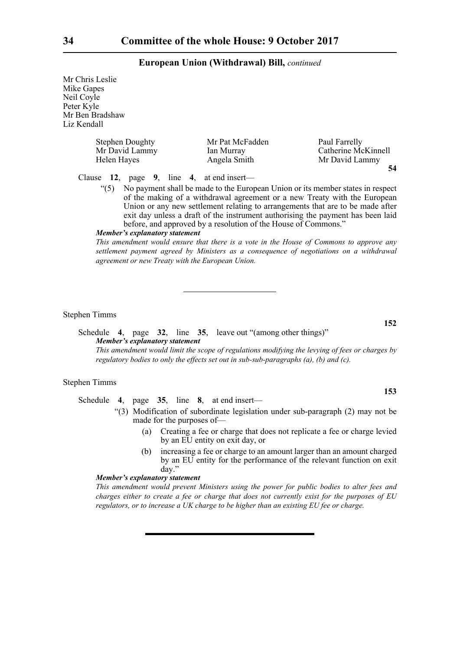Mr Chris Leslie Mike Gapes Neil Coyle Peter Kyle Mr Ben Bradshaw Liz Kendall

| Helen Hayes | <b>Stephen Doughty</b><br>Mr David Lammy |  | Mr Pat McFadden<br>Ian Murray<br>Angela Smith | Paul Farrelly<br>Catherine McKinnell<br>Mr David Lammy |
|-------------|------------------------------------------|--|-----------------------------------------------|--------------------------------------------------------|
|             |                                          |  | Clause 12, page 9, line 4, at end insert—     | 54                                                     |

"(5) No payment shall be made to the European Union or its member states in respect of the making of a withdrawal agreement or a new Treaty with the European Union or any new settlement relating to arrangements that are to be made after exit day unless a draft of the instrument authorising the payment has been laid

before, and approved by a resolution of the House of Commons."

#### *Member's explanatory statement*

*This amendment would ensure that there is a vote in the House of Commons to approve any settlement payment agreed by Ministers as a consequence of negotiations on a withdrawal agreement or new Treaty with the European Union.*

Stephen Timms

Schedule **4**, page **32**, line **35**, leave out "(among other things)" *Member's explanatory statement This amendment would limit the scope of regulations modifying the levying of fees or charges by*

*regulatory bodies to only the effects set out in sub-sub-paragraphs (a), (b) and (c).*

#### Stephen Timms

Schedule **4**, page **35**, line **8**, at end insert—

- "(3) Modification of subordinate legislation under sub-paragraph (2) may not be made for the purposes of—
	- (a) Creating a fee or charge that does not replicate a fee or charge levied by an EU entity on exit day, or
	- (b) increasing a fee or charge to an amount larger than an amount charged by an EU entity for the performance of the relevant function on exit day."

#### *Member's explanatory statement*

*This amendment would prevent Ministers using the power for public bodies to alter fees and charges either to create a fee or charge that does not currently exist for the purposes of EU regulators, or to increase a UK charge to be higher than an existing EU fee or charge.*

**152**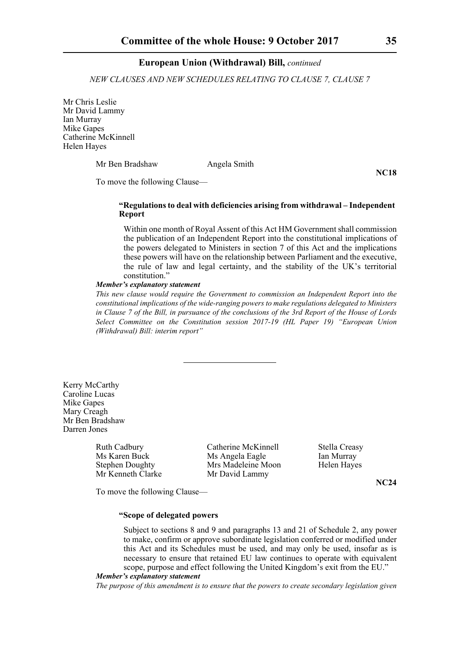*NEW CLAUSES AND NEW SCHEDULES RELATING TO CLAUSE 7, CLAUSE 7*

Mr Chris Leslie Mr David Lammy Ian Murray Mike Gapes Catherine McKinnell Helen Hayes

Mr Ben Bradshaw Angela Smith

**NC18**

To move the following Clause—

#### **"Regulations to deal with deficiencies arising from withdrawal – Independent Report**

Within one month of Royal Assent of this Act HM Government shall commission the publication of an Independent Report into the constitutional implications of the powers delegated to Ministers in section 7 of this Act and the implications these powers will have on the relationship between Parliament and the executive, the rule of law and legal certainty, and the stability of the UK's territorial constitution."

#### *Member's explanatory statement*

*This new clause would require the Government to commission an Independent Report into the constitutional implications of the wide-ranging powers to make regulations delegated to Ministers in Clause 7 of the Bill, in pursuance of the conclusions of the 3rd Report of the House of Lords Select Committee on the Constitution session 2017-19 (HL Paper 19) "European Union (Withdrawal) Bill: interim report"*

Kerry McCarthy Caroline Lucas Mike Gapes Mary Creagh Mr Ben Bradshaw Darren Jones

Mr Kenneth Clarke Mr David Lammy

Ruth Cadbury **Catherine McKinnell** Stella Creasy<br>
Ms Angela Eagle Ms Ian Murray Ms Angela Eagle Ian Murray Stephen Doughty Mrs Madeleine Moon Helen Hayes

**NC24**

To move the following Clause—

#### **"Scope of delegated powers**

Subject to sections 8 and 9 and paragraphs 13 and 21 of Schedule 2, any power to make, confirm or approve subordinate legislation conferred or modified under this Act and its Schedules must be used, and may only be used, insofar as is necessary to ensure that retained EU law continues to operate with equivalent scope, purpose and effect following the United Kingdom's exit from the EU."

#### *Member's explanatory statement*

*The purpose of this amendment is to ensure that the powers to create secondary legislation given*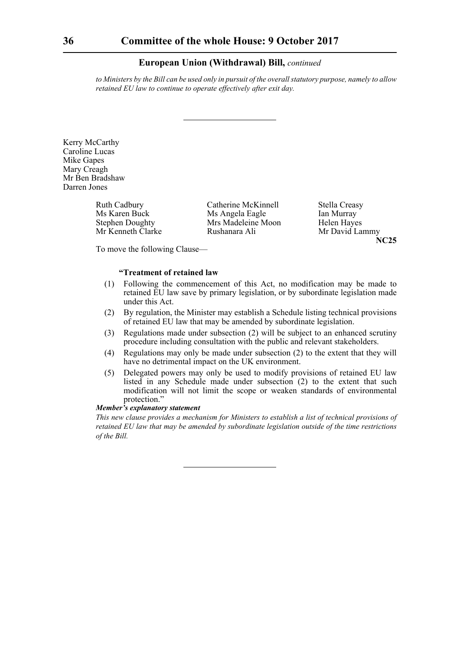*to Ministers by the Bill can be used only in pursuit of the overall statutory purpose, namely to allow retained EU law to continue to operate effectively after exit day.*

Kerry McCarthy Caroline Lucas Mike Gapes Mary Creagh Mr Ben Bradshaw Darren Jones

Ruth Cadbury Catherine McKinnell Stella Creasy<br>Ms Angela Eagle Ian Murray Ms Angela Eagle Stephen Doughty Mrs Madeleine Moon Helen Hayes Mr Kenneth Clarke Rushanara Ali Mr David Lammy

**NC25**

To move the following Clause—

#### **"Treatment of retained law**

- (1) Following the commencement of this Act, no modification may be made to retained EU law save by primary legislation, or by subordinate legislation made under this Act.
- (2) By regulation, the Minister may establish a Schedule listing technical provisions of retained EU law that may be amended by subordinate legislation.
- (3) Regulations made under subsection (2) will be subject to an enhanced scrutiny procedure including consultation with the public and relevant stakeholders.
- (4) Regulations may only be made under subsection (2) to the extent that they will have no detrimental impact on the UK environment.
- (5) Delegated powers may only be used to modify provisions of retained EU law listed in any Schedule made under subsection (2) to the extent that such modification will not limit the scope or weaken standards of environmental protection."

#### *Member's explanatory statement*

*This new clause provides a mechanism for Ministers to establish a list of technical provisions of retained EU law that may be amended by subordinate legislation outside of the time restrictions of the Bill.*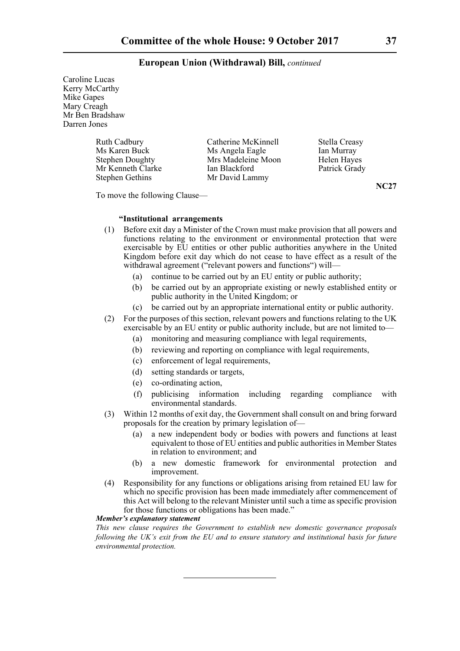Caroline Lucas Kerry McCarthy Mike Gapes Mary Creagh Mr Ben Bradshaw Darren Jones

| <b>Ruth Cadbury</b><br>Ms Karen Buck<br><b>Stephen Doughty</b><br>Mr Kenneth Clarke | Catherine McKinnell<br>Ms Angela Eagle<br>Mrs Madeleine Moon<br>Ian Blackford | Stella Creasy<br>Ian Murray<br>Helen Hayes<br>Patrick Grady |
|-------------------------------------------------------------------------------------|-------------------------------------------------------------------------------|-------------------------------------------------------------|
|                                                                                     |                                                                               |                                                             |
| <b>Stephen Gethins</b>                                                              | Mr David Lammy                                                                |                                                             |

**NC27**

To move the following Clause—

#### **"Institutional arrangements**

- (1) Before exit day a Minister of the Crown must make provision that all powers and functions relating to the environment or environmental protection that were exercisable by EU entities or other public authorities anywhere in the United Kingdom before exit day which do not cease to have effect as a result of the withdrawal agreement ("relevant powers and functions") will—
	- (a) continue to be carried out by an EU entity or public authority;
	- (b) be carried out by an appropriate existing or newly established entity or public authority in the United Kingdom; or
	- (c) be carried out by an appropriate international entity or public authority.
- (2) For the purposes of this section, relevant powers and functions relating to the UK exercisable by an EU entity or public authority include, but are not limited to—
	- (a) monitoring and measuring compliance with legal requirements,
	- (b) reviewing and reporting on compliance with legal requirements,
	- (c) enforcement of legal requirements,
	- (d) setting standards or targets,
	- (e) co-ordinating action,
	- (f) publicising information including regarding compliance with environmental standards.
- (3) Within 12 months of exit day, the Government shall consult on and bring forward proposals for the creation by primary legislation of—
	- (a) a new independent body or bodies with powers and functions at least equivalent to those of EU entities and public authorities in Member States in relation to environment; and
	- (b) a new domestic framework for environmental protection and improvement.
- (4) Responsibility for any functions or obligations arising from retained EU law for which no specific provision has been made immediately after commencement of this Act will belong to the relevant Minister until such a time as specific provision for those functions or obligations has been made."

#### *Member's explanatory statement*

*This new clause requires the Government to establish new domestic governance proposals following the UK's exit from the EU and to ensure statutory and institutional basis for future environmental protection.*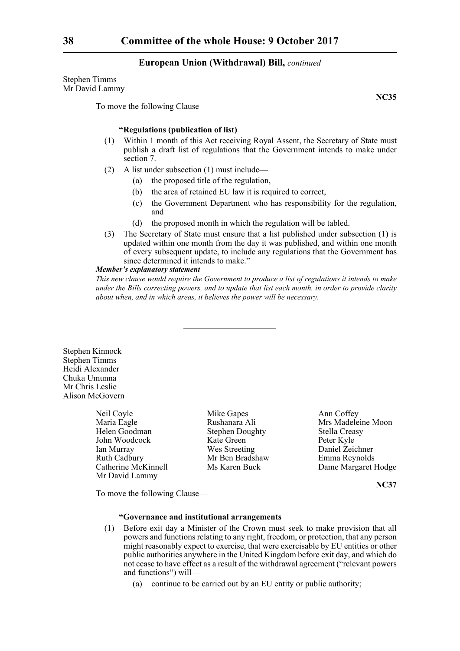Stephen Timms Mr David Lammy

To move the following Clause—

**NC35**

#### **"Regulations (publication of list)**

- (1) Within 1 month of this Act receiving Royal Assent, the Secretary of State must publish a draft list of regulations that the Government intends to make under section 7.
- (2) A list under subsection (1) must include—
	- (a) the proposed title of the regulation,
	- (b) the area of retained EU law it is required to correct,
	- (c) the Government Department who has responsibility for the regulation, and
	- (d) the proposed month in which the regulation will be tabled.
- (3) The Secretary of State must ensure that a list published under subsection (1) is updated within one month from the day it was published, and within one month of every subsequent update, to include any regulations that the Government has since determined it intends to make."

#### *Member's explanatory statement*

*This new clause would require the Government to produce a list of regulations it intends to make under the Bills correcting powers, and to update that list each month, in order to provide clarity about when, and in which areas, it believes the power will be necessary.*

Stephen Kinnock Stephen Timms Heidi Alexander Chuka Umunna Mr Chris Leslie Alison McGovern

> Neil Coyle Mike Gapes Ann Coffey Maria Eagle Rushanara Ali Mrs Madeleine Moon Helen Goodman Stephen Doughty Stella Creasy John Woodcock Kate Green Peter Kyle Ian Murray Wes Streeting Daniel Zeichner Ruth Cadbury Mr Ben Bradshaw Emma Reynolds<br>
> Catherine McKinnell Ms Karen Buck Dame Margaret Mr David Lammy

Ms Karen Buck Dame Margaret Hodge

**NC37**

To move the following Clause—

### **"Governance and institutional arrangements**

- (1) Before exit day a Minister of the Crown must seek to make provision that all powers and functions relating to any right, freedom, or protection, that any person might reasonably expect to exercise, that were exercisable by EU entities or other public authorities anywhere in the United Kingdom before exit day, and which do not cease to have effect as a result of the withdrawal agreement ("relevant powers and functions") will—
	- (a) continue to be carried out by an EU entity or public authority;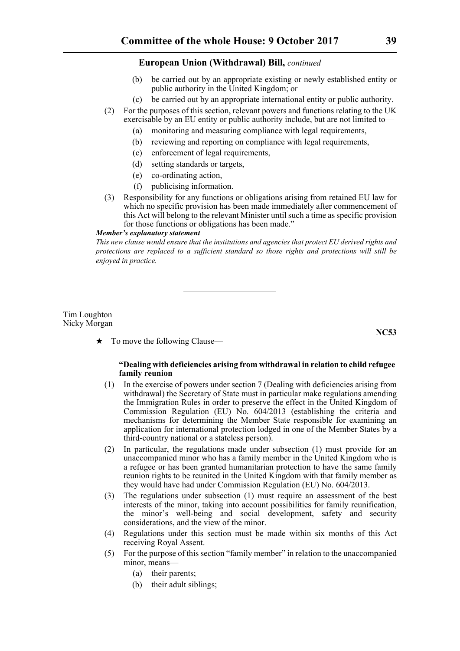- (b) be carried out by an appropriate existing or newly established entity or public authority in the United Kingdom; or
- (c) be carried out by an appropriate international entity or public authority.
- (2) For the purposes of this section, relevant powers and functions relating to the UK exercisable by an EU entity or public authority include, but are not limited to—
	- (a) monitoring and measuring compliance with legal requirements,
	- (b) reviewing and reporting on compliance with legal requirements,
	- (c) enforcement of legal requirements,
	- (d) setting standards or targets,
	- (e) co-ordinating action,
	- (f) publicising information.
- (3) Responsibility for any functions or obligations arising from retained EU law for which no specific provision has been made immediately after commencement of this Act will belong to the relevant Minister until such a time as specific provision for those functions or obligations has been made."

#### *Member's explanatory statement*

*This new clause would ensure that the institutions and agencies that protect EU derived rights and protections are replaced to a sufficient standard so those rights and protections will still be enjoyed in practice.*

#### Tim Loughton Nicky Morgan

**NC53**

 $\star$  To move the following Clause—

#### **"Dealing with deficiencies arising from withdrawal in relation to child refugee family reunion**

- (1) In the exercise of powers under section 7 (Dealing with deficiencies arising from withdrawal) the Secretary of State must in particular make regulations amending the Immigration Rules in order to preserve the effect in the United Kingdom of Commission Regulation (EU) No. 604/2013 (establishing the criteria and mechanisms for determining the Member State responsible for examining an application for international protection lodged in one of the Member States by a third-country national or a stateless person).
- (2) In particular, the regulations made under subsection (1) must provide for an unaccompanied minor who has a family member in the United Kingdom who is a refugee or has been granted humanitarian protection to have the same family reunion rights to be reunited in the United Kingdom with that family member as they would have had under Commission Regulation (EU) No. 604/2013.
- (3) The regulations under subsection (1) must require an assessment of the best interests of the minor, taking into account possibilities for family reunification, the minor's well-being and social development, safety and security considerations, and the view of the minor.
- (4) Regulations under this section must be made within six months of this Act receiving Royal Assent.
- (5) For the purpose of this section "family member" in relation to the unaccompanied minor, means—
	- (a) their parents;
	- (b) their adult siblings;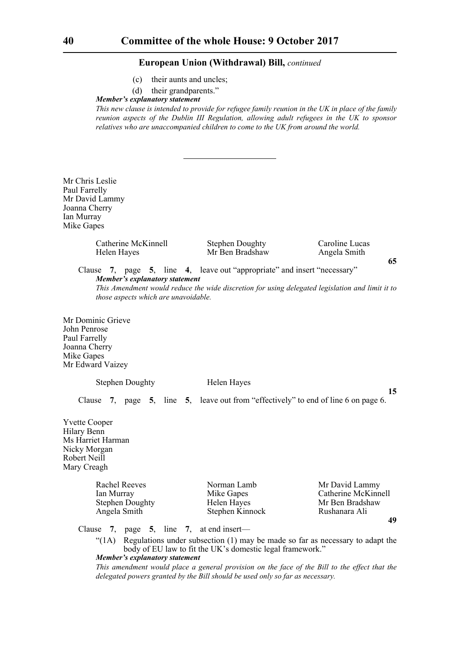- (c) their aunts and uncles;
- (d) their grandparents."

*Member's explanatory statement* 

*This new clause is intended to provide for refugee family reunion in the UK in place of the family reunion aspects of the Dublin III Regulation, allowing adult refugees in the UK to sponsor relatives who are unaccompanied children to come to the UK from around the world.*

Mr Chris Leslie Paul Farrelly Mr David Lammy Joanna Cherry Ian Murray Mike Gapes

> Catherine McKinnell Stephen Doughty Caroline Lucas Helen Hayes Mr Ben Bradshaw Angela Smith

Clause **7**, page **5**, line **4**, leave out "appropriate" and insert "necessary" *Member's explanatory statement This Amendment would reduce the wide discretion for using delegated legislation and limit it to*

*those aspects which are unavoidable.*

Mr Dominic Grieve John Penrose Paul Farrelly Joanna Cherry Mike Gapes Mr Edward Vaizey

Stephen Doughty Helen Hayes

**15**

**65**

Clause **7**, page **5**, line **5**, leave out from "effectively" to end of line 6 on page 6.

Yvette Cooper Hilary Benn Ms Harriet Harman Nicky Morgan Robert Neill Mary Creagh

> Stephen Doughty Angela Smith Stephen Kinnock Rushanara Ali

Rachel Reeves Norman Lamb Mr David Lammy Ian Murray Mike Gapes Catherine McKinnell<br>Stephen Doughty Helen Hayes Mr Ben Bradshaw **49**

Clause **7**, page **5**, line **7**, at end insert—

 $\text{``(1A)}$  Regulations under subsection (1) may be made so far as necessary to adapt the body of EU law to fit the UK's domestic legal framework."

*Member's explanatory statement* 

*This amendment would place a general provision on the face of the Bill to the effect that the delegated powers granted by the Bill should be used only so far as necessary.*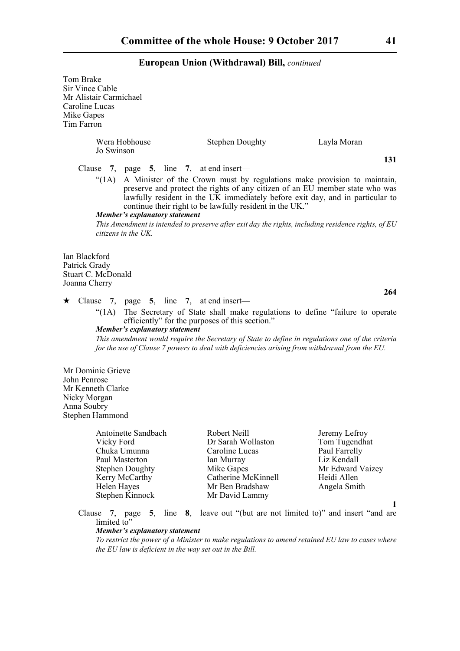| Tom Brake<br>Sir Vince Cable<br>Mr Alistair Carmichael<br>Caroline Lucas<br>Mike Gapes<br>Tim Farron     |                           |                                                                                                                      |                                                                                                                                                  |                                                                                                                                                                                                                                                |
|----------------------------------------------------------------------------------------------------------|---------------------------|----------------------------------------------------------------------------------------------------------------------|--------------------------------------------------------------------------------------------------------------------------------------------------|------------------------------------------------------------------------------------------------------------------------------------------------------------------------------------------------------------------------------------------------|
|                                                                                                          | Jo Swinson                | Wera Hobhouse                                                                                                        | <b>Stephen Doughty</b>                                                                                                                           | Layla Moran                                                                                                                                                                                                                                    |
| Clause                                                                                                   |                           | 7, page 5, line 7, at end insert—                                                                                    |                                                                                                                                                  | 131                                                                                                                                                                                                                                            |
|                                                                                                          |                           | Member's explanatory statement                                                                                       | continue their right to be lawfully resident in the UK."                                                                                         | "(1A) A Minister of the Crown must by regulations make provision to maintain,<br>preserve and protect the rights of any citizen of an EU member state who was<br>lawfully resident in the UK immediately before exit day, and in particular to |
|                                                                                                          |                           | $citizens$ in the $UK$ .                                                                                             |                                                                                                                                                  | This Amendment is intended to preserve after exit day the rights, including residence rights, of EU                                                                                                                                            |
| Ian Blackford<br>Patrick Grady<br>Stuart C. McDonald<br>Joanna Cherry                                    |                           |                                                                                                                      |                                                                                                                                                  |                                                                                                                                                                                                                                                |
|                                                                                                          |                           |                                                                                                                      |                                                                                                                                                  | 264                                                                                                                                                                                                                                            |
|                                                                                                          | " $(1A)$                  | $\star$ Clause 7, page 5, line 7, at end insert—<br>Member's explanatory statement                                   | efficiently" for the purposes of this section."<br>for the use of Clause 7 powers to deal with deficiencies arising from withdrawal from the EU. | The Secretary of State shall make regulations to define "failure to operate<br>This amendment would require the Secretary of State to define in regulations one of the criteria                                                                |
| Mr Dominic Grieve<br>John Penrose<br>Mr Kenneth Clarke<br>Nicky Morgan<br>Anna Soubry<br>Stephen Hammond |                           |                                                                                                                      |                                                                                                                                                  |                                                                                                                                                                                                                                                |
|                                                                                                          | Vicky Ford<br>Helen Hayes | Antoinette Sandbach<br>Chuka Umunna<br>Paul Masterton<br><b>Stephen Doughty</b><br>Kerry McCarthy<br>Stephen Kinnock | Robert Neill<br>Dr Sarah Wollaston<br>Caroline Lucas<br>Ian Murray<br>Mike Gapes<br>Catherine McKinnell<br>Mr Ben Bradshaw<br>Mr David Lammy     | Jeremy Lefroy<br>Tom Tugendhat<br>Paul Farrelly<br>Liz Kendall<br>Mr Edward Vaizey<br>Heidi Allen<br>Angela Smith                                                                                                                              |
| Clause                                                                                                   | limited to"               | 5,<br>7, page<br>Member's explanatory statement<br>the EU law is deficient in the way set out in the Bill.           |                                                                                                                                                  | line 8, leave out "(but are not limited to)" and insert "and are<br>To restrict the power of a Minister to make regulations to amend retained EU law to cases where                                                                            |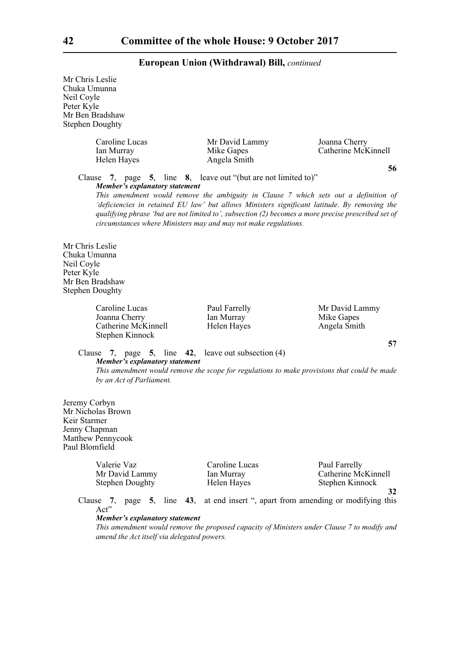Mr Chris Leslie Chuka Umunna Neil Coyle Peter Kyle Mr Ben Bradshaw Stephen Doughty Caroline Lucas Mr David Lammy Joanna Cherry<br>
Ian Murray Mike Gapes Catherine McK Mike Gapes Catherine McKinnell Helen Hayes Angela Smith **56** Clause **7**, page **5**, line **8**, leave out "(but are not limited to)" *Member's explanatory statement This amendment would remove the ambiguity in Clause 7 which sets out a definition of 'deficiencies in retained EU law' but allows Ministers significant latitude. By removing the qualifying phrase 'but are not limited to', subsection (2) becomes a more precise prescribed set of circumstances where Ministers may and may not make regulations.* Mr Chris Leslie Chuka Umunna Neil Coyle Peter Kyle Mr Ben Bradshaw Stephen Doughty Caroline Lucas **Paul Farrelly** Mr David Lammy Joanna Cherry Ian Murray Ian Murray Mike Gapes Catherine McKinnell Helen Hayes Angela Smith Stephen Kinnock **57** Clause **7**, page **5**, line **42**, leave out subsection (4) *Member's explanatory statement This amendment would remove the scope for regulations to make provisions that could be made by an Act of Parliament.*  Jeremy Corbyn Mr Nicholas Brown Keir Starmer Jenny Chapman Matthew Pennycook Paul Blomfield Valerie Vaz Caroline Lucas Paul Farrelly Mr David Lammy Ian Murray Catherine McKinnell Stephen Doughty **Helen Hayes** Stephen Kinnock **32** Clause **7**, page **5**, line **43**, at end insert ", apart from amending or modifying this Act" *Member's explanatory statement This amendment would remove the proposed capacity of Ministers under Clause 7 to modify and*

*amend the Act itself via delegated powers.*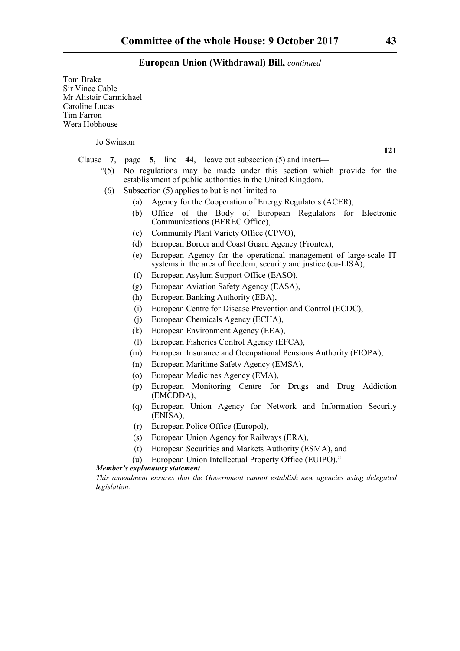Tom Brake Sir Vince Cable Mr Alistair Carmichael Caroline Lucas Tim Farron Wera Hobhouse

Jo Swinson

**121**

- Clause **7**, page **5**, line **44**, leave out subsection (5) and insert—
	- "(5) No regulations may be made under this section which provide for the establishment of public authorities in the United Kingdom.
		- (6) Subsection (5) applies to but is not limited to—
			- (a) Agency for the Cooperation of Energy Regulators (ACER),
			- (b) Office of the Body of European Regulators for Electronic Communications (BEREC Office),
			- (c) Community Plant Variety Office (CPVO),
			- (d) European Border and Coast Guard Agency (Frontex),
			- (e) European Agency for the operational management of large-scale IT systems in the area of freedom, security and justice (eu-LISA),
			- (f) European Asylum Support Office (EASO),
			- (g) European Aviation Safety Agency (EASA),
			- (h) European Banking Authority (EBA),
			- (i) European Centre for Disease Prevention and Control (ECDC),
			- (j) European Chemicals Agency (ECHA),
			- (k) European Environment Agency (EEA),
			- (l) European Fisheries Control Agency (EFCA),
			- (m) European Insurance and Occupational Pensions Authority (EIOPA),
			- (n) European Maritime Safety Agency (EMSA),
			- (o) European Medicines Agency (EMA),
			- (p) European Monitoring Centre for Drugs and Drug Addiction (EMCDDA),
			- (q) European Union Agency for Network and Information Security (ENISA),
			- (r) European Police Office (Europol),
			- (s) European Union Agency for Railways (ERA),
			- (t) European Securities and Markets Authority (ESMA), and
			- (u) European Union Intellectual Property Office (EUIPO)."

#### *Member's explanatory statement*

*This amendment ensures that the Government cannot establish new agencies using delegated legislation.*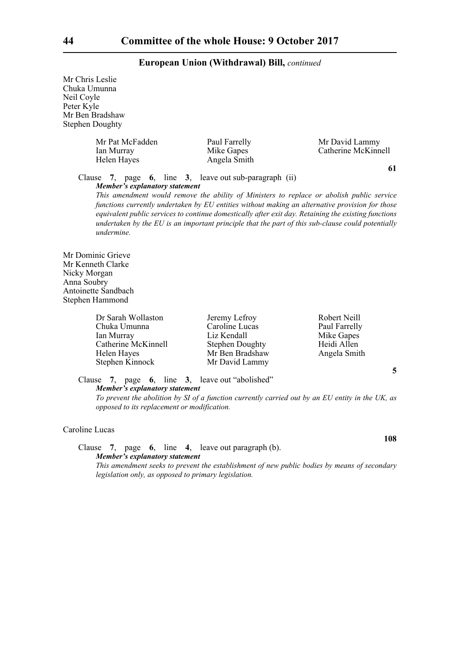Mr Chris Leslie Chuka Umunna Neil Coyle Peter Kyle Mr Ben Bradshaw Stephen Doughty

| Mr Pat McFadden<br>Ian Murray<br>Helen Hayes | Paul Farrelly<br>Mike Gapes<br>Angela Smith | Mr David Lammy<br>Catherine McKinnell |
|----------------------------------------------|---------------------------------------------|---------------------------------------|
|----------------------------------------------|---------------------------------------------|---------------------------------------|

**61**

#### Clause **7**, page **6**, line **3**, leave out sub-paragraph (ii) *Member's explanatory statement*

*This amendment would remove the ability of Ministers to replace or abolish public service functions currently undertaken by EU entities without making an alternative provision for those equivalent public services to continue domestically after exit day. Retaining the existing functions undertaken by the EU is an important principle that the part of this sub-clause could potentially*

Mr Dominic Grieve Mr Kenneth Clarke Nicky Morgan Anna Soubry Antoinette Sandbach Stephen Hammond

*undermine.*

Dr Sarah Wollaston Jeremy Lefroy Robert Neill<br>
Chuka Umunna Caroline Lucas Paul Farrelly Chuka Umunna<br>Ian Murray Catherine McKinnell Stephen Doughty Heidi Allen Helen Hayes Mr Ben Bradshaw Angela Smith Stephen Kinnock Mr David Lammy

Liz Kendall Mike Gapes

**5**

**108**

Clause **7**, page **6**, line **3**, leave out "abolished" *Member's explanatory statement* 

*To prevent the abolition by SI of a function currently carried out by an EU entity in the UK, as opposed to its replacement or modification.*

#### Caroline Lucas

Clause **7**, page **6**, line **4**, leave out paragraph (b). *Member's explanatory statement This amendment seeks to prevent the establishment of new public bodies by means of secondary legislation only, as opposed to primary legislation.*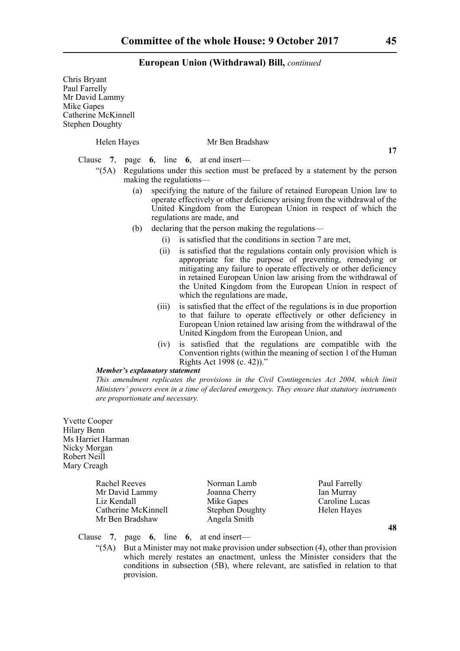| Chris Bryant<br>Paul Farrelly<br>Mr David Lammy<br>Mike Gapes<br><b>Catherine McKinnell</b><br><b>Stephen Doughty</b> |                                                                                                                                                                                                                                                                                                                                                                           |
|-----------------------------------------------------------------------------------------------------------------------|---------------------------------------------------------------------------------------------------------------------------------------------------------------------------------------------------------------------------------------------------------------------------------------------------------------------------------------------------------------------------|
| Helen Hayes                                                                                                           | Mr Ben Bradshaw                                                                                                                                                                                                                                                                                                                                                           |
|                                                                                                                       | 17<br>Clause 7, page 6, line 6, at end insert—                                                                                                                                                                                                                                                                                                                            |
| (5A)                                                                                                                  | Regulations under this section must be prefaced by a statement by the person<br>making the regulations—                                                                                                                                                                                                                                                                   |
|                                                                                                                       | specifying the nature of the failure of retained European Union law to<br>(a)<br>operate effectively or other deficiency arising from the withdrawal of the<br>United Kingdom from the European Union in respect of which the<br>regulations are made, and                                                                                                                |
|                                                                                                                       | declaring that the person making the regulations—<br>(b)                                                                                                                                                                                                                                                                                                                  |
|                                                                                                                       | is satisfied that the conditions in section 7 are met,<br>(i)                                                                                                                                                                                                                                                                                                             |
|                                                                                                                       | is satisfied that the regulations contain only provision which is<br>(ii)<br>appropriate for the purpose of preventing, remedying or<br>mitigating any failure to operate effectively or other deficiency<br>in retained European Union law arising from the withdrawal of<br>the United Kingdom from the European Union in respect of<br>which the regulations are made, |
|                                                                                                                       | is satisfied that the effect of the regulations is in due proportion<br>(iii)<br>to that failure to operate effectively or other deficiency in<br>European Union retained law arising from the withdrawal of the<br>United Kingdom from the European Union, and                                                                                                           |
|                                                                                                                       | is satisfied that the regulations are compatible with the<br>(iv)<br>Convention rights (within the meaning of section 1 of the Human<br>Rights Act 1998 (c. 42))."                                                                                                                                                                                                        |
|                                                                                                                       | <b>Member's explanatory statement</b>                                                                                                                                                                                                                                                                                                                                     |
|                                                                                                                       | This amendment replicates the provisions in the Civil Contingencies Act 2004, which limit                                                                                                                                                                                                                                                                                 |
|                                                                                                                       | Ministers' powers even in a time of declared emergency. They ensure that statutory instruments<br>are proportionate and necessary.                                                                                                                                                                                                                                        |
| <b>Yvette Cooper</b><br>Hilary Benn<br>Me Harriet Harman                                                              |                                                                                                                                                                                                                                                                                                                                                                           |

Hilary Benn Ms Harriet Harman Nicky Morgan Robert Neill Mary Creagh

| Norman Lamb<br>Joanna Cherry<br>Mike Gapes<br><b>Stephen Doughty</b> |              |
|----------------------------------------------------------------------|--------------|
|                                                                      |              |
|                                                                      | Angela Smith |

Paul Farrelly an Murray Caroline Lucas Helen Hayes

**48**

Clause **7**, page **6**, line **6**, at end insert—

"(5A) But a Minister may not make provision under subsection (4), other than provision which merely restates an enactment, unless the Minister considers that the conditions in subsection (5B), where relevant, are satisfied in relation to that provision.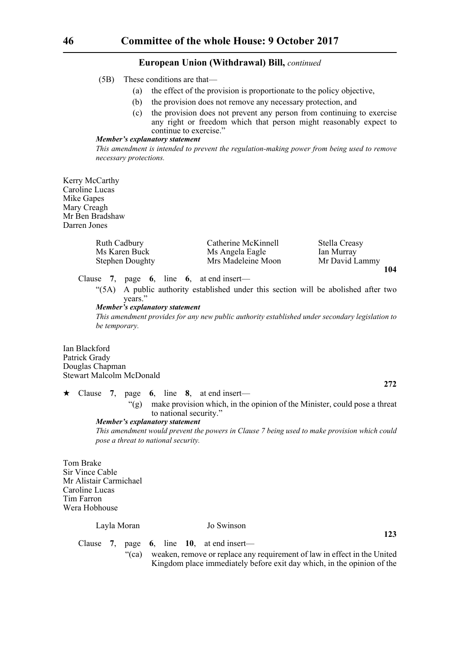- (5B) These conditions are that—
	- (a) the effect of the provision is proportionate to the policy objective,
	- (b) the provision does not remove any necessary protection, and
	- (c) the provision does not prevent any person from continuing to exercise any right or freedom which that person might reasonably expect to continue to exercise."

#### *Member's explanatory statement*

*This amendment is intended to prevent the regulation-making power from being used to remove necessary protections.* 

Kerry McCarthy Caroline Lucas Mike Gapes Mary Creagh Mr Ben Bradshaw Darren Jones

| <b>Ruth Cadbury</b>    | Catherine McKinnell | Stella Creasy  |
|------------------------|---------------------|----------------|
| Ms Karen Buck          | Ms Angela Eagle     | Ian Murray     |
| <b>Stephen Doughty</b> | Mrs Madeleine Moon  | Mr David Lammy |
|                        |                     | 104            |

Clause **7**, page **6**, line **6**, at end insert—

"(5A) A public authority established under this section will be abolished after two years."

#### *Member's explanatory statement*

*This amendment provides for any new public authority established under secondary legislation to be temporary.*

Ian Blackford Patrick Grady Douglas Chapman Stewart Malcolm McDonald

 Clause **7**, page **6**, line **8**, at end insert— "(g) make provision which, in the opinion of the Minister, could pose a threat to national security." *Member's explanatory statement* 

*This amendment would prevent the powers in Clause 7 being used to make provision which could pose a threat to national security.*

**272**

**123**

Tom Brake Sir Vince Cable Mr Alistair Carmichael Caroline Lucas Tim Farron Wera Hobhouse

#### Layla Moran Jo Swinson

Clause **7**, page **6**, line **10**, at end insert—

"(ca) weaken, remove or replace any requirement of law in effect in the United Kingdom place immediately before exit day which, in the opinion of the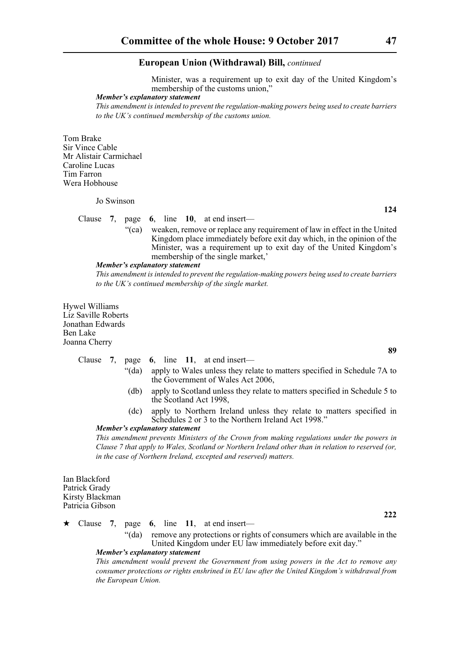Minister, was a requirement up to exit day of the United Kingdom's membership of the customs union,"

#### *Member's explanatory statement*

*This amendment is intended to prevent the regulation-making powers being used to create barriers to the UK's continued membership of the customs union.*

Tom Brake Sir Vince Cable Mr Alistair Carmichael Caroline Lucas Tim Farron Wera Hobhouse

Jo Swinson

#### Clause **7**, page **6**, line **10**, at end insert—

"(ca) weaken, remove or replace any requirement of law in effect in the United Kingdom place immediately before exit day which, in the opinion of the Minister, was a requirement up to exit day of the United Kingdom's membership of the single market,'

#### *Member's explanatory statement*

*This amendment is intended to prevent the regulation-making powers being used to create barriers to the UK's continued membership of the single market.*

Hywel Williams Liz Saville Roberts Jonathan Edwards Ben Lake Joanna Cherry

|  |          |  | Clause 7, page 6, line 11, at end insert—                                  |
|--|----------|--|----------------------------------------------------------------------------|
|  | " $(da)$ |  | apply to Wales unless they relate to matters specified in Schedule 7A to   |
|  |          |  | the Government of Wales Act 2006,                                          |
|  |          |  | apply to Scotland unless they relate to matters specified in Schedule 5 to |

- (db) apply to Scotland unless they relate to matters specified in Schedule 5 to the Scotland Act 1998,
- (dc) apply to Northern Ireland unless they relate to matters specified in Schedules 2 or 3 to the Northern Ireland Act 1998."

### *Member's explanatory statement*

*This amendment prevents Ministers of the Crown from making regulations under the powers in Clause 7 that apply to Wales, Scotland or Northern Ireland other than in relation to reserved (or, in the case of Northern Ireland, excepted and reserved) matters.*

Ian Blackford Patrick Grady Kirsty Blackman Patricia Gibson

Clause **7**, page **6**, line **11**, at end insert—

"(da) remove any protections or rights of consumers which are available in the United Kingdom under EU law immediately before exit day." *Member's explanatory statement* 

*This amendment would prevent the Government from using powers in the Act to remove any consumer protections or rights enshrined in EU law after the United Kingdom's withdrawal from the European Union.*

**89**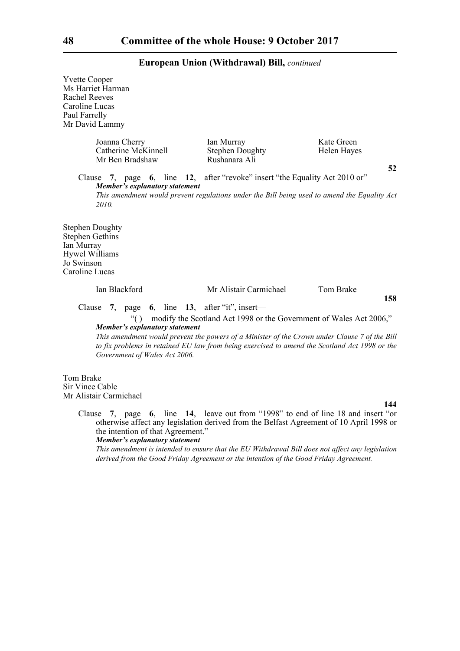Yvette Cooper Ms Harriet Harman Rachel Reeves Caroline Lucas Paul Farrelly Mr David Lammy Joanna Cherry Ian Murray Kate Green Catherine McKinnell Stephen Doughty Helen Hayes Mr Ben Bradshaw Rushanara Ali Clause **7**, page **6**, line **12**, after "revoke" insert "the Equality Act 2010 or" *Member's explanatory statement This amendment would prevent regulations under the Bill being used to amend the Equality Act 2010.* Stephen Doughty Stephen Gethins Ian Murray Hywel Williams Jo Swinson Caroline Lucas Ian Blackford Mr Alistair Carmichael Tom Brake **158** Clause **7**, page **6**, line **13**, after "it", insert— "( ) modify the Scotland Act 1998 or the Government of Wales Act 2006," *Member's explanatory statement This amendment would prevent the powers of a Minister of the Crown under Clause 7 of the Bill to fix problems in retained EU law from being exercised to amend the Scotland Act 1998 or the Government of Wales Act 2006.*  Tom Brake Sir Vince Cable Mr Alistair Carmichael **144** Clause **7**, page **6**, line **14**, leave out from "1998" to end of line 18 and insert "or otherwise affect any legislation derived from the Belfast Agreement of 10 April 1998 or the intention of that Agreement."

*Member's explanatory statement* 

*This amendment is intended to ensure that the EU Withdrawal Bill does not affect any legislation derived from the Good Friday Agreement or the intention of the Good Friday Agreement.*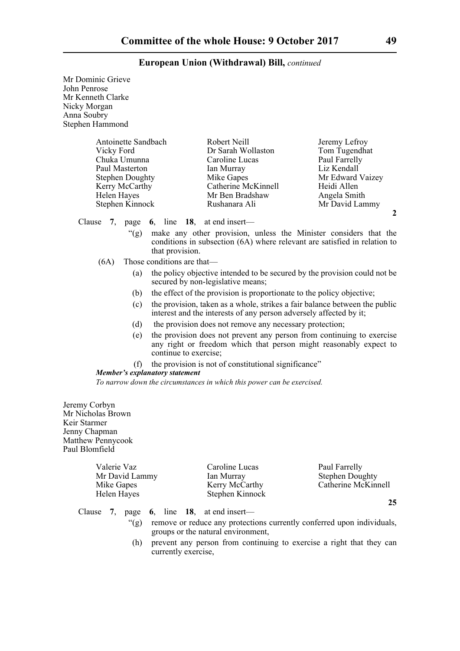| Mr Dominic Grieve<br>John Penrose<br>Mr Kenneth Clarke<br>Nicky Morgan<br>Anna Soubry<br>Stephen Hammond                                          |                                       |                                                                                                                                                  |                                                                                                                                                         |
|---------------------------------------------------------------------------------------------------------------------------------------------------|---------------------------------------|--------------------------------------------------------------------------------------------------------------------------------------------------|---------------------------------------------------------------------------------------------------------------------------------------------------------|
| Antoinette Sandbach<br>Vicky Ford<br>Chuka Umunna<br>Paul Masterton<br><b>Stephen Doughty</b><br>Kerry McCarthy<br>Helen Hayes<br>Stephen Kinnock |                                       | Robert Neill<br>Dr Sarah Wollaston<br>Caroline Lucas<br>Ian Murray<br>Mike Gapes<br>Catherine McKinnell<br>Mr Ben Bradshaw<br>Rushanara Ali      | Jeremy Lefroy<br>Tom Tugendhat<br>Paul Farrelly<br>Liz Kendall<br>Mr Edward Vaizey<br>Heidi Allen<br>Angela Smith<br>Mr David Lammy<br>$\boldsymbol{2}$ |
| Clause<br>7.<br>page                                                                                                                              |                                       | 6, line $18$ , at end insert—                                                                                                                    |                                                                                                                                                         |
| $\lq(2)$                                                                                                                                          | that provision.                       | make any other provision, unless the Minister considers that the<br>conditions in subsection (6A) where relevant are satisfied in relation to    |                                                                                                                                                         |
| (6A)                                                                                                                                              | Those conditions are that-            |                                                                                                                                                  |                                                                                                                                                         |
| (a)                                                                                                                                               |                                       | the policy objective intended to be secured by the provision could not be<br>secured by non-legislative means;                                   |                                                                                                                                                         |
| (b)                                                                                                                                               |                                       | the effect of the provision is proportionate to the policy objective;                                                                            |                                                                                                                                                         |
| (c)                                                                                                                                               |                                       | the provision, taken as a whole, strikes a fair balance between the public<br>interest and the interests of any person adversely affected by it; |                                                                                                                                                         |
| (d)                                                                                                                                               |                                       | the provision does not remove any necessary protection;                                                                                          |                                                                                                                                                         |
| (e)                                                                                                                                               | continue to exercise;                 | the provision does not prevent any person from continuing to exercise<br>any right or freedom which that person might reasonably expect to       |                                                                                                                                                         |
| (f)                                                                                                                                               | <b>Member's explanatory statement</b> | the provision is not of constitutional significance"                                                                                             |                                                                                                                                                         |
|                                                                                                                                                   |                                       | To narrow down the circumstances in which this power can be exercised.                                                                           |                                                                                                                                                         |
| Jeremy Corbyn<br>Mr Nicholas Brown<br>Keir Starmer<br>Jenny Chapman                                                                               |                                       |                                                                                                                                                  |                                                                                                                                                         |

Matthew Pennycook Paul Blomfield

| Valerie Vaz    | Caroline Lucas  | Paul Farrelly          |
|----------------|-----------------|------------------------|
| Mr David Lammy | Ian Murray      | <b>Stephen Doughty</b> |
| Mike Gapes     | Kerry McCarthy  | Catherine McKinnell    |
| Helen Hayes    | Stephen Kinnock |                        |
|                |                 |                        |

- Clause **7**, page **6**, line **18**, at end insert—
	- "(g) remove or reduce any protections currently conferred upon individuals, groups or the natural environment,
	- (h) prevent any person from continuing to exercise a right that they can currently exercise,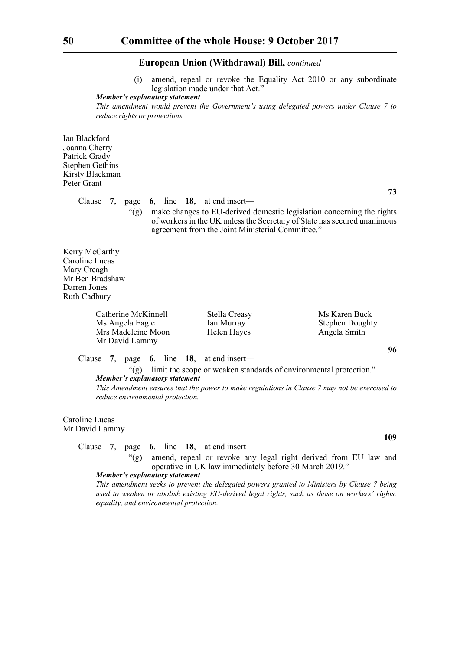(i) amend, repeal or revoke the Equality Act 2010 or any subordinate legislation made under that Act."

*Member's explanatory statement* 

*This amendment would prevent the Government's using delegated powers under Clause 7 to reduce rights or protections.*

Ian Blackford Joanna Cherry Patrick Grady Stephen Gethins Kirsty Blackman Peter Grant

Clause **7**, page **6**, line **18**, at end insert—

**73**

"(g) make changes to EU-derived domestic legislation concerning the rights of workers in the UK unless the Secretary of State has secured unanimous agreement from the Joint Ministerial Committee."

Kerry McCarthy Caroline Lucas Mary Creagh Mr Ben Bradshaw Darren Jones Ruth Cadbury

> Catherine McKinnell Stella Creasy Ms Karen Buck Ms Angela Eagle Ian Murray Stephen Doughty Mrs Madeleine Moon Helen Hayes Angela Smith Mr David Lammy

**96**

Clause **7**, page **6**, line **18**, at end insert—

"(g) limit the scope or weaken standards of environmental protection." *Member's explanatory statement* 

*This Amendment ensures that the power to make regulations in Clause 7 may not be exercised to reduce environmental protection.*

Caroline Lucas Mr David Lammy

Clause **7**, page **6**, line **18**, at end insert—

"(g) amend, repeal or revoke any legal right derived from EU law and operative in UK law immediately before 30 March 2019."

#### *Member's explanatory statement*

*This amendment seeks to prevent the delegated powers granted to Ministers by Clause 7 being used to weaken or abolish existing EU-derived legal rights, such as those on workers' rights, equality, and environmental protection.*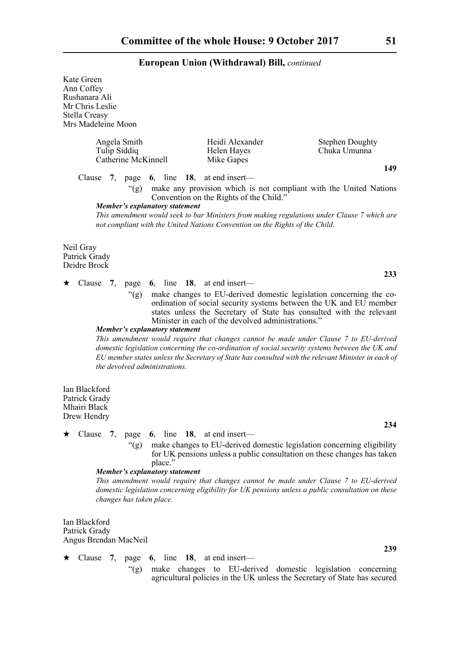Kate Green Ann Coffey Rushanara Ali Mr Chris Leslie Stella Creasy Mrs Madeleine Moon Angela Smith Heidi Alexander Stephen Doughty<br>Tulip Siddiq Helen Hayes Chuka Umunna Helen Hayes Chuka Umunna Catherine McKinnell Mike Gapes **149** Clause **7**, page **6**, line **18**, at end insert— "(g) make any provision which is not compliant with the United Nations Convention on the Rights of the Child." *Member's explanatory statement This amendment would seek to bar Ministers from making regulations under Clause 7 which are not compliant with the United Nations Convention on the Rights of the Child.* Neil Gray Patrick Grady Deidre Brock **233**  $\star$  Clause 7, page 6, line 18, at end insert— "(g) make changes to EU-derived domestic legislation concerning the coordination of social security systems between the UK and EU member states unless the Secretary of State has consulted with the relevant Minister in each of the devolved administrations." *Member's explanatory statement This amendment would require that changes cannot be made under Clause 7 to EU-derived domestic legislation concerning the co-ordination of social security systems between the UK and EU member states unless the Secretary of State has consulted with the relevant Minister in each of the devolved administrations.* Ian Blackford Patrick Grady Mhairi Black Drew Hendry **234** Clause **7**, page **6**, line **18**, at end insert— "(g) make changes to EU-derived domestic legislation concerning eligibility for UK pensions unless a public consultation on these changes has taken place." *Member's explanatory statement This amendment would require that changes cannot be made under Clause 7 to EU-derived domestic legislation concerning eligibility for UK pensions unless a public consultation on these changes has taken place.* Ian Blackford Patrick Grady Angus Brendan MacNeil **239** Clause **7**, page **6**, line **18**, at end insert— "(g) make changes to EU-derived domestic legislation concerning

agricultural policies in the UK unless the Secretary of State has secured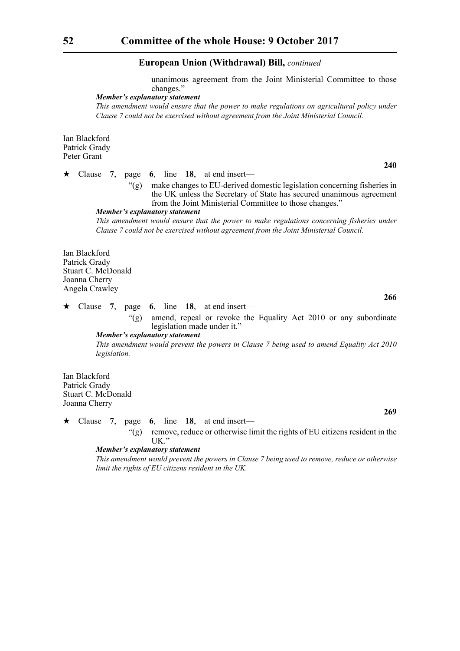unanimous agreement from the Joint Ministerial Committee to those changes."

#### *Member's explanatory statement*

*This amendment would ensure that the power to make regulations on agricultural policy under Clause 7 could not be exercised without agreement from the Joint Ministerial Council.*

Ian Blackford Patrick Grady Peter Grant

 $\star$  Clause 7, page 6, line 18, at end insert—

"(g) make changes to EU-derived domestic legislation concerning fisheries in the UK unless the Secretary of State has secured unanimous agreement from the Joint Ministerial Committee to those changes."

*Member's explanatory statement* 

*This amendment would ensure that the power to make regulations concerning fisheries under Clause 7 could not be exercised without agreement from the Joint Ministerial Council.*

Ian Blackford Patrick Grady Stuart C. McDonald Joanna Cherry Angela Crawley

Clause **7**, page **6**, line **18**, at end insert—

"(g) amend, repeal or revoke the Equality Act 2010 or any subordinate legislation made under it."

*Member's explanatory statement* 

*This amendment would prevent the powers in Clause 7 being used to amend Equality Act 2010 legislation.*

Ian Blackford Patrick Grady Stuart C. McDonald Joanna Cherry

 $\star$  Clause 7, page 6, line 18, at end insert— "(g) remove, reduce or otherwise limit the rights of EU citizens resident in the

UK."

#### *Member's explanatory statement*

*This amendment would prevent the powers in Clause 7 being used to remove, reduce or otherwise limit the rights of EU citizens resident in the UK.*

**240**

**266**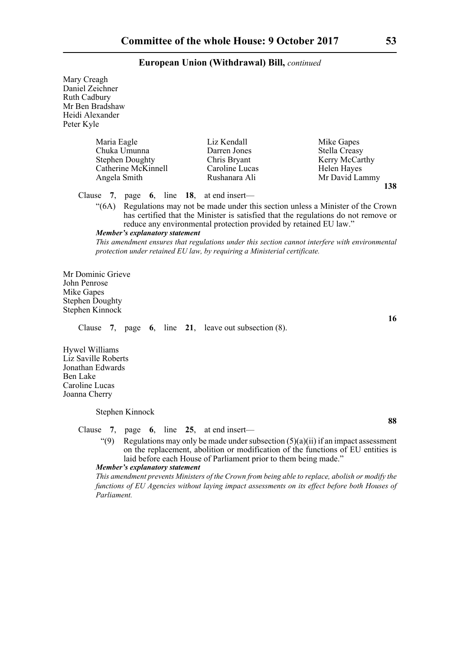Mary Creagh Daniel Zeichner Ruth Cadbury Mr Ben Bradshaw Heidi Alexander Peter Kyle Maria Eagle Liz Kendall Mike Gapes<br>
Chuka Umunna Darren Jones Stella Creasy Chuka Umunna Stephen Doughty<br>
Catherine McKinnell<br>
Caroline Lucas<br>
Helen Haves Catherine McKinnell Angela Smith **Rushanara Ali** Mr David Lammy **138** Clause **7**, page **6**, line **18**, at end insert— "(6A) Regulations may not be made under this section unless a Minister of the Crown has certified that the Minister is satisfied that the regulations do not remove or reduce any environmental protection provided by retained EU law." *Member's explanatory statement This amendment ensures that regulations under this section cannot interfere with environmental protection under retained EU law, by requiring a Ministerial certificate.* Mr Dominic Grieve John Penrose Mike Gapes Stephen Doughty Stephen Kinnock **16** Clause **7**, page **6**, line **21**, leave out subsection (8). Hywel Williams Liz Saville Roberts Jonathan Edwards Ben Lake Caroline Lucas Joanna Cherry Stephen Kinnock **88** Clause **7**, page **6**, line **25**, at end insert— "(9) Regulations may only be made under subsection  $(5)(a)(ii)$  if an impact assessment on the replacement, abolition or modification of the functions of EU entities is laid before each House of Parliament prior to them being made." *Member's explanatory statement This amendment prevents Ministers of the Crown from being able to replace, abolish or modify the functions of EU Agencies without laying impact assessments on its effect before both Houses of Parliament.*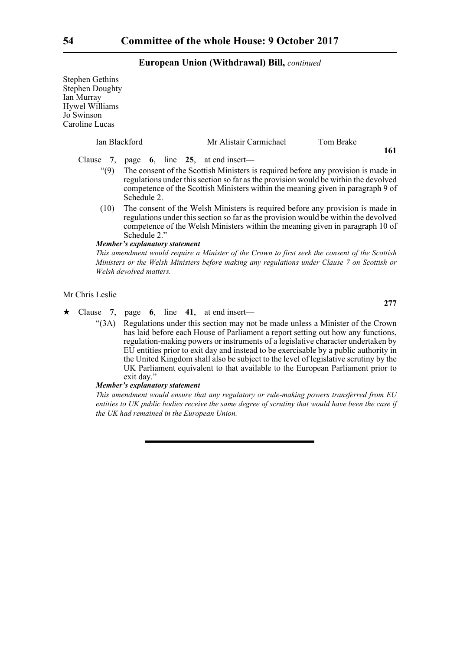Stephen Gethins Stephen Doughty Ian Murray Hywel Williams Jo Swinson Carol

| line Lucas    |                                |                                    |                                                                                                                                                                                                                                                             |
|---------------|--------------------------------|------------------------------------|-------------------------------------------------------------------------------------------------------------------------------------------------------------------------------------------------------------------------------------------------------------|
| Ian Blackford |                                | Mr Alistair Carmichael             | Tom Brake<br>161                                                                                                                                                                                                                                            |
| Clause 7,     |                                | page $6$ , line 25, at end insert— |                                                                                                                                                                                                                                                             |
| (9)           | Schedule 2.                    |                                    | The consent of the Scottish Ministers is required before any provision is made in<br>regulations under this section so far as the provision would be within the devolved<br>competence of the Scottish Ministers within the meaning given in paragraph 9 of |
| (10)          | Schedule 2."                   |                                    | The consent of the Welsh Ministers is required before any provision is made in<br>regulations under this section so far as the provision would be within the devolved<br>competence of the Welsh Ministers within the meaning given in paragraph 10 of      |
|               | Member's explanatory statement |                                    |                                                                                                                                                                                                                                                             |
|               |                                |                                    | This amendment would require a Minister of the Crown to first seek the consent of the Scottish<br>Ministers or the Welsh Ministers before making any regulations under Clause 7 on Scottish or                                                              |
|               | Welsh devolved matters.        |                                    |                                                                                                                                                                                                                                                             |

Mr Chris Leslie

Clause **7**, page **6**, line **41**, at end insert—

"(3A) Regulations under this section may not be made unless a Minister of the Crown has laid before each House of Parliament a report setting out how any functions, regulation-making powers or instruments of a legislative character undertaken by EU entities prior to exit day and instead to be exercisable by a public authority in the United Kingdom shall also be subject to the level of legislative scrutiny by the UK Parliament equivalent to that available to the European Parliament prior to exit day."

### *Member's explanatory statement*

*This amendment would ensure that any regulatory or rule-making powers transferred from EU entities to UK public bodies receive the same degree of scrutiny that would have been the case if the UK had remained in the European Union.*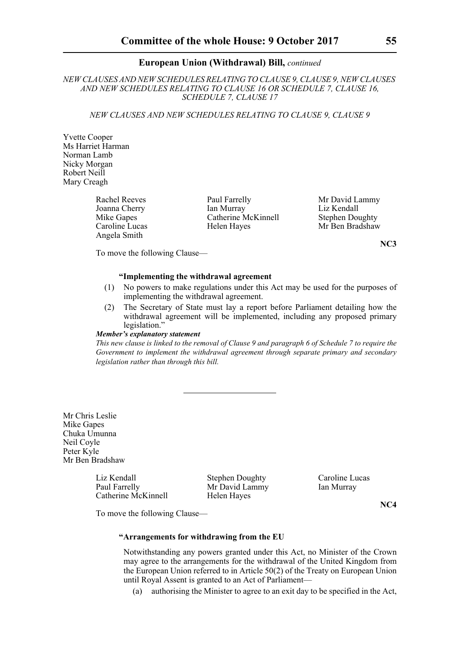*NEW CLAUSES AND NEW SCHEDULES RELATING TO CLAUSE 9, CLAUSE 9, NEW CLAUSES AND NEW SCHEDULES RELATING TO CLAUSE 16 OR SCHEDULE 7, CLAUSE 16, SCHEDULE 7, CLAUSE 17*

*NEW CLAUSES AND NEW SCHEDULES RELATING TO CLAUSE 9, CLAUSE 9*

Yvette Cooper Ms Harriet Harman Norman Lamb Nicky Morgan Robert Neill Mary Creagh

Angela Smith

Joanna Cherry Ian Murray Liz Kendall<br>
Mike Ganes Catherine McKinnell Stephen Doughty Mike Gapes Catherine McKinnell Stephen Doughty<br>Caroline Lucas Helen Haves Mr Ben Bradshaw Helen Hayes

Rachel Reeves Paul Farrelly Mr David Lammy<br>
Joanna Cherry Ian Murray Liz Kendall

**NC3**

To move the following Clause—

#### **"Implementing the withdrawal agreement**

- (1) No powers to make regulations under this Act may be used for the purposes of implementing the withdrawal agreement.
- (2) The Secretary of State must lay a report before Parliament detailing how the withdrawal agreement will be implemented, including any proposed primary legislation.'

#### *Member's explanatory statement*

*This new clause is linked to the removal of Clause 9 and paragraph 6 of Schedule 7 to require the Government to implement the withdrawal agreement through separate primary and secondary legislation rather than through this bill.* 

Mr Chris Leslie Mike Gapes Chuka Umunna Neil Coyle Peter Kyle Mr Ben Bradshaw

> Liz Kendall Stephen Doughty Caroline Lucas<br>
> Paul Farrelly Mr David Lammy Ian Murray Catherine McKinnell Helen Hayes

Mr David Lammy Ian Murray

**NC4**

To move the following Clause—

#### **"Arrangements for withdrawing from the EU**

Notwithstanding any powers granted under this Act, no Minister of the Crown may agree to the arrangements for the withdrawal of the United Kingdom from the European Union referred to in Article 50(2) of the Treaty on European Union until Royal Assent is granted to an Act of Parliament—

(a) authorising the Minister to agree to an exit day to be specified in the Act,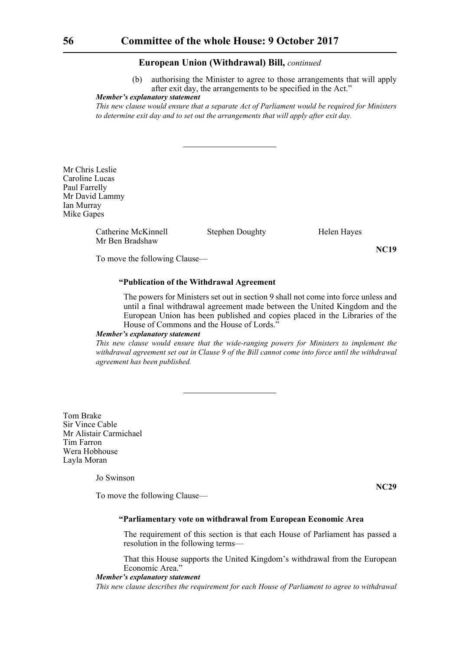(b) authorising the Minister to agree to those arrangements that will apply after exit day, the arrangements to be specified in the Act."

#### *Member's explanatory statement*

*This new clause would ensure that a separate Act of Parliament would be required for Ministers to determine exit day and to set out the arrangements that will apply after exit day.*

Mr Chris Leslie Caroline Lucas Paul Farrelly Mr David Lammy Ian Murray Mike Gapes

> Catherine McKinnell Stephen Doughty Helen Hayes Mr Ben Bradshaw

**NC19**

To move the following Clause—

#### **"Publication of the Withdrawal Agreement**

The powers for Ministers set out in section 9 shall not come into force unless and until a final withdrawal agreement made between the United Kingdom and the European Union has been published and copies placed in the Libraries of the House of Commons and the House of Lords."

#### *Member's explanatory statement*

*This new clause would ensure that the wide-ranging powers for Ministers to implement the withdrawal agreement set out in Clause 9 of the Bill cannot come into force until the withdrawal agreement has been published.*

Tom Brake Sir Vince Cable Mr Alistair Carmichael Tim Farron Wera Hobhouse Layla Moran

Jo Swinson

To move the following Clause—

**NC29**

#### **"Parliamentary vote on withdrawal from European Economic Area**

The requirement of this section is that each House of Parliament has passed a resolution in the following terms—

That this House supports the United Kingdom's withdrawal from the European Economic Area.'

#### *Member's explanatory statement*

*This new clause describes the requirement for each House of Parliament to agree to withdrawal*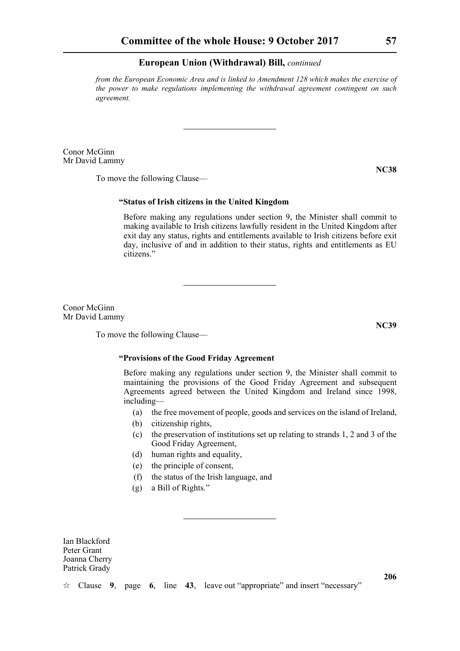*from the European Economic Area and is linked to Amendment 128 which makes the exercise of the power to make regulations implementing the withdrawal agreement contingent on such agreement.*

Conor McGinn Mr David Lammy

**NC38**

To move the following Clause—

#### **"Status of Irish citizens in the United Kingdom**

Before making any regulations under section 9, the Minister shall commit to making available to Irish citizens lawfully resident in the United Kingdom after exit day any status, rights and entitlements available to Irish citizens before exit day, inclusive of and in addition to their status, rights and entitlements as EU citizens."

Conor McGinn Mr David Lammy

To move the following Clause—

#### **"Provisions of the Good Friday Agreement**

Before making any regulations under section 9, the Minister shall commit to maintaining the provisions of the Good Friday Agreement and subsequent Agreements agreed between the United Kingdom and Ireland since 1998, including—

- (a) the free movement of people, goods and services on the island of Ireland,
- (b) citizenship rights,
- (c) the preservation of institutions set up relating to strands 1, 2 and 3 of the Good Friday Agreement,
- (d) human rights and equality,
- (e) the principle of consent,
- (f) the status of the Irish language, and
- (g) a Bill of Rights."

Ian Blackford Peter Grant Joanna Cherry Patrick Grady

Clause **9**, page **6**, line **43**, leave out "appropriate" and insert "necessary"

**NC39**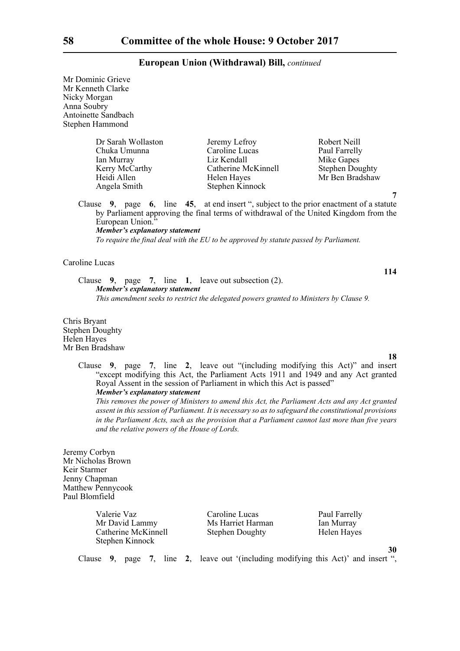Mr Dominic Grieve Mr Kenneth Clarke Nicky Morgan Anna Soubry Antoinette Sandbach Stephen Hammond

| Dr Sarah Wollaston | Jeremy Lefroy       | Robert Neill           |
|--------------------|---------------------|------------------------|
| Chuka Umunna       | Caroline Lucas      | Paul Farrelly          |
| Ian Murray         | Liz Kendall         | Mike Gapes             |
| Kerry McCarthy     | Catherine McKinnell | <b>Stephen Doughty</b> |
| Heidi Allen        | Helen Hayes         | Mr Ben Bradshaw        |
| Angela Smith       | Stephen Kinnock     |                        |

Clause **9**, page **6**, line **45**, at end insert ", subject to the prior enactment of a statute by Parliament approving the final terms of withdrawal of the United Kingdom from the European Union.<sup>3</sup> *Member's explanatory statement* 

*To require the final deal with the EU to be approved by statute passed by Parliament.*

#### Caroline Lucas

Clause **9**, page **7**, line **1**, leave out subsection (2). *Member's explanatory statement This amendment seeks to restrict the delegated powers granted to Ministers by Clause 9.*

Chris Bryant Stephen Doughty Helen Hayes Mr Ben Bradshaw

**18**

**114**

**7**

Clause **9**, page **7**, line **2**, leave out "(including modifying this Act)" and insert "except modifying this Act, the Parliament Acts 1911 and 1949 and any Act granted Royal Assent in the session of Parliament in which this Act is passed" *Member's explanatory statement* 

*This removes the power of Ministers to amend this Act, the Parliament Acts and any Act granted assent in this session of Parliament. It is necessary so as to safeguard the constitutional provisions in the Parliament Acts, such as the provision that a Parliament cannot last more than five years and the relative powers of the House of Lords.*

Jeremy Corbyn Mr Nicholas Brown Keir Starmer Jenny Chapman Matthew Pennycook Paul Blomfield

| Valerie Vaz         | Caroline Lucas         | Paul Farrelly |
|---------------------|------------------------|---------------|
| Mr David Lammy      | Ms Harriet Harman      | Ian Murray    |
| Catherine McKinnell | <b>Stephen Doughty</b> | Helen Hayes   |
| Stephen Kinnock     |                        |               |

**30**

Clause **9**, page **7**, line **2**, leave out '(including modifying this Act)' and insert ",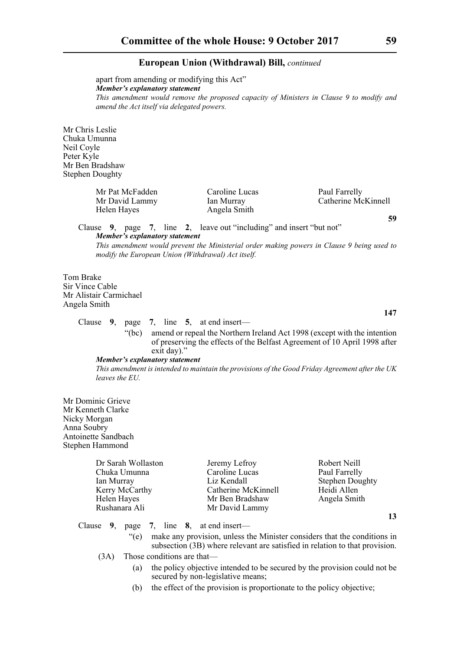apart from amending or modifying this Act" *Member's explanatory statement This amendment would remove the proposed capacity of Ministers in Clause 9 to modify and amend the Act itself via delegated powers.*

Mr Chris Leslie Chuka Umunna Neil Coyle Peter Kyle Mr Ben Bradshaw Stephen Doughty

> Mr Pat McFadden Caroline Lucas Paul Farrelly<br>
> Mr David Lammy Ian Murray Catherine Mc Mr David Lammy Ian Murray Catherine McKinnell Helen Hayes Angela Smith

**59**

**147**

**13**

Clause **9**, page **7**, line **2**, leave out "including" and insert "but not" *Member's explanatory statement* 

*This amendment would prevent the Ministerial order making powers in Clause 9 being used to modify the European Union (Withdrawal) Act itself.* 

Tom Brake Sir Vince Cable Mr Alistair Carmichael Angela Smith

Clause **9**, page **7**, line **5**, at end insert—

"(bc) amend or repeal the Northern Ireland Act 1998 (except with the intention of preserving the effects of the Belfast Agreement of 10 April 1998 after exit day)."

#### *Member's explanatory statement*

*This amendment is intended to maintain the provisions of the Good Friday Agreement after the UK leaves the EU.*

Mr Dominic Grieve Mr Kenneth Clarke Nicky Morgan Anna Soubry Antoinette Sandbach Stephen Hammond

| Dr Sarah Wollaston | Jeremy Lefroy       | Robert Neill           |
|--------------------|---------------------|------------------------|
| Chuka Umunna       | Caroline Lucas      | Paul Farrelly          |
| Ian Murray         | Liz Kendall         | <b>Stephen Doughty</b> |
| Kerry McCarthy     | Catherine McKinnell | Heidi Allen            |
| Helen Hayes        | Mr Ben Bradshaw     | Angela Smith           |
| Rushanara Ali      | Mr David Lammy      |                        |

Clause **9**, page **7**, line **8**, at end insert—

- "(e) make any provision, unless the Minister considers that the conditions in subsection (3B) where relevant are satisfied in relation to that provision.
- (3A) Those conditions are that—
	- (a) the policy objective intended to be secured by the provision could not be secured by non-legislative means;
	- (b) the effect of the provision is proportionate to the policy objective;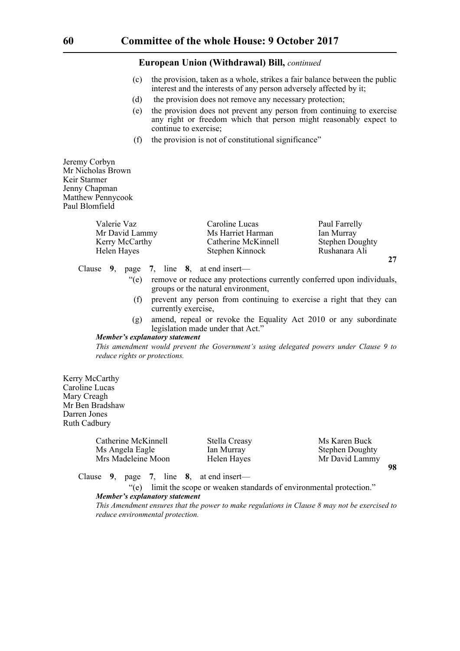- (c) the provision, taken as a whole, strikes a fair balance between the public interest and the interests of any person adversely affected by it;
- (d) the provision does not remove any necessary protection;
- (e) the provision does not prevent any person from continuing to exercise any right or freedom which that person might reasonably expect to continue to exercise;
- (f) the provision is not of constitutional significance"

Jeremy Corbyn Mr Nicholas Brown Keir Starmer Jenny Chapman Matthew Pennycook Paul Blomfield

| Valerie Vaz    | Caroline Lucas      | Paul Farrelly          |
|----------------|---------------------|------------------------|
| Mr David Lammy | Ms Harriet Harman   | Ian Murray             |
| Kerry McCarthy | Catherine McKinnell | <b>Stephen Doughty</b> |
| Helen Hayes    | Stephen Kinnock     | Rushanara Ali          |

Clause **9**, page **7**, line **8**, at end insert—

"(e) remove or reduce any protections currently conferred upon individuals, groups or the natural environment,

**27**

- (f) prevent any person from continuing to exercise a right that they can currently exercise,
- (g) amend, repeal or revoke the Equality Act 2010 or any subordinate legislation made under that Act."

#### *Member's explanatory statement*

*This amendment would prevent the Government's using delegated powers under Clause 9 to reduce rights or protections.*

Kerry McCarthy Caroline Lucas Mary Creagh Mr Ben Bradshaw Darren Jones Ruth Cadbury

| Catherine McKinnell | Stella Creasy | Ms Karen Buck          |
|---------------------|---------------|------------------------|
| Ms Angela Eagle     | Ian Murray    | <b>Stephen Doughty</b> |
| Mrs Madeleine Moon  | Helen Hayes   | Mr David Lammy         |
|                     |               | 98                     |

Clause **9**, page **7**, line **8**, at end insert—

"(e) limit the scope or weaken standards of environmental protection." *Member's explanatory statement* 

*This Amendment ensures that the power to make regulations in Clause 8 may not be exercised to reduce environmental protection.*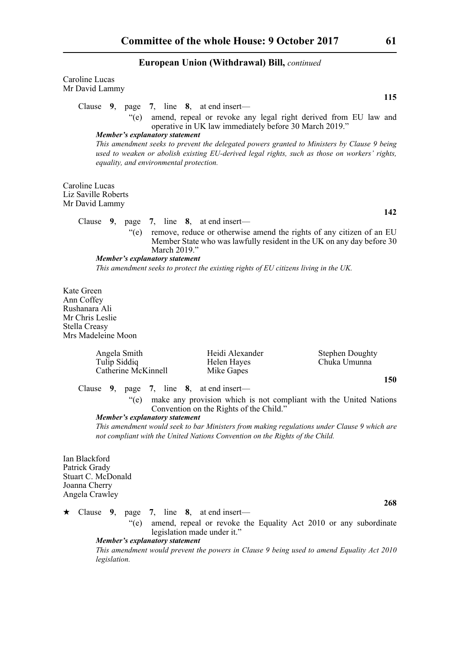Caroline Lucas Mr David Lammy **115** Clause **9**, page **7**, line **8**, at end insert— "(e) amend, repeal or revoke any legal right derived from EU law and operative in UK law immediately before 30 March 2019." *Member's explanatory statement This amendment seeks to prevent the delegated powers granted to Ministers by Clause 9 being used to weaken or abolish existing EU-derived legal rights, such as those on workers' rights, equality, and environmental protection.* Caroline Lucas Liz Saville Roberts Mr David Lammy **142** Clause **9**, page **7**, line **8**, at end insert— "(e) remove, reduce or otherwise amend the rights of any citizen of an EU Member State who was lawfully resident in the UK on any day before 30 March 2019." *Member's explanatory statement This amendment seeks to protect the existing rights of EU citizens living in the UK.* Kate Green Ann Coffey Rushanara Ali Mr Chris Leslie Stella Creasy Mrs Madeleine Moon Angela Smith **Heidi Alexander** Stephen Doughty Tulip Siddiq Helen Hayes Chuka Umunna Catherine McKinnell Mike Gapes **150** Clause **9**, page **7**, line **8**, at end insert— "(e) make any provision which is not compliant with the United Nations Convention on the Rights of the Child."

*Member's explanatory statement* 

*This amendment would seek to bar Ministers from making regulations under Clause 9 which are not compliant with the United Nations Convention on the Rights of the Child.*

Ian Blackford Patrick Grady Stuart C. McDonald Joanna Cherry Angela Crawley

 Clause **9**, page **7**, line **8**, at end insert— "(e) amend, repeal or revoke the Equality Act 2010 or any subordinate legislation made under it." *Member's explanatory statement* 

*This amendment would prevent the powers in Clause 9 being used to amend Equality Act 2010 legislation.*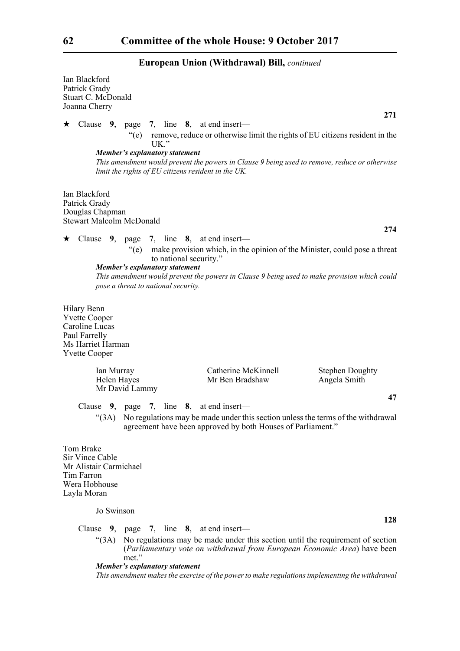| Ian Blackford<br>Patrick Grady<br>Stuart C. McDonald<br>Joanna Cherry                                               |                                                                                                                                                    |                                                             |                                                                                                                                                                                   |
|---------------------------------------------------------------------------------------------------------------------|----------------------------------------------------------------------------------------------------------------------------------------------------|-------------------------------------------------------------|-----------------------------------------------------------------------------------------------------------------------------------------------------------------------------------|
| $\star$                                                                                                             | Clause $9$ , page 7, line 8, at end insert—                                                                                                        |                                                             | 271                                                                                                                                                                               |
|                                                                                                                     | UK."<br><b>Member's explanatory statement</b><br>limit the rights of EU citizens resident in the UK.                                               |                                                             | "(e) remove, reduce or otherwise limit the rights of EU citizens resident in the<br>This amendment would prevent the powers in Clause 9 being used to remove, reduce or otherwise |
| Ian Blackford<br>Patrick Grady<br>Douglas Chapman<br><b>Stewart Malcolm McDonald</b>                                |                                                                                                                                                    |                                                             |                                                                                                                                                                                   |
|                                                                                                                     |                                                                                                                                                    |                                                             | 274                                                                                                                                                                               |
| ★                                                                                                                   | Clause 9, page 7, line 8, at end insert—<br>to national security."<br><b>Member's explanatory statement</b><br>pose a threat to national security. |                                                             | "(e) make provision which, in the opinion of the Minister, could pose a threat<br>This amendment would prevent the powers in Clause 9 being used to make provision which could    |
| Hilary Benn<br><b>Yvette Cooper</b><br>Caroline Lucas<br>Paul Farrelly<br>Ms Harriet Harman<br><b>Yvette Cooper</b> |                                                                                                                                                    |                                                             |                                                                                                                                                                                   |
| Ian Murray<br>Helen Hayes                                                                                           | Mr David Lammy                                                                                                                                     | Catherine McKinnell<br>Mr Ben Bradshaw                      | <b>Stephen Doughty</b><br>Angela Smith                                                                                                                                            |
|                                                                                                                     | Clause $9$ , page 7, line 8, at end insert—                                                                                                        | agreement have been approved by both Houses of Parliament." | 47<br>"(3A) No regulations may be made under this section unless the terms of the withdrawal                                                                                      |
| Tom Brake<br><b>Sir Vince Cable</b><br>Mr Alistair Carmichael<br>Tim Farron<br>Wera Hobhouse<br>Layla Moran         |                                                                                                                                                    |                                                             |                                                                                                                                                                                   |

Jo Swinson

Clause **9**, page **7**, line **8**, at end insert—

"(3A) No regulations may be made under this section until the requirement of section (*Parliamentary vote on withdrawal from European Economic Area*) have been met."

**128**

*Member's explanatory statement* 

*This amendment makes the exercise of the power to make regulations implementing the withdrawal*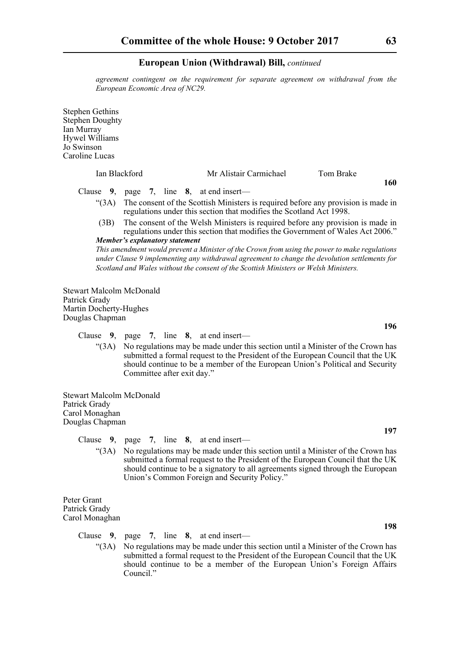*agreement contingent on the requirement for separate agreement on withdrawal from the European Economic Area of NC29.*

Stephen Gethins Stephen Doughty Ian Murray Hywel Williams Jo Swinson Caroline Lucas Ian Blackford Mr Alistair Carmichael Tom Brake **160** Clause **9**, page **7**, line **8**, at end insert— "(3A) The consent of the Scottish Ministers is required before any provision is made in regulations under this section that modifies the Scotland Act 1998. (3B) The consent of the Welsh Ministers is required before any provision is made in regulations under this section that modifies the Government of Wales Act 2006." *Member's explanatory statement This amendment would prevent a Minister of the Crown from using the power to make regulations under Clause 9 implementing any withdrawal agreement to change the devolution settlements for Scotland and Wales without the consent of the Scottish Ministers or Welsh Ministers.* Stewart Malcolm McDonald Patrick Grady Martin Docherty-Hughes Douglas Chapman

Clause **9**, page **7**, line **8**, at end insert—

"(3A) No regulations may be made under this section until a Minister of the Crown has submitted a formal request to the President of the European Council that the UK should continue to be a member of the European Union's Political and Security Committee after exit day."

Stewart Malcolm McDonald Patrick Grady Carol Monaghan Douglas Chapman

Clause **9**, page **7**, line **8**, at end insert—

"(3A) No regulations may be made under this section until a Minister of the Crown has submitted a formal request to the President of the European Council that the UK should continue to be a signatory to all agreements signed through the European Union's Common Foreign and Security Policy."

Peter Grant Patrick Grady Carol Monaghan

Clause **9**, page **7**, line **8**, at end insert—

"(3A) No regulations may be made under this section until a Minister of the Crown has submitted a formal request to the President of the European Council that the UK should continue to be a member of the European Union's Foreign Affairs Council."

**196**

**197**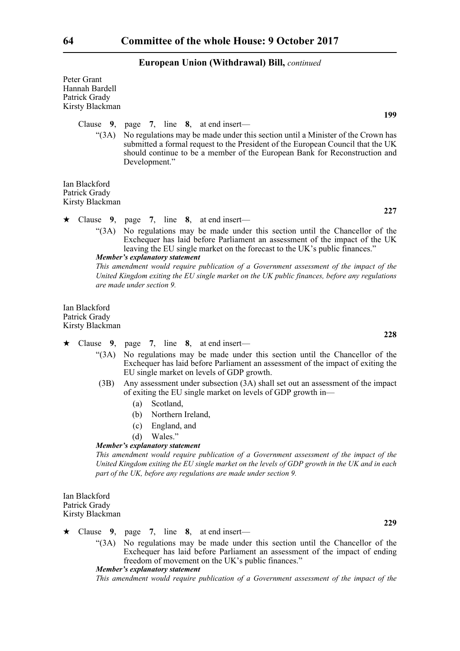| Peter Grant<br>Hannah Bardell<br>Patrick Grady<br>Kirsty Blackman | 199                                                                                                                                                                                                                                                                     |
|-------------------------------------------------------------------|-------------------------------------------------------------------------------------------------------------------------------------------------------------------------------------------------------------------------------------------------------------------------|
|                                                                   | Clause $9$ , page 7, line 8, at end insert—                                                                                                                                                                                                                             |
| (3A)                                                              | No regulations may be made under this section until a Minister of the Crown has<br>submitted a formal request to the President of the European Council that the UK<br>should continue to be a member of the European Bank for Reconstruction and<br>Development."       |
| Ian Blackford<br>Patrick Grady<br>Kirsty Blackman                 |                                                                                                                                                                                                                                                                         |
|                                                                   | 227<br>$\star$ Clause 9, page 7, line 8, at end insert—                                                                                                                                                                                                                 |
| (3A)                                                              | No regulations may be made under this section until the Chancellor of the<br>Exchequer has laid before Parliament an assessment of the impact of the UK<br>leaving the EU single market on the forecast to the UK's public finances."<br>Member's explanatory statement |
|                                                                   | This amendment would require publication of a Government assessment of the impact of the<br>United Kingdom exiting the EU single market on the UK public finances, before any regulations<br>are made under section 9.                                                  |
| Ian Blackford<br>Patrick Grady<br>Kirsty Blackman                 |                                                                                                                                                                                                                                                                         |
| Clause<br>$\star$                                                 | 228<br>9, page 7, line $8$ , at end insert—                                                                                                                                                                                                                             |
| (3A)                                                              | No regulations may be made under this section until the Chancellor of the<br>Exchequer has laid before Parliament an assessment of the impact of exiting the<br>EU single market on levels of GDP growth.                                                               |
| (3B)                                                              | Any assessment under subsection (3A) shall set out an assessment of the impact<br>of exiting the EU single market on levels of GDP growth in—                                                                                                                           |
|                                                                   | Scotland,<br>(a)<br>(b) Northern Ireland,                                                                                                                                                                                                                               |
|                                                                   | (c)<br>England, and                                                                                                                                                                                                                                                     |
|                                                                   | Wales."<br>(d)                                                                                                                                                                                                                                                          |
|                                                                   | <b>Member's explanatory statement</b><br>This amendment would require publication of a Government assessment of the impact of the                                                                                                                                       |
|                                                                   | United Kingdom exiting the EU single market on the levels of GDP growth in the UK and in each<br>part of the UK, before any regulations are made under section 9.                                                                                                       |
| Ian Blackford<br>Patrick Grady<br>Kirsty Blackman                 |                                                                                                                                                                                                                                                                         |
|                                                                   | 229                                                                                                                                                                                                                                                                     |
| Clause<br>★<br>(3A)                                               | 9, page 7, line $8$ , at end insert—<br>No regulations may be made under this section until the Chancellor of the                                                                                                                                                       |

Exchequer has laid before Parliament an assessment of the impact of ending freedom of movement on the UK's public finances."

*Member's explanatory statement* 

*This amendment would require publication of a Government assessment of the impact of the*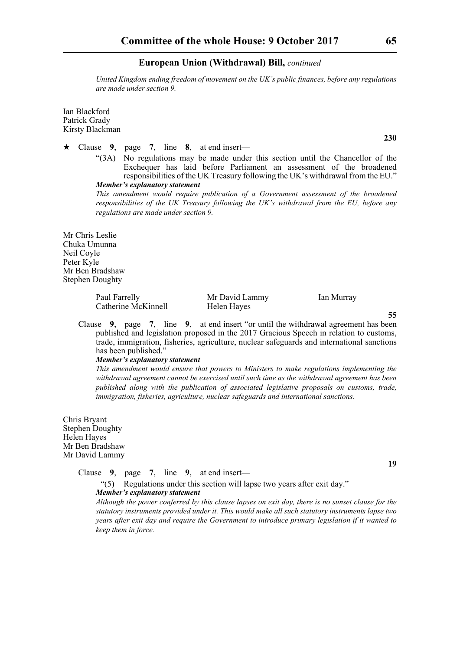*United Kingdom ending freedom of movement on the UK's public finances, before any regulations are made under section 9.* 

Ian Blackford Patrick Grady Kirsty Blackman

- Clause **9**, page **7**, line **8**, at end insert—
	- "(3A) No regulations may be made under this section until the Chancellor of the Exchequer has laid before Parliament an assessment of the broadened responsibilities of the UK Treasury following the UK's withdrawal from the EU." *Member's explanatory statement*

*This amendment would require publication of a Government assessment of the broadened responsibilities of the UK Treasury following the UK's withdrawal from the EU, before any regulations are made under section 9.* 

Mr Chris Leslie Chuka Umunna Neil Coyle Peter Kyle Mr Ben Bradshaw Stephen Doughty

> Paul Farrelly Mr David Lammy Ian Murray Catherine McKinnell Helen Hayes

**55**

Clause **9**, page **7**, line **9**, at end insert "or until the withdrawal agreement has been published and legislation proposed in the 2017 Gracious Speech in relation to customs, trade, immigration, fisheries, agriculture, nuclear safeguards and international sanctions has been published."

#### *Member's explanatory statement*

*This amendment would ensure that powers to Ministers to make regulations implementing the withdrawal agreement cannot be exercised until such time as the withdrawal agreement has been published along with the publication of associated legislative proposals on customs, trade, immigration, fisheries, agriculture, nuclear safeguards and international sanctions.*

Chris Bryant Stephen Doughty Helen Hayes Mr Ben Bradshaw Mr David Lammy

Clause **9**, page **7**, line **9**, at end insert—

"(5) Regulations under this section will lapse two years after exit day." *Member's explanatory statement* 

*Although the power conferred by this clause lapses on exit day, there is no sunset clause for the statutory instruments provided under it. This would make all such statutory instruments lapse two years after exit day and require the Government to introduce primary legislation if it wanted to keep them in force.*

**230**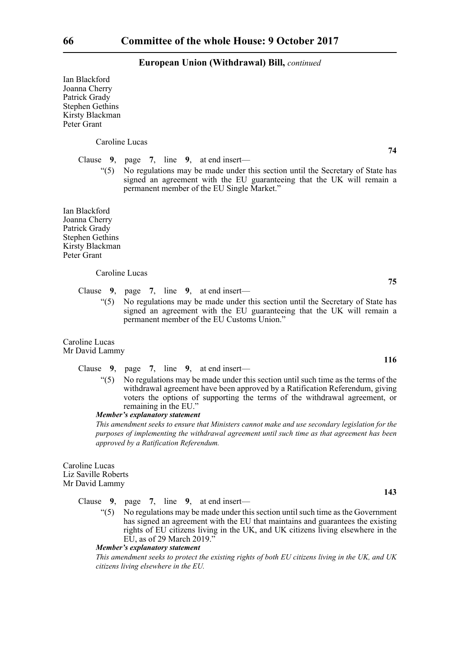Ian Blackford Joanna Cherry Patrick Grady Stephen Gethins Kirsty Blackman Peter Grant

Caroline Lucas

Clause **9**, page **7**, line **9**, at end insert—

"(5) No regulations may be made under this section until the Secretary of State has signed an agreement with the EU guaranteeing that the UK will remain a permanent member of the EU Single Market."

Ian Blackford Joanna Cherry Patrick Grady Stephen Gethins Kirsty Blackman Peter Grant

#### Caroline Lucas

Clause **9**, page **7**, line **9**, at end insert—

"(5) No regulations may be made under this section until the Secretary of State has signed an agreement with the EU guaranteeing that the UK will remain a permanent member of the EU Customs Union."

Caroline Lucas Mr David Lammy

Clause **9**, page **7**, line **9**, at end insert—

 $(5)$  No regulations may be made under this section until such time as the terms of the withdrawal agreement have been approved by a Ratification Referendum, giving voters the options of supporting the terms of the withdrawal agreement, or remaining in the EU."

#### *Member's explanatory statement*

*This amendment seeks to ensure that Ministers cannot make and use secondary legislation for the purposes of implementing the withdrawal agreement until such time as that agreement has been approved by a Ratification Referendum.*

Caroline Lucas Liz Saville Roberts Mr David Lammy

Clause **9**, page **7**, line **9**, at end insert—

"(5) No regulations may be made under this section until such time as the Government has signed an agreement with the EU that maintains and guarantees the existing rights of EU citizens living in the UK, and UK citizens living elsewhere in the EU, as of 29 March 2019."

*Member's explanatory statement* 

*This amendment seeks to protect the existing rights of both EU citizens living in the UK, and UK citizens living elsewhere in the EU.*

**74**

**75**

**116**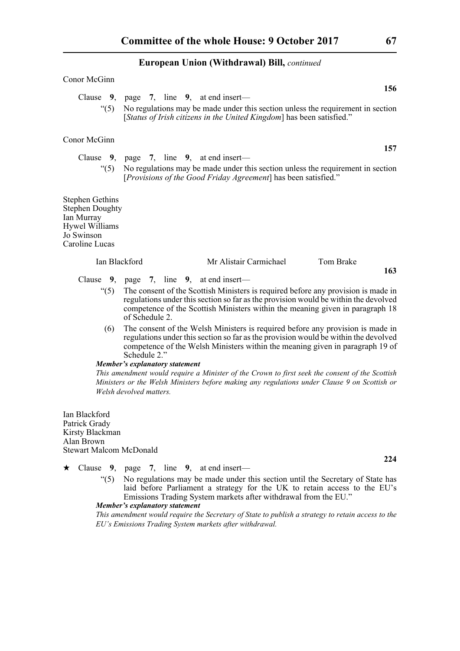#### Conor McGinn

**156** Clause **9**, page **7**, line **9**, at end insert— "(5) No regulations may be made under this section unless the requirement in section [*Status of Irish citizens in the United Kingdom*] has been satisfied."

#### Conor McGinn

Clause **9**, page **7**, line **9**, at end insert— "(5) No regulations may be made under this section unless the requirement in section [*Provisions of the Good Friday Agreement*] has been satisfied."

Stephen Gethins Stephen Doughty Ian Murray Hywel Williams Jo Swinson Caroline Lucas

| Ian Blackford | Mr Alistair Carmichael | Tom Brake |  |
|---------------|------------------------|-----------|--|
|               |                        |           |  |

### Clause **9**, page **7**, line **9**, at end insert—

- "(5) The consent of the Scottish Ministers is required before any provision is made in regulations under this section so far as the provision would be within the devolved competence of the Scottish Ministers within the meaning given in paragraph 18 of Schedule 2.
- (6) The consent of the Welsh Ministers is required before any provision is made in regulations under this section so far as the provision would be within the devolved competence of the Welsh Ministers within the meaning given in paragraph 19 of Schedule 2."

#### *Member's explanatory statement*

*This amendment would require a Minister of the Crown to first seek the consent of the Scottish Ministers or the Welsh Ministers before making any regulations under Clause 9 on Scottish or Welsh devolved matters.* 

Ian Blackford Patrick Grady Kirsty Blackman Alan Brown Stewart Malcom McDonald

- Clause **9**, page **7**, line **9**, at end insert—
	- "(5) No regulations may be made under this section until the Secretary of State has laid before Parliament a strategy for the UK to retain access to the EU's Emissions Trading System markets after withdrawal from the EU."

*Member's explanatory statement* 

*This amendment would require the Secretary of State to publish a strategy to retain access to the EU's Emissions Trading System markets after withdrawal.* 

**157**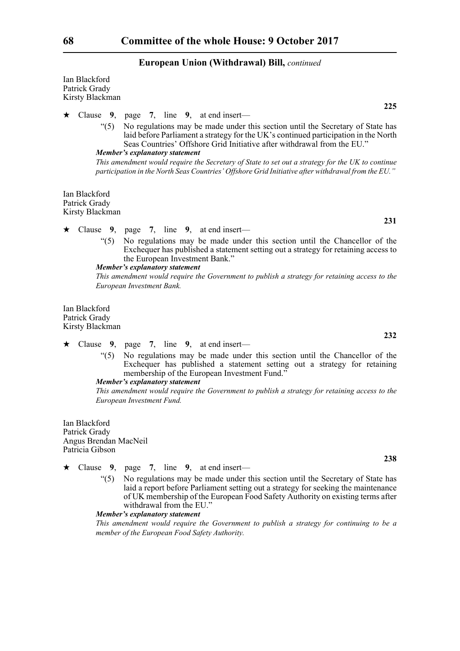Ian Blackford Patrick Grady Kirsty Blackman

Clause **9**, page **7**, line **9**, at end insert—

"(5) No regulations may be made under this section until the Secretary of State has laid before Parliament a strategy for the UK's continued participation in the North Seas Countries' Offshore Grid Initiative after withdrawal from the EU."

#### *Member's explanatory statement*

*This amendment would require the Secretary of State to set out a strategy for the UK to continue participation in the North Seas Countries' Offshore Grid Initiative after withdrawal from the EU."* 

Ian Blackford Patrick Grady Kirsty Blackman

#### Clause **9**, page **7**, line **9**, at end insert—

"(5) No regulations may be made under this section until the Chancellor of the Exchequer has published a statement setting out a strategy for retaining access to the European Investment Bank."

#### *Member's explanatory statement*

*This amendment would require the Government to publish a strategy for retaining access to the European Investment Bank.*

Ian Blackford Patrick Grady Kirsty Blackman

#### $\star$  Clause 9, page 7, line 9, at end insert—

"(5) No regulations may be made under this section until the Chancellor of the Exchequer has published a statement setting out a strategy for retaining membership of the European Investment Fund."

#### *Member's explanatory statement*

*This amendment would require the Government to publish a strategy for retaining access to the European Investment Fund.*

Ian Blackford Patrick Grady Angus Brendan MacNeil Patricia Gibson

- Clause **9**, page **7**, line **9**, at end insert—
	- "(5) No regulations may be made under this section until the Secretary of State has laid a report before Parliament setting out a strategy for seeking the maintenance of UK membership of the European Food Safety Authority on existing terms after withdrawal from the EU."

#### *Member's explanatory statement*

*This amendment would require the Government to publish a strategy for continuing to be a member of the European Food Safety Authority.*

**231**

**225**

**232**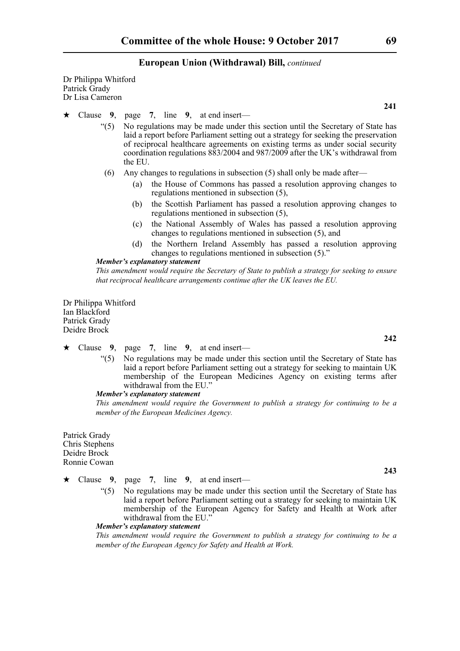Dr Philippa Whitford Patrick Grady Dr Lisa Cameron

- Clause **9**, page **7**, line **9**, at end insert—
	- "(5) No regulations may be made under this section until the Secretary of State has laid a report before Parliament setting out a strategy for seeking the preservation of reciprocal healthcare agreements on existing terms as under social security coordination regulations 883/2004 and 987/2009 after the UK's withdrawal from the EU.
	- (6) Any changes to regulations in subsection (5) shall only be made after—
		- (a) the House of Commons has passed a resolution approving changes to regulations mentioned in subsection (5),
		- (b) the Scottish Parliament has passed a resolution approving changes to regulations mentioned in subsection (5),
		- (c) the National Assembly of Wales has passed a resolution approving changes to regulations mentioned in subsection (5), and
		- (d) the Northern Ireland Assembly has passed a resolution approving changes to regulations mentioned in subsection (5)."

#### *Member's explanatory statement*

*This amendment would require the Secretary of State to publish a strategy for seeking to ensure that reciprocal healthcare arrangements continue after the UK leaves the EU.*

Dr Philippa Whitford Ian Blackford Patrick Grady Deidre Brock

#### $\star$  Clause 9, page 7, line 9, at end insert—

"(5) No regulations may be made under this section until the Secretary of State has laid a report before Parliament setting out a strategy for seeking to maintain UK membership of the European Medicines Agency on existing terms after withdrawal from the EU."

#### *Member's explanatory statement*

*This amendment would require the Government to publish a strategy for continuing to be a member of the European Medicines Agency.*

Patrick Grady Chris Stephens Deidre Brock Ronnie Cowan

- Clause **9**, page **7**, line **9**, at end insert—
	- "(5) No regulations may be made under this section until the Secretary of State has laid a report before Parliament setting out a strategy for seeking to maintain UK membership of the European Agency for Safety and Health at Work after withdrawal from the EU."

*Member's explanatory statement* 

*This amendment would require the Government to publish a strategy for continuing to be a member of the European Agency for Safety and Health at Work.*

**242**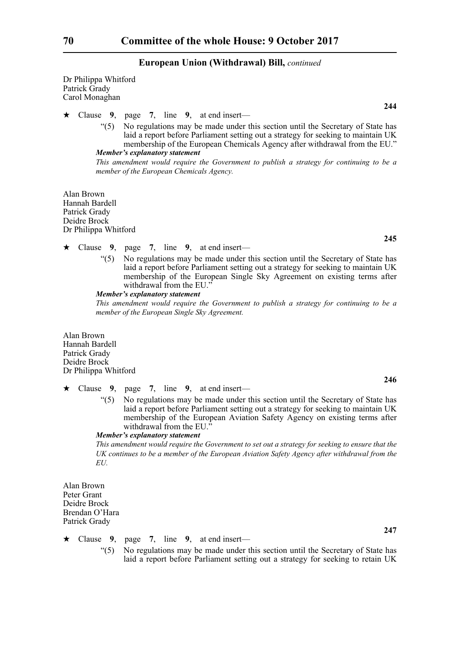Dr Philippa Whitford Patrick Grady Carol Monaghan

Clause **9**, page **7**, line **9**, at end insert—

"(5) No regulations may be made under this section until the Secretary of State has laid a report before Parliament setting out a strategy for seeking to maintain UK membership of the European Chemicals Agency after withdrawal from the EU." *Member's explanatory statement* 

*This amendment would require the Government to publish a strategy for continuing to be a member of the European Chemicals Agency.*

Alan Brown Hannah Bardell Patrick Grady Deidre Brock Dr Philippa Whitford

- Clause **9**, page **7**, line **9**, at end insert—
	- "(5) No regulations may be made under this section until the Secretary of State has laid a report before Parliament setting out a strategy for seeking to maintain UK membership of the European Single Sky Agreement on existing terms after withdrawal from the EU."

#### *Member's explanatory statement*

*This amendment would require the Government to publish a strategy for continuing to be a member of the European Single Sky Agreement.*

Alan Brown Hannah Bardell Patrick Grady Deidre Brock Dr Philippa Whitford

- Clause **9**, page **7**, line **9**, at end insert—
	- "(5) No regulations may be made under this section until the Secretary of State has laid a report before Parliament setting out a strategy for seeking to maintain UK membership of the European Aviation Safety Agency on existing terms after withdrawal from the EU."

#### *Member's explanatory statement*

*This amendment would require the Government to set out a strategy for seeking to ensure that the UK continues to be a member of the European Aviation Safety Agency after withdrawal from the EU.*

Alan Brown Peter Grant Deidre Brock Brendan O'Hara Patrick Grady

- Clause **9**, page **7**, line **9**, at end insert—
	- "(5) No regulations may be made under this section until the Secretary of State has laid a report before Parliament setting out a strategy for seeking to retain UK

**245**

**244**

**246**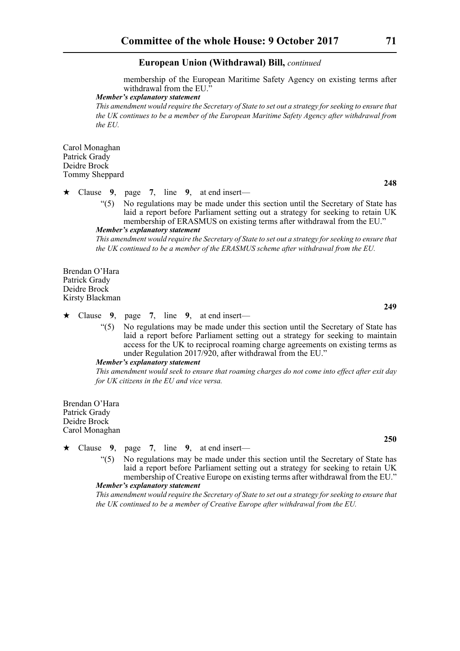membership of the European Maritime Safety Agency on existing terms after withdrawal from the EU."

#### *Member's explanatory statement*

*This amendment would require the Secretary of State to set out a strategy for seeking to ensure that the UK continues to be a member of the European Maritime Safety Agency after withdrawal from the EU.*

Carol Monaghan Patrick Grady Deidre Brock Tommy Sheppard

#### Clause **9**, page **7**, line **9**, at end insert—

"(5) No regulations may be made under this section until the Secretary of State has laid a report before Parliament setting out a strategy for seeking to retain UK membership of ERASMUS on existing terms after withdrawal from the EU."

#### *Member's explanatory statement*

*This amendment would require the Secretary of State to set out a strategy for seeking to ensure that the UK continued to be a member of the ERASMUS scheme after withdrawal from the EU.*

Brendan O'Hara Patrick Grady Deidre Brock Kirsty Blackman

#### Clause **9**, page **7**, line **9**, at end insert—

"(5) No regulations may be made under this section until the Secretary of State has laid a report before Parliament setting out a strategy for seeking to maintain access for the UK to reciprocal roaming charge agreements on existing terms as under Regulation 2017/920, after withdrawal from the EU."

#### *Member's explanatory statement*

*This amendment would seek to ensure that roaming charges do not come into effect after exit day for UK citizens in the EU and vice versa.* 

Brendan O'Hara Patrick Grady Deidre Brock Carol Monaghan

- Clause **9**, page **7**, line **9**, at end insert—
	- "(5) No regulations may be made under this section until the Secretary of State has laid a report before Parliament setting out a strategy for seeking to retain UK membership of Creative Europe on existing terms after withdrawal from the EU." *Member's explanatory statement*

*This amendment would require the Secretary of State to set out a strategy for seeking to ensure that the UK continued to be a member of Creative Europe after withdrawal from the EU.*

**248**

**249**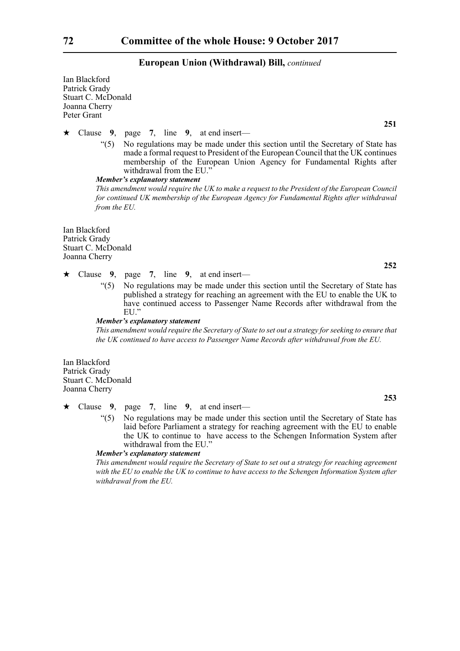Ian Blackford Patrick Grady Stuart C. McDonald Joanna Cherry Peter Grant

Clause **9**, page **7**, line **9**, at end insert—

"(5) No regulations may be made under this section until the Secretary of State has made a formal request to President of the European Council that the UK continues membership of the European Union Agency for Fundamental Rights after withdrawal from the EU."

*Member's explanatory statement* 

*This amendment would require the UK to make a request to the President of the European Council for continued UK membership of the European Agency for Fundamental Rights after withdrawal from the EU.*

Ian Blackford Patrick Grady Stuart C. McDonald Joanna Cherry

- Clause **9**, page **7**, line **9**, at end insert—
	- "(5) No regulations may be made under this section until the Secretary of State has published a strategy for reaching an agreement with the EU to enable the UK to have continued access to Passenger Name Records after withdrawal from the EU."

#### *Member's explanatory statement*

*This amendment would require the Secretary of State to set out a strategy for seeking to ensure that the UK continued to have access to Passenger Name Records after withdrawal from the EU.*

Ian Blackford Patrick Grady Stuart C. McDonald Joanna Cherry

Clause **9**, page **7**, line **9**, at end insert—

"(5) No regulations may be made under this section until the Secretary of State has laid before Parliament a strategy for reaching agreement with the EU to enable the UK to continue to have access to the Schengen Information System after withdrawal from the EU."

#### *Member's explanatory statement*

*This amendment would require the Secretary of State to set out a strategy for reaching agreement with the EU to enable the UK to continue to have access to the Schengen Information System after withdrawal from the EU.*

**251**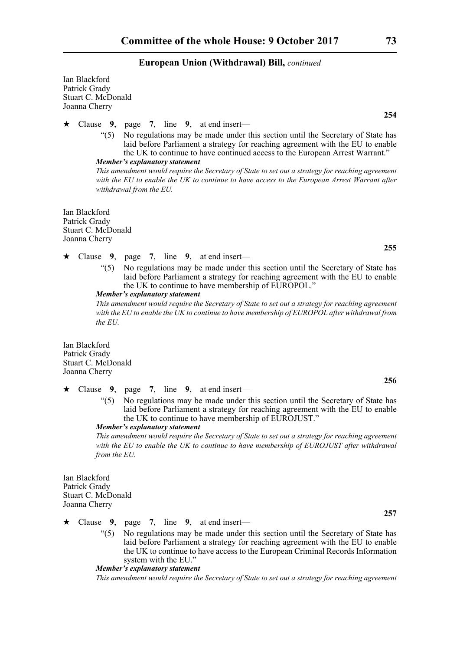Ian Blackford Patrick Grady Stuart C. McDonald Joanna Cherry

Clause **9**, page **7**, line **9**, at end insert—

"(5) No regulations may be made under this section until the Secretary of State has laid before Parliament a strategy for reaching agreement with the EU to enable the UK to continue to have continued access to the European Arrest Warrant." *Member's explanatory statement* 

*This amendment would require the Secretary of State to set out a strategy for reaching agreement with the EU to enable the UK to continue to have access to the European Arrest Warrant after withdrawal from the EU.*

Ian Blackford Patrick Grady Stuart C. McDonald Joanna Cherry

- Clause **9**, page **7**, line **9**, at end insert—
	- "(5) No regulations may be made under this section until the Secretary of State has laid before Parliament a strategy for reaching agreement with the EU to enable the UK to continue to have membership of EUROPOL."

*Member's explanatory statement* 

*This amendment would require the Secretary of State to set out a strategy for reaching agreement with the EU to enable the UK to continue to have membership of EUROPOL after withdrawal from the EU.*

Ian Blackford Patrick Grady Stuart C. McDonald Joanna Cherry

- Clause **9**, page **7**, line **9**, at end insert—
	- "(5) No regulations may be made under this section until the Secretary of State has laid before Parliament a strategy for reaching agreement with the EU to enable the UK to continue to have membership of EUROJUST."

*Member's explanatory statement* 

*This amendment would require the Secretary of State to set out a strategy for reaching agreement with the EU to enable the UK to continue to have membership of EUROJUST after withdrawal from the EU.*

Ian Blackford Patrick Grady Stuart C. McDonald Joanna Cherry

Clause **9**, page **7**, line **9**, at end insert—

"(5) No regulations may be made under this section until the Secretary of State has laid before Parliament a strategy for reaching agreement with the EU to enable the UK to continue to have access to the European Criminal Records Information system with the EU."

*Member's explanatory statement* 

*This amendment would require the Secretary of State to set out a strategy for reaching agreement*

**254**

**255**

**256**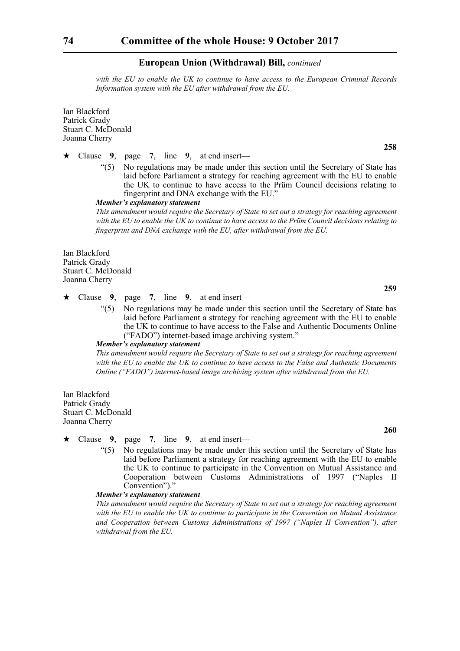*with the EU to enable the UK to continue to have access to the European Criminal Records Information system with the EU after withdrawal from the EU.*

Ian Blackford Patrick Grady Stuart C. McDonald Joanna Cherry

Clause **9**, page **7**, line **9**, at end insert—

"(5) No regulations may be made under this section until the Secretary of State has laid before Parliament a strategy for reaching agreement with the EU to enable the UK to continue to have access to the Prüm Council decisions relating to fingerprint and DNA exchange with the EU."

*Member's explanatory statement* 

*This amendment would require the Secretary of State to set out a strategy for reaching agreement with the EU to enable the UK to continue to have access to the Prüm Council decisions relating to fingerprint and DNA exchange with the EU, after withdrawal from the EU.*

Ian Blackford Patrick Grady Stuart C. McDonald Joanna Cherry

Clause **9**, page **7**, line **9**, at end insert—

"(5) No regulations may be made under this section until the Secretary of State has laid before Parliament a strategy for reaching agreement with the EU to enable the UK to continue to have access to the False and Authentic Documents Online ("FADO") internet-based image archiving system."

#### *Member's explanatory statement*

*This amendment would require the Secretary of State to set out a strategy for reaching agreement with the EU to enable the UK to continue to have access to the False and Authentic Documents Online ("FADO") internet-based image archiving system after withdrawal from the EU.*

Ian Blackford Patrick Grady Stuart C. McDonald Joanna Cherry

Clause **9**, page **7**, line **9**, at end insert—

"(5) No regulations may be made under this section until the Secretary of State has laid before Parliament a strategy for reaching agreement with the EU to enable the UK to continue to participate in the Convention on Mutual Assistance and Cooperation between Customs Administrations of 1997 ("Naples II Convention")."

#### *Member's explanatory statement*

*This amendment would require the Secretary of State to set out a strategy for reaching agreement with the EU to enable the UK to continue to participate in the Convention on Mutual Assistance and Cooperation between Customs Administrations of 1997 ("Naples II Convention"), after withdrawal from the EU.*

**258**

**259**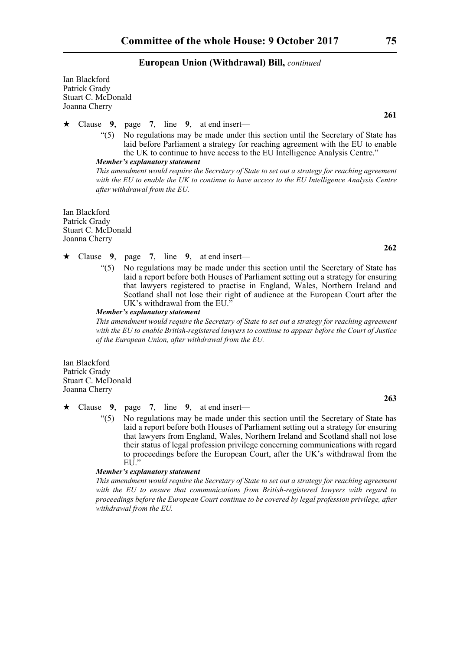Ian Blackford Patrick Grady Stuart C. McDonald Joanna Cherry

Clause **9**, page **7**, line **9**, at end insert—

"(5) No regulations may be made under this section until the Secretary of State has laid before Parliament a strategy for reaching agreement with the EU to enable the UK to continue to have access to the EU Intelligence Analysis Centre." *Member's explanatory statement* 

*This amendment would require the Secretary of State to set out a strategy for reaching agreement with the EU to enable the UK to continue to have access to the EU Intelligence Analysis Centre after withdrawal from the EU.*

Ian Blackford Patrick Grady Stuart C. McDonald Joanna Cherry

- Clause **9**, page **7**, line **9**, at end insert—
	- "(5) No regulations may be made under this section until the Secretary of State has laid a report before both Houses of Parliament setting out a strategy for ensuring that lawyers registered to practise in England, Wales, Northern Ireland and Scotland shall not lose their right of audience at the European Court after the UK's withdrawal from the EU."

#### *Member's explanatory statement*

*This amendment would require the Secretary of State to set out a strategy for reaching agreement with the EU to enable British-registered lawyers to continue to appear before the Court of Justice of the European Union, after withdrawal from the EU.*

Ian Blackford Patrick Grady Stuart C. McDonald Joanna Cherry

Clause **9**, page **7**, line **9**, at end insert—

"(5) No regulations may be made under this section until the Secretary of State has laid a report before both Houses of Parliament setting out a strategy for ensuring that lawyers from England, Wales, Northern Ireland and Scotland shall not lose their status of legal profession privilege concerning communications with regard to proceedings before the European Court, after the UK's withdrawal from the  $EI^{\hat{j}}$ "

## *Member's explanatory statement*

*This amendment would require the Secretary of State to set out a strategy for reaching agreement with the EU to ensure that communications from British-registered lawyers with regard to proceedings before the European Court continue to be covered by legal profession privilege, after withdrawal from the EU.*

**261**

**262**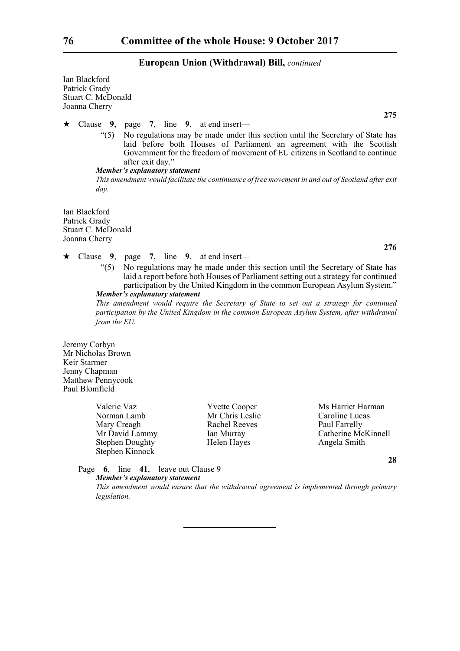Ian Blackford Patrick Grady Stuart C. McDonald Joanna Cherry

**275**

#### Clause **9**, page **7**, line **9**, at end insert—

"(5) No regulations may be made under this section until the Secretary of State has laid before both Houses of Parliament an agreement with the Scottish Government for the freedom of movement of EU citizens in Scotland to continue after exit day."

#### *Member's explanatory statement*

*This amendment would facilitate the continuance of free movement in and out of Scotland after exit day.*

Ian Blackford Patrick Grady Stuart C. McDonald Joanna Cherry

- Clause **9**, page **7**, line **9**, at end insert—
	- "(5) No regulations may be made under this section until the Secretary of State has laid a report before both Houses of Parliament setting out a strategy for continued participation by the United Kingdom in the common European Asylum System." *Member's explanatory statement*

*This amendment would require the Secretary of State to set out a strategy for continued participation by the United Kingdom in the common European Asylum System, after withdrawal from the EU.*

Jeremy Corbyn Mr Nicholas Brown Keir Starmer Jenny Chapman Matthew Pennycook Paul Blomfield

> Valerie Vaz **XVIII Valerie Vaz** Yvette Cooper Ms Harriet Harman Norman Lamb Mr Chris Leslie Caroline Lucas Mary Creagh Rachel Reeves Paul Farrelly Stephen Doughty Helen Hayes Angela Smith Stephen Kinnock

Mr David Lammy Ian Murray Catherine McKinnell

**28**

Page **6**, line **41**, leave out Clause 9 *Member's explanatory statement* 

> *This amendment would ensure that the withdrawal agreement is implemented through primary legislation.*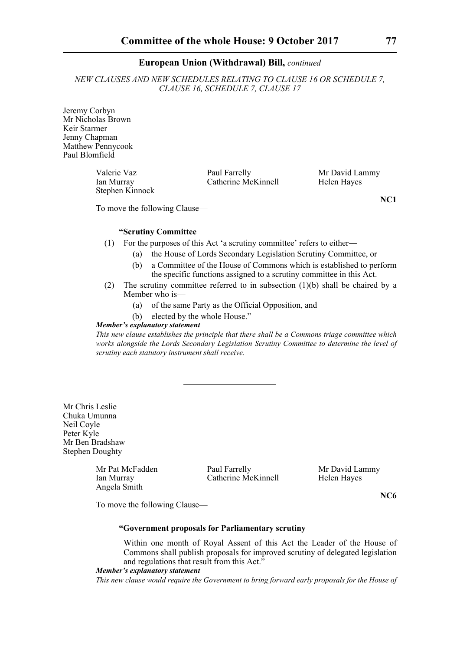*NEW CLAUSES AND NEW SCHEDULES RELATING TO CLAUSE 16 OR SCHEDULE 7, CLAUSE 16, SCHEDULE 7, CLAUSE 17*

Jeremy Corbyn Mr Nicholas Brown Keir Starmer Jenny Chapman Matthew Pennycook Paul Blomfield

> Valerie Vaz **Paul Farrelly** Mr David Lammy Ian Murray Catherine McKinnell Helen Hayes Stephen Kinnock

To move the following Clause—

## **"Scrutiny Committee**

- (1) For the purposes of this Act 'a scrutiny committee' refers to either―
	- (a) the House of Lords Secondary Legislation Scrutiny Committee, or
	- (b) a Committee of the House of Commons which is established to perform the specific functions assigned to a scrutiny committee in this Act.
- (2) The scrutiny committee referred to in subsection  $(1)(b)$  shall be chaired by a Member who is—
	- (a) of the same Party as the Official Opposition, and
	- (b) elected by the whole House."

## *Member's explanatory statement*

*This new clause establishes the principle that there shall be a Commons triage committee which works alongside the Lords Secondary Legislation Scrutiny Committee to determine the level of scrutiny each statutory instrument shall receive.*

Mr Chris Leslie Chuka Umunna Neil Coyle Peter Kyle Mr Ben Bradshaw Stephen Doughty

Angela Smith

Mr Pat McFadden Paul Farrelly Mr David Lammy<br>
Ian Murray Catherine McKinnell Helen Hayes Ian Murray Catherine McKinnell

**NC6**

To move the following Clause—

## **"Government proposals for Parliamentary scrutiny**

Within one month of Royal Assent of this Act the Leader of the House of Commons shall publish proposals for improved scrutiny of delegated legislation and regulations that result from this Act."

## *Member's explanatory statement*

*This new clause would require the Government to bring forward early proposals for the House of*

**NC1**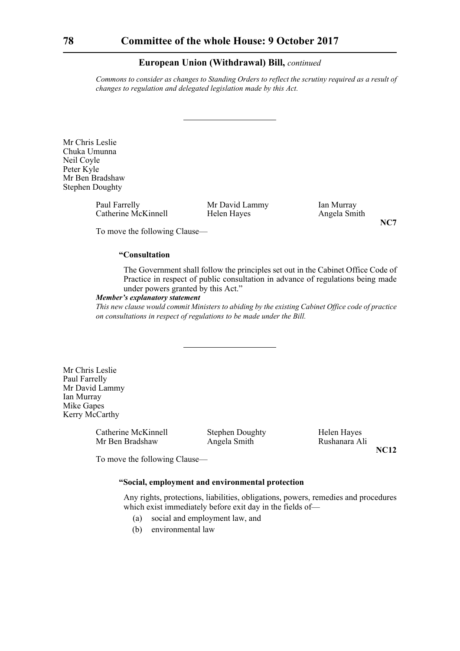*Commons to consider as changes to Standing Orders to reflect the scrutiny required as a result of changes to regulation and delegated legislation made by this Act.*

Mr Chris Leslie Chuka Umunna Neil Coyle Peter Kyle Mr Ben Bradshaw Stephen Doughty

> Paul Farrelly Mr David Lammy Ian Murray<br>Catherine McKinnell Helen Hayes Angela Smith Catherine McKinnell

**NC7**

To move the following Clause—

## **"Consultation**

The Government shall follow the principles set out in the Cabinet Office Code of Practice in respect of public consultation in advance of regulations being made under powers granted by this Act."

#### *Member's explanatory statement*

*This new clause would commit Ministers to abiding by the existing Cabinet Office code of practice on consultations in respect of regulations to be made under the Bill.*

Mr Chris Leslie Paul Farrelly Mr David Lammy Ian Murray Mike Gapes Kerry McCarthy

> Catherine McKinnell Stephen Doughty Helen Hayes Mr Ben Bradshaw Angela Smith Rushanara Ali

**NC12**

To move the following Clause—

#### **"Social, employment and environmental protection**

Any rights, protections, liabilities, obligations, powers, remedies and procedures which exist immediately before exit day in the fields of-

- (a) social and employment law, and
- (b) environmental law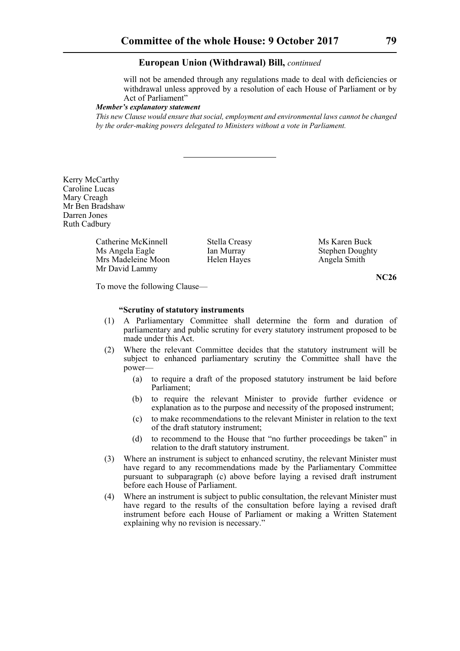will not be amended through any regulations made to deal with deficiencies or withdrawal unless approved by a resolution of each House of Parliament or by Act of Parliament"

#### *Member's explanatory statement*

*This new Clause would ensure that social, employment and environmental laws cannot be changed by the order-making powers delegated to Ministers without a vote in Parliament.*

Kerry McCarthy Caroline Lucas Mary Creagh Mr Ben Bradshaw Darren Jones Ruth Cadbury

> Catherine McKinnell Stella Creasy Ms Karen Buck<br>
> Ms Angela Eagle Ian Murray Stephen Doughty Ms Angela Eagle Mrs Madeleine Moon Helen Hayes Angela Smith Mr David Lammy

**NC26**

To move the following Clause—

#### **"Scrutiny of statutory instruments**

- (1) A Parliamentary Committee shall determine the form and duration of parliamentary and public scrutiny for every statutory instrument proposed to be made under this Act.
- (2) Where the relevant Committee decides that the statutory instrument will be subject to enhanced parliamentary scrutiny the Committee shall have the power—
	- (a) to require a draft of the proposed statutory instrument be laid before Parliament;
	- (b) to require the relevant Minister to provide further evidence or explanation as to the purpose and necessity of the proposed instrument;
	- (c) to make recommendations to the relevant Minister in relation to the text of the draft statutory instrument;
	- (d) to recommend to the House that "no further proceedings be taken" in relation to the draft statutory instrument.
- (3) Where an instrument is subject to enhanced scrutiny, the relevant Minister must have regard to any recommendations made by the Parliamentary Committee pursuant to subparagraph (c) above before laying a revised draft instrument before each House of Parliament.
- (4) Where an instrument is subject to public consultation, the relevant Minister must have regard to the results of the consultation before laying a revised draft instrument before each House of Parliament or making a Written Statement explaining why no revision is necessary."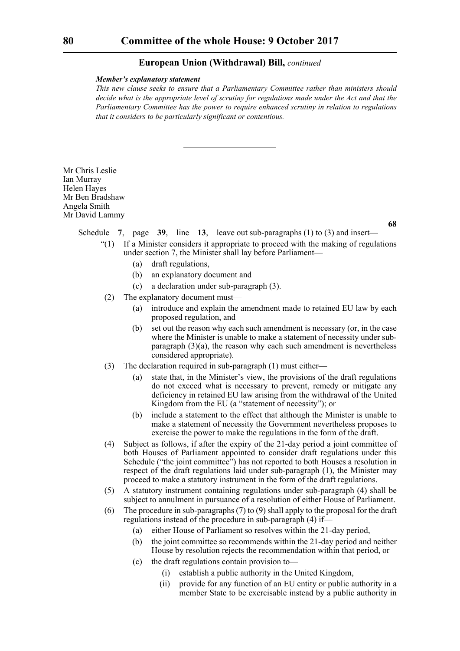#### *Member's explanatory statement*

*This new clause seeks to ensure that a Parliamentary Committee rather than ministers should decide what is the appropriate level of scrutiny for regulations made under the Act and that the Parliamentary Committee has the power to require enhanced scrutiny in relation to regulations that it considers to be particularly significant or contentious.*

Mr Chris Leslie Ian Murray Helen Hayes Mr Ben Bradshaw Angela Smith Mr David Lammy

**68**

Schedule **7**, page **39**, line **13**, leave out sub-paragraphs (1) to (3) and insert—

- "(1) If a Minister considers it appropriate to proceed with the making of regulations under section 7, the Minister shall lay before Parliament—
	- (a) draft regulations,
	- (b) an explanatory document and
	- (c) a declaration under sub-paragraph (3).
- (2) The explanatory document must—
	- (a) introduce and explain the amendment made to retained EU law by each proposed regulation, and
	- (b) set out the reason why each such amendment is necessary (or, in the case where the Minister is unable to make a statement of necessity under subparagraph (3)(a), the reason why each such amendment is nevertheless considered appropriate).
- (3) The declaration required in sub-paragraph (1) must either—
	- (a) state that, in the Minister's view, the provisions of the draft regulations do not exceed what is necessary to prevent, remedy or mitigate any deficiency in retained EU law arising from the withdrawal of the United Kingdom from the EU (a "statement of necessity"); or
	- (b) include a statement to the effect that although the Minister is unable to make a statement of necessity the Government nevertheless proposes to exercise the power to make the regulations in the form of the draft.
- (4) Subject as follows, if after the expiry of the 21-day period a joint committee of both Houses of Parliament appointed to consider draft regulations under this Schedule ("the joint committee") has not reported to both Houses a resolution in respect of the draft regulations laid under sub-paragraph (1), the Minister may proceed to make a statutory instrument in the form of the draft regulations.
- (5) A statutory instrument containing regulations under sub-paragraph (4) shall be subject to annulment in pursuance of a resolution of either House of Parliament.
- (6) The procedure in sub-paragraphs (7) to (9) shall apply to the proposal for the draft regulations instead of the procedure in sub-paragraph (4) if—
	- (a) either House of Parliament so resolves within the 21-day period,
	- (b) the joint committee so recommends within the 21-day period and neither House by resolution rejects the recommendation within that period, or
	- (c) the draft regulations contain provision to—
		- (i) establish a public authority in the United Kingdom,
		- (ii) provide for any function of an EU entity or public authority in a member State to be exercisable instead by a public authority in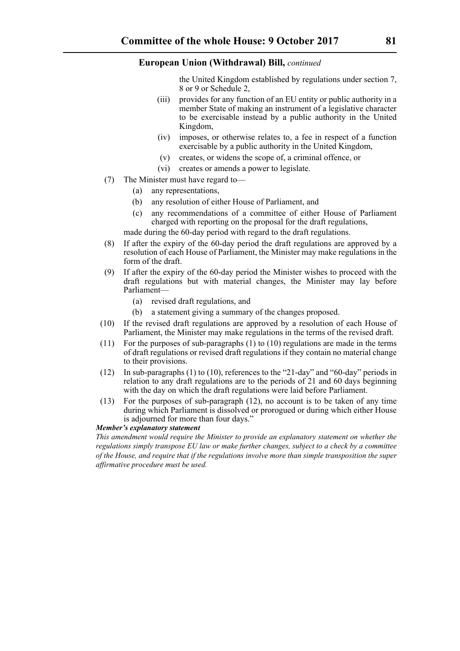the United Kingdom established by regulations under section 7, 8 or 9 or Schedule 2,

- (iii) provides for any function of an EU entity or public authority in a member State of making an instrument of a legislative character to be exercisable instead by a public authority in the United Kingdom,
- (iv) imposes, or otherwise relates to, a fee in respect of a function exercisable by a public authority in the United Kingdom,
- (v) creates, or widens the scope of, a criminal offence, or
- (vi) creates or amends a power to legislate.
- (7) The Minister must have regard to—
	- (a) any representations,
	- (b) any resolution of either House of Parliament, and
	- (c) any recommendations of a committee of either House of Parliament charged with reporting on the proposal for the draft regulations,

made during the 60-day period with regard to the draft regulations.

- (8) If after the expiry of the 60-day period the draft regulations are approved by a resolution of each House of Parliament, the Minister may make regulations in the form of the draft.
- (9) If after the expiry of the 60-day period the Minister wishes to proceed with the draft regulations but with material changes, the Minister may lay before Parliament—
	- (a) revised draft regulations, and
	- (b) a statement giving a summary of the changes proposed.
- (10) If the revised draft regulations are approved by a resolution of each House of Parliament, the Minister may make regulations in the terms of the revised draft.
- (11) For the purposes of sub-paragraphs (1) to (10) regulations are made in the terms of draft regulations or revised draft regulations if they contain no material change to their provisions.
- (12) In sub-paragraphs (1) to (10), references to the "21-day" and "60-day" periods in relation to any draft regulations are to the periods of 21 and 60 days beginning with the day on which the draft regulations were laid before Parliament.
- (13) For the purposes of sub-paragraph (12), no account is to be taken of any time during which Parliament is dissolved or prorogued or during which either House is adjourned for more than four days."

## *Member's explanatory statement*

*This amendment would require the Minister to provide an explanatory statement on whether the regulations simply transpose EU law or make further changes, subject to a check by a committee of the House, and require that if the regulations involve more than simple transposition the super affirmative procedure must be used.*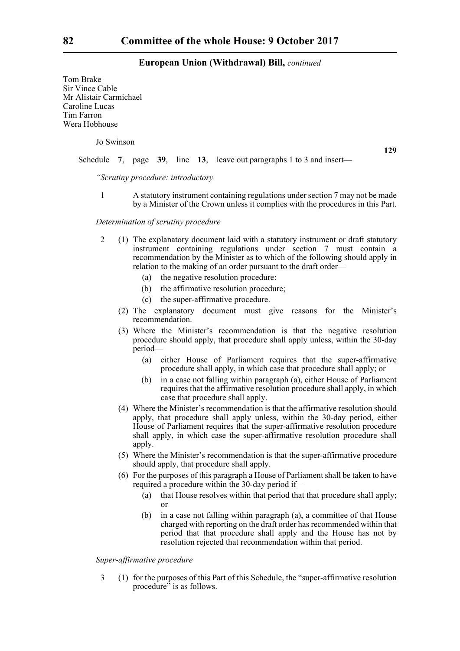Tom Brake Sir Vince Cable Mr Alistair Carmichael Caroline Lucas Tim Farron Wera Hobhouse

Jo Swinson

**129**

Schedule **7**, page **39**, line **13**, leave out paragraphs 1 to 3 and insert—

*"Scrutiny procedure: introductory*

1 A statutory instrument containing regulations under section 7 may not be made by a Minister of the Crown unless it complies with the procedures in this Part.

## *Determination of scrutiny procedure*

- 2 (1) The explanatory document laid with a statutory instrument or draft statutory instrument containing regulations under section 7 must contain a recommendation by the Minister as to which of the following should apply in relation to the making of an order pursuant to the draft order—
	- (a) the negative resolution procedure:
	- (b) the affirmative resolution procedure;
	- (c) the super-affirmative procedure.
	- (2) The explanatory document must give reasons for the Minister's recommendation.
	- (3) Where the Minister's recommendation is that the negative resolution procedure should apply, that procedure shall apply unless, within the 30-day period—
		- (a) either House of Parliament requires that the super-affirmative procedure shall apply, in which case that procedure shall apply; or
		- (b) in a case not falling within paragraph (a), either House of Parliament requires that the affirmative resolution procedure shall apply, in which case that procedure shall apply.
	- (4) Where the Minister's recommendation is that the affirmative resolution should apply, that procedure shall apply unless, within the 30-day period, either House of Parliament requires that the super-affirmative resolution procedure shall apply, in which case the super-affirmative resolution procedure shall apply.
	- (5) Where the Minister's recommendation is that the super-affirmative procedure should apply, that procedure shall apply.
	- (6) For the purposes of this paragraph a House of Parliament shall be taken to have required a procedure within the 30-day period if—
		- (a) that House resolves within that period that that procedure shall apply; or
		- (b) in a case not falling within paragraph (a), a committee of that House charged with reporting on the draft order has recommended within that period that that procedure shall apply and the House has not by resolution rejected that recommendation within that period.

## *Super-affirmative procedure*

3 (1) for the purposes of this Part of this Schedule, the "super-affirmative resolution procedure" is as follows.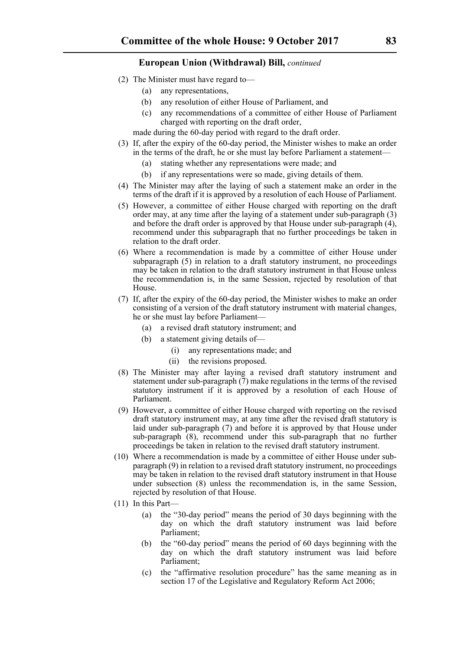- (2) The Minister must have regard to—
	- (a) any representations,
	- (b) any resolution of either House of Parliament, and
	- (c) any recommendations of a committee of either House of Parliament charged with reporting on the draft order,

made during the 60-day period with regard to the draft order.

- (3) If, after the expiry of the 60-day period, the Minister wishes to make an order in the terms of the draft, he or she must lay before Parliament a statement—
	- (a) stating whether any representations were made; and
	- (b) if any representations were so made, giving details of them.
- (4) The Minister may after the laying of such a statement make an order in the terms of the draft if it is approved by a resolution of each House of Parliament.
- (5) However, a committee of either House charged with reporting on the draft order may, at any time after the laying of a statement under sub-paragraph (3) and before the draft order is approved by that House under sub-paragraph (4), recommend under this subparagraph that no further proceedings be taken in relation to the draft order.
- (6) Where a recommendation is made by a committee of either House under subparagraph (5) in relation to a draft statutory instrument, no proceedings may be taken in relation to the draft statutory instrument in that House unless the recommendation is, in the same Session, rejected by resolution of that House.
- (7) If, after the expiry of the 60-day period, the Minister wishes to make an order consisting of a version of the draft statutory instrument with material changes, he or she must lay before Parliament—
	- (a) a revised draft statutory instrument; and
	- (b) a statement giving details of—
		- (i) any representations made; and
		- (ii) the revisions proposed.
- (8) The Minister may after laying a revised draft statutory instrument and statement under sub-paragraph (7) make regulations in the terms of the revised statutory instrument if it is approved by a resolution of each House of Parliament.
- (9) However, a committee of either House charged with reporting on the revised draft statutory instrument may, at any time after the revised draft statutory is laid under sub-paragraph (7) and before it is approved by that House under sub-paragraph (8), recommend under this sub-paragraph that no further proceedings be taken in relation to the revised draft statutory instrument.
- (10) Where a recommendation is made by a committee of either House under subparagraph (9) in relation to a revised draft statutory instrument, no proceedings may be taken in relation to the revised draft statutory instrument in that House under subsection (8) unless the recommendation is, in the same Session, rejected by resolution of that House.
- (11) In this Part—
	- (a) the "30-day period" means the period of 30 days beginning with the day on which the draft statutory instrument was laid before Parliament;
	- (b) the "60-day period" means the period of 60 days beginning with the day on which the draft statutory instrument was laid before Parliament;
	- (c) the "affirmative resolution procedure" has the same meaning as in section 17 of the Legislative and Regulatory Reform Act 2006;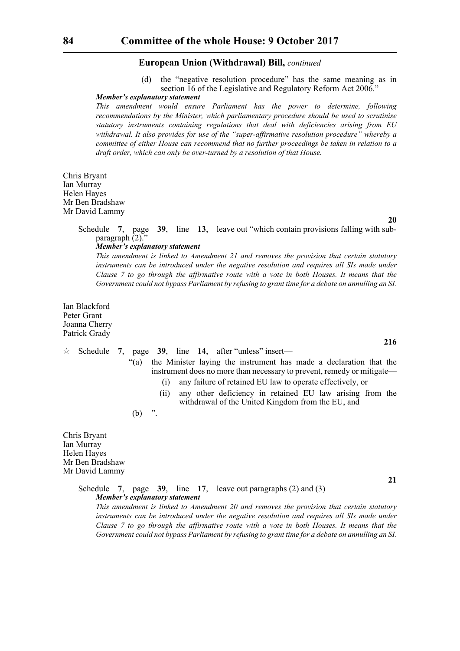(d) the "negative resolution procedure" has the same meaning as in section 16 of the Legislative and Regulatory Reform Act 2006."

#### *Member's explanatory statement*

*This amendment would ensure Parliament has the power to determine, following recommendations by the Minister, which parliamentary procedure should be used to scrutinise statutory instruments containing regulations that deal with deficiencies arising from EU withdrawal. It also provides for use of the "super-affirmative resolution procedure" whereby a committee of either House can recommend that no further proceedings be taken in relation to a draft order, which can only be over-turned by a resolution of that House.*

Chris Bryant Ian Murray Helen Hayes Mr Ben Bradshaw Mr David Lammy

**20**

**216**

**21**

Schedule **7**, page **39**, line **13**, leave out "which contain provisions falling with subparagraph (2)."

#### *Member's explanatory statement*

*This amendment is linked to Amendment 21 and removes the provision that certain statutory instruments can be introduced under the negative resolution and requires all SIs made under Clause 7 to go through the affirmative route with a vote in both Houses. It means that the Government could not bypass Parliament by refusing to grant time for a debate on annulling an SI.*

Ian Blackford Peter Grant Joanna Cherry Patrick Grady

#### $\hat{\varphi}$  Schedule 7, page 39, line 14, after "unless" insert—

- "(a) the Minister laying the instrument has made a declaration that the instrument does no more than necessary to prevent, remedy or mitigate—
	- (i) any failure of retained EU law to operate effectively, or
	- (ii) any other deficiency in retained EU law arising from the withdrawal of the United Kingdom from the EU, and

 $(b)$  ".

Chris Bryant Ian Murray Helen Hayes Mr Ben Bradshaw Mr David Lammy

> Schedule **7**, page **39**, line **17**, leave out paragraphs (2) and (3) *Member's explanatory statement This amendment is linked to Amendment 20 and removes the provision that certain statutory*

*instruments can be introduced under the negative resolution and requires all SIs made under Clause 7 to go through the affirmative route with a vote in both Houses. It means that the Government could not bypass Parliament by refusing to grant time for a debate on annulling an SI.*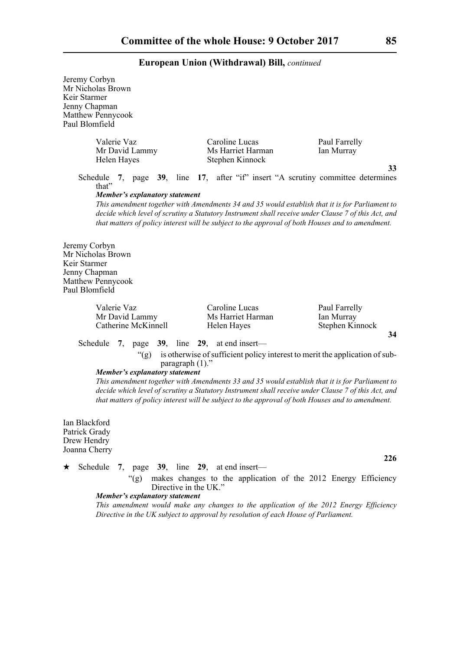| Jeremy Corbyn<br>Keir Starmer<br>Jenny Chapman<br>Paul Blomfield | Mr Nicholas Brown<br>Matthew Pennycook                                                                                            |                                                                                                                                                                                                                                                                                                                                                                                          |                                                      |
|------------------------------------------------------------------|-----------------------------------------------------------------------------------------------------------------------------------|------------------------------------------------------------------------------------------------------------------------------------------------------------------------------------------------------------------------------------------------------------------------------------------------------------------------------------------------------------------------------------------|------------------------------------------------------|
|                                                                  | Valerie Vaz<br>Mr David Lammy<br>Helen Hayes                                                                                      | Caroline Lucas<br>Ms Harriet Harman<br>Stephen Kinnock                                                                                                                                                                                                                                                                                                                                   | Paul Farrelly<br>Ian Murray                          |
|                                                                  | Schedule<br>that"<br><b>Member's explanatory statement</b>                                                                        | 7, page 39, line 17, after "if" insert "A scrutiny committee determines<br>This amendment together with Amendments 34 and 35 would establish that it is for Parliament to<br>decide which level of scrutiny a Statutory Instrument shall receive under Clause 7 of this Act, and<br>that matters of policy interest will be subject to the approval of both Houses and to amendment.     | 33                                                   |
| Jeremy Corbyn<br>Keir Starmer<br>Jenny Chapman<br>Paul Blomfield | Mr Nicholas Brown<br>Matthew Pennycook                                                                                            |                                                                                                                                                                                                                                                                                                                                                                                          |                                                      |
|                                                                  | Valerie Vaz<br>Mr David Lammy<br>Catherine McKinnell                                                                              | Caroline Lucas<br>Ms Harriet Harman<br>Helen Hayes                                                                                                                                                                                                                                                                                                                                       | Paul Farrelly<br>Ian Murray<br>Stephen Kinnock<br>34 |
|                                                                  | Schedule 7, page $39$ , line $29$ , at end insert—<br>" $(g)$ "<br>paragraph $(1)$ ."<br><b>Member's explanatory statement</b>    | is otherwise of sufficient policy interest to merit the application of sub-<br>This amendment together with Amendments 33 and 35 would establish that it is for Parliament to<br>decide which level of scrutiny a Statutory Instrument shall receive under Clause 7 of this Act, and<br>that matters of policy interest will be subject to the approval of both Houses and to amendment. |                                                      |
| Ian Blackford<br>Patrick Grady<br>Drew Hendry<br>Joanna Cherry   |                                                                                                                                   |                                                                                                                                                                                                                                                                                                                                                                                          |                                                      |
| ★                                                                | Schedule 7, page $39$ , line $29$ , at end insert—<br>" $(g)$ "<br>Directive in the UK."<br><b>Member's explanatory statement</b> | makes changes to the application of the 2012 Energy Efficiency<br>This amendment would make any changes to the application of the 2012 Energy Efficiency<br>Directive in the UK subject to approval by resolution of each House of Parliament.                                                                                                                                           | 226                                                  |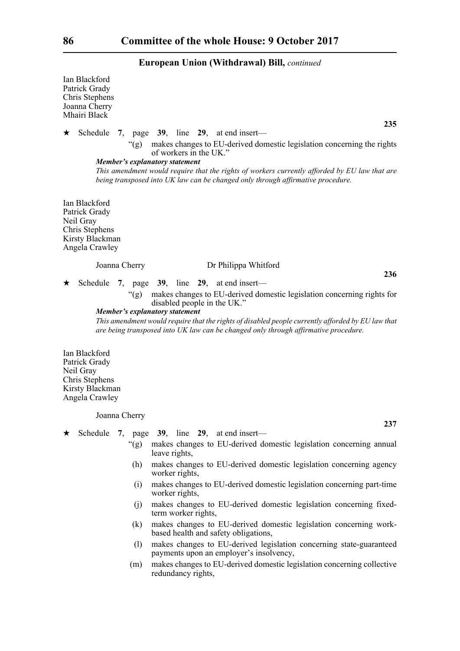|    | Ian Blackford<br>Patrick Grady<br>Chris Stephens<br>Joanna Cherry<br>Mhairi Black                  |    |               |                                                                                                                                                                                                                                                                                                                                          |
|----|----------------------------------------------------------------------------------------------------|----|---------------|------------------------------------------------------------------------------------------------------------------------------------------------------------------------------------------------------------------------------------------------------------------------------------------------------------------------------------------|
| ★. |                                                                                                    |    |               | 235<br>Schedule 7, page 39, line 29, at end insert—                                                                                                                                                                                                                                                                                      |
|    |                                                                                                    |    |               | "(g) makes changes to EU-derived domestic legislation concerning the rights<br>of workers in the UK."<br><b>Member's explanatory statement</b>                                                                                                                                                                                           |
|    |                                                                                                    |    |               | This amendment would require that the rights of workers currently afforded by EU law that are<br>being transposed into UK law can be changed only through affirmative procedure.                                                                                                                                                         |
|    | Ian Blackford<br>Patrick Grady<br>Neil Gray<br>Chris Stephens<br>Kirsty Blackman<br>Angela Crawley |    |               |                                                                                                                                                                                                                                                                                                                                          |
|    |                                                                                                    |    | Joanna Cherry | Dr Philippa Whitford                                                                                                                                                                                                                                                                                                                     |
| ★  |                                                                                                    |    |               | 236<br>Schedule 7, page 39, line 29, at end insert-                                                                                                                                                                                                                                                                                      |
|    |                                                                                                    |    |               | "(g) makes changes to EU-derived domestic legislation concerning rights for<br>disabled people in the UK."<br>Member's explanatory statement<br>This amendment would require that the rights of disabled people currently afforded by EU law that<br>are being transposed into UK law can be changed only through affirmative procedure. |
|    | Ian Blackford<br>Patrick Grady<br>Neil Gray<br>Chris Stephens<br>Kirsty Blackman<br>Angela Crawley |    |               |                                                                                                                                                                                                                                                                                                                                          |
|    |                                                                                                    |    | Joanna Cherry |                                                                                                                                                                                                                                                                                                                                          |
| ★. | Schedule                                                                                           | 7, |               | 237<br>page 39, line 29, at end insert—                                                                                                                                                                                                                                                                                                  |
|    |                                                                                                    |    | " $(g)$ "     | makes changes to EU-derived domestic legislation concerning annual                                                                                                                                                                                                                                                                       |
|    |                                                                                                    |    | (h)           | leave rights,<br>makes changes to EU-derived domestic legislation concerning agency                                                                                                                                                                                                                                                      |
|    |                                                                                                    |    | (i)           | worker rights,<br>makes changes to EU-derived domestic legislation concerning part-time                                                                                                                                                                                                                                                  |
|    |                                                                                                    |    |               | worker rights,                                                                                                                                                                                                                                                                                                                           |
|    |                                                                                                    |    | (j)           | makes changes to EU-derived domestic legislation concerning fixed-<br>term worker rights,                                                                                                                                                                                                                                                |
|    |                                                                                                    |    | (k)           | makes changes to EU-derived domestic legislation concerning work-<br>based health and safety obligations,                                                                                                                                                                                                                                |
|    |                                                                                                    |    | (1)           | makes changes to EU-derived legislation concerning state-guaranteed<br>payments upon an employer's insolvency,                                                                                                                                                                                                                           |

(m) makes changes to EU-derived domestic legislation concerning collective redundancy rights,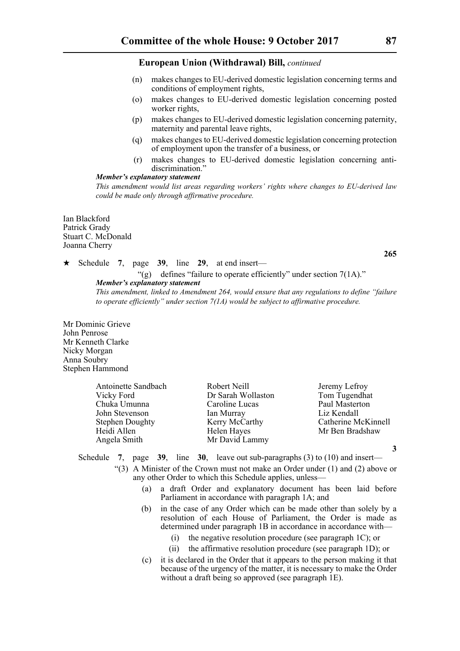- (n) makes changes to EU-derived domestic legislation concerning terms and conditions of employment rights,
- (o) makes changes to EU-derived domestic legislation concerning posted worker rights,
- (p) makes changes to EU-derived domestic legislation concerning paternity, maternity and parental leave rights,
- (q) makes changes to EU-derived domestic legislation concerning protection of employment upon the transfer of a business, or
- (r) makes changes to EU-derived domestic legislation concerning antidiscrimination.<sup>"</sup>

#### *Member's explanatory statement*

*This amendment would list areas regarding workers' rights where changes to EU-derived law could be made only through affirmative procedure.*

Ian Blackford Patrick Grady Stuart C. McDonald Joanna Cherry

## Schedule **7**, page **39**, line **29**, at end insert—

"(g) defines "failure to operate efficiently" under section 7(1A)." *Member's explanatory statement* 

*This amendment, linked to Amendment 264, would ensure that any regulations to define "failure to operate efficiently" under section 7(1A) would be subject to affirmative procedure.*

Mr Dominic Grieve John Penrose Mr Kenneth Clarke Nicky Morgan Anna Soubry Stephen Hammond

| Antoinette Sandbach    | Robert Neill       | Jeremy Lefroy       |
|------------------------|--------------------|---------------------|
| Vicky Ford             | Dr Sarah Wollaston | Tom Tugendhat       |
| Chuka Umunna           | Caroline Lucas     | Paul Masterton      |
| John Stevenson         | Ian Murray         | Liz Kendall         |
| <b>Stephen Doughty</b> | Kerry McCarthy     | Catherine McKinnell |
| Heidi Allen            | Helen Hayes        | Mr Ben Bradshaw     |
| Angela Smith           | Mr David Lammy     |                     |

**3**

## Schedule **7**, page **39**, line **30**, leave out sub-paragraphs (3) to (10) and insert—

- "(3) A Minister of the Crown must not make an Order under  $(1)$  and  $(2)$  above or any other Order to which this Schedule applies, unless—
	- (a) a draft Order and explanatory document has been laid before Parliament in accordance with paragraph 1A; and
	- (b) in the case of any Order which can be made other than solely by a resolution of each House of Parliament, the Order is made as determined under paragraph 1B in accordance in accordance with—
		- (i) the negative resolution procedure (see paragraph 1C); or
		- (ii) the affirmative resolution procedure (see paragraph 1D); or
	- (c) it is declared in the Order that it appears to the person making it that because of the urgency of the matter, it is necessary to make the Order without a draft being so approved (see paragraph 1E).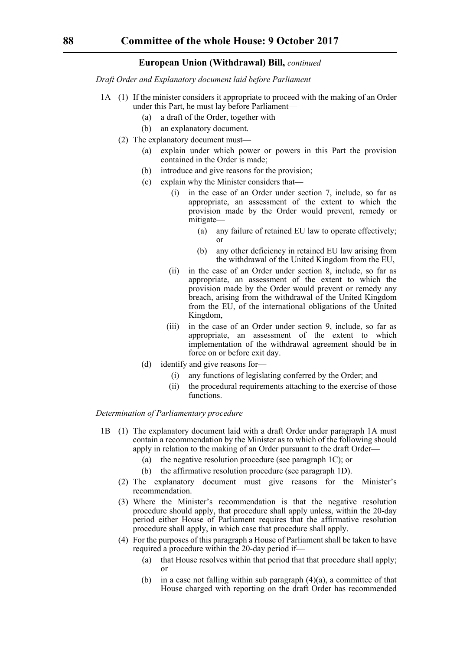*Draft Order and Explanatory document laid before Parliament*

- 1A (1) If the minister considers it appropriate to proceed with the making of an Order under this Part, he must lay before Parliament—
	- (a) a draft of the Order, together with
	- (b) an explanatory document.
	- (2) The explanatory document must—
		- (a) explain under which power or powers in this Part the provision contained in the Order is made;
		- (b) introduce and give reasons for the provision;
		- (c) explain why the Minister considers that
			- in the case of an Order under section 7, include, so far as appropriate, an assessment of the extent to which the provision made by the Order would prevent, remedy or mitigate—
				- (a) any failure of retained EU law to operate effectively; or
				- (b) any other deficiency in retained EU law arising from the withdrawal of the United Kingdom from the EU,
			- (ii) in the case of an Order under section 8, include, so far as appropriate, an assessment of the extent to which the provision made by the Order would prevent or remedy any breach, arising from the withdrawal of the United Kingdom from the EU, of the international obligations of the United Kingdom,
			- (iii) in the case of an Order under section 9, include, so far as appropriate, an assessment of the extent to which implementation of the withdrawal agreement should be in force on or before exit day.
		- (d) identify and give reasons for—
			- (i) any functions of legislating conferred by the Order; and
			- (ii) the procedural requirements attaching to the exercise of those functions.

## *Determination of Parliamentary procedure*

- 1B (1) The explanatory document laid with a draft Order under paragraph 1A must contain a recommendation by the Minister as to which of the following should apply in relation to the making of an Order pursuant to the draft Order—
	- (a) the negative resolution procedure (see paragraph 1C); or
	- (b) the affirmative resolution procedure (see paragraph 1D).
	- (2) The explanatory document must give reasons for the Minister's recommendation.
	- (3) Where the Minister's recommendation is that the negative resolution procedure should apply, that procedure shall apply unless, within the 20-day period either House of Parliament requires that the affirmative resolution procedure shall apply, in which case that procedure shall apply.
	- (4) For the purposes of this paragraph a House of Parliament shall be taken to have required a procedure within the 20-day period if—
		- (a) that House resolves within that period that that procedure shall apply; or
		- (b) in a case not falling within sub paragraph  $(4)(a)$ , a committee of that House charged with reporting on the draft Order has recommended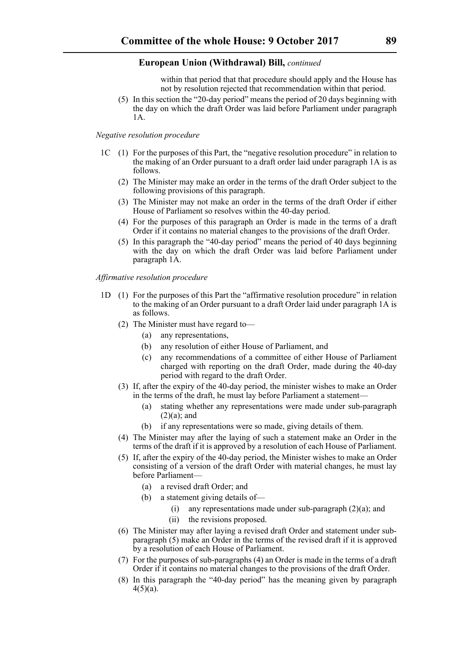within that period that that procedure should apply and the House has not by resolution rejected that recommendation within that period.

(5) In this section the "20-day period" means the period of 20 days beginning with the day on which the draft Order was laid before Parliament under paragraph 1A.

## *Negative resolution procedure*

- 1C (1) For the purposes of this Part, the "negative resolution procedure" in relation to the making of an Order pursuant to a draft order laid under paragraph 1A is as follows.
	- (2) The Minister may make an order in the terms of the draft Order subject to the following provisions of this paragraph.
	- (3) The Minister may not make an order in the terms of the draft Order if either House of Parliament so resolves within the 40-day period.
	- (4) For the purposes of this paragraph an Order is made in the terms of a draft Order if it contains no material changes to the provisions of the draft Order.
	- (5) In this paragraph the "40-day period" means the period of 40 days beginning with the day on which the draft Order was laid before Parliament under paragraph 1A.

*Affirmative resolution procedure*

- 1D (1) For the purposes of this Part the "affirmative resolution procedure" in relation to the making of an Order pursuant to a draft Order laid under paragraph 1A is as follows.
	- (2) The Minister must have regard to—
		- (a) any representations,
		- (b) any resolution of either House of Parliament, and
		- (c) any recommendations of a committee of either House of Parliament charged with reporting on the draft Order, made during the 40-day period with regard to the draft Order.
	- (3) If, after the expiry of the 40-day period, the minister wishes to make an Order in the terms of the draft, he must lay before Parliament a statement—
		- (a) stating whether any representations were made under sub-paragraph  $(2)(a)$ ; and
		- (b) if any representations were so made, giving details of them.
	- (4) The Minister may after the laying of such a statement make an Order in the terms of the draft if it is approved by a resolution of each House of Parliament.
	- (5) If, after the expiry of the 40-day period, the Minister wishes to make an Order consisting of a version of the draft Order with material changes, he must lay before Parliament—
		- (a) a revised draft Order; and
		- (b) a statement giving details of—
			- (i) any representations made under sub-paragraph (2)(a); and
			- (ii) the revisions proposed.
	- (6) The Minister may after laying a revised draft Order and statement under subparagraph (5) make an Order in the terms of the revised draft if it is approved by a resolution of each House of Parliament.
	- (7) For the purposes of sub-paragraphs (4) an Order is made in the terms of a draft Order if it contains no material changes to the provisions of the draft Order.
	- (8) In this paragraph the "40-day period" has the meaning given by paragraph  $4(5)(a)$ .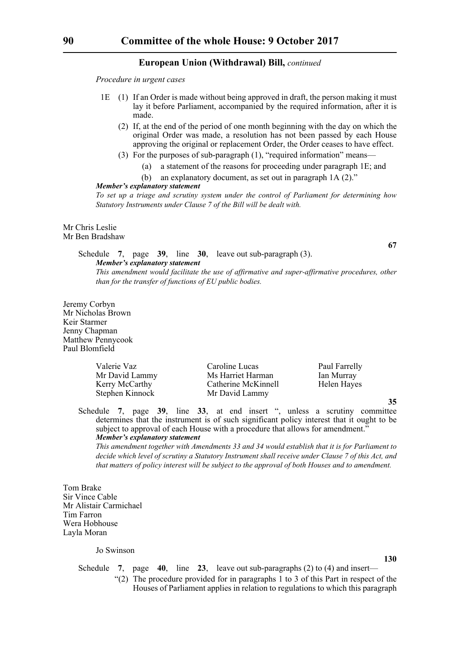*Procedure in urgent cases*

- 1E (1) If an Order is made without being approved in draft, the person making it must lay it before Parliament, accompanied by the required information, after it is made.
	- (2) If, at the end of the period of one month beginning with the day on which the original Order was made, a resolution has not been passed by each House approving the original or replacement Order, the Order ceases to have effect.
	- (3) For the purposes of sub-paragraph (1), "required information" means—
		- (a) a statement of the reasons for proceeding under paragraph 1E; and
		- (b) an explanatory document, as set out in paragraph 1A (2)."

#### *Member's explanatory statement*

*To set up a triage and scrutiny system under the control of Parliament for determining how Statutory Instruments under Clause 7 of the Bill will be dealt with.*

Mr Chris Leslie Mr Ben Bradshaw

> Schedule **7**, page **39**, line **30**, leave out sub-paragraph (3). *Member's explanatory statement This amendment would facilitate the use of affirmative and super-affirmative procedures, other than for the transfer of functions of EU public bodies.*

Jeremy Corbyn Mr Nicholas Brown Keir Starmer Jenny Chapman Matthew Pennycook Paul Blomfield

| Valerie Vaz     | Caroline Lucas      | Paul Farrelly |
|-----------------|---------------------|---------------|
| Mr David Lammy  | Ms Harriet Harman   | Ian Murray    |
| Kerry McCarthy  | Catherine McKinnell | Helen Hayes   |
| Stephen Kinnock | Mr David Lammy      |               |

Schedule **7**, page **39**, line **33**, at end insert ", unless a scrutiny committee determines that the instrument is of such significant policy interest that it ought to be subject to approval of each House with a procedure that allows for amendment." *Member's explanatory statement* 

*This amendment together with Amendments 33 and 34 would establish that it is for Parliament to decide which level of scrutiny a Statutory Instrument shall receive under Clause 7 of this Act, and that matters of policy interest will be subject to the approval of both Houses and to amendment.*

Tom Brake Sir Vince Cable Mr Alistair Carmichael Tim Farron Wera Hobhouse Layla Moran

Jo Swinson

**130**

**67**

- Schedule **7**, page **40**, line **23**, leave out sub-paragraphs (2) to (4) and insert—
	- "(2) The procedure provided for in paragraphs 1 to 3 of this Part in respect of the Houses of Parliament applies in relation to regulations to which this paragraph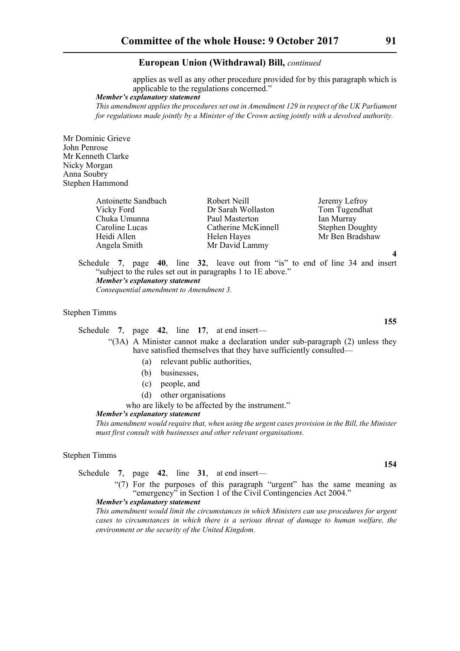applies as well as any other procedure provided for by this paragraph which is applicable to the regulations concerned."

*Member's explanatory statement* 

*This amendment applies the procedures set out in Amendment 129 in respect of the UK Parliament for regulations made jointly by a Minister of the Crown acting jointly with a devolved authority.*

Mr Dominic Grieve John Penrose Mr Kenneth Clarke Nicky Morgan Anna Soubry Stephen Hammond

| Antoinette Sandbach | Robert Neill        | Jeremy Lefroy          |
|---------------------|---------------------|------------------------|
| Vicky Ford          | Dr Sarah Wollaston  | Tom Tugendhat          |
| Chuka Umunna        | Paul Masterton      | Ian Murray             |
| Caroline Lucas      | Catherine McKinnell | <b>Stephen Doughty</b> |
| Heidi Allen         | Helen Hayes         | Mr Ben Bradshaw        |
| Angela Smith        | Mr David Lammy      |                        |

Schedule **7**, page **40**, line **32**, leave out from "is" to end of line 34 and insert "subject to the rules set out in paragraphs 1 to 1E above." *Member's explanatory statement* 

*Consequential amendment to Amendment 3.*

#### Stephen Timms

Schedule **7**, page **42**, line **17**, at end insert—

"(3A) A Minister cannot make a declaration under sub-paragraph (2) unless they have satisfied themselves that they have sufficiently consulted—

- (a) relevant public authorities,
- (b) businesses,
- (c) people, and
- (d) other organisations
- who are likely to be affected by the instrument."

#### *Member's explanatory statement*

*This amendment would require that, when using the urgent cases provision in the Bill, the Minister must first consult with businesses and other relevant organisations.*

#### Stephen Timms

Schedule **7**, page **42**, line **31**, at end insert—

"(7) For the purposes of this paragraph "urgent" has the same meaning as "emergency" in Section 1 of the Civil Contingencies Act 2004."

#### *Member's explanatory statement*

*This amendment would limit the circumstances in which Ministers can use procedures for urgent cases to circumstances in which there is a serious threat of damage to human welfare, the environment or the security of the United Kingdom.*

**155**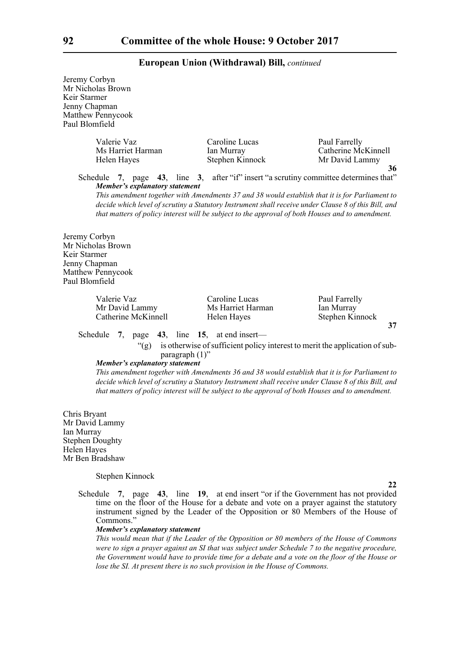Jeremy Corbyn Mr Nicholas Brown Keir Starmer Jenny Chapman Matthew Pennycook Paul Blomfield

| Valerie Vaz       | Caroline Lucas                     | Paul Farrelly       |
|-------------------|------------------------------------|---------------------|
| Ms Harriet Harman | Ian Murray                         | Catherine McKinnell |
| Helen Hayes       | Stephen Kinnock                    | Mr David Lammy      |
|                   | $\sim$ $\sim$ $\sim$ $\sim$ $\sim$ |                     |

Schedule **7**, page **43**, line **3**, after "if" insert "a scrutiny committee determines that" *Member's explanatory statement* 

*This amendment together with Amendments 37 and 38 would establish that it is for Parliament to decide which level of scrutiny a Statutory Instrument shall receive under Clause 8 of this Bill, and that matters of policy interest will be subject to the approval of both Houses and to amendment.*

Jeremy Corbyn Mr Nicholas Brown Keir Starmer Jenny Chapman Matthew Pennycook Paul Blomfield

> Valerie Vaz Caroline Lucas Paul Farrelly Mr David Lammy Ms Harriet Harman Ian Murray Catherine McKinnell Helen Hayes Stephen Kinnock

**37**

**22**

**36**

#### Schedule **7**, page **43**, line **15**, at end insert—

"(g) is otherwise of sufficient policy interest to merit the application of subparagraph (1)"

#### *Member's explanatory statement*

*This amendment together with Amendments 36 and 38 would establish that it is for Parliament to decide which level of scrutiny a Statutory Instrument shall receive under Clause 8 of this Bill, and that matters of policy interest will be subject to the approval of both Houses and to amendment.*

Chris Bryant Mr David Lammy Ian Murray Stephen Doughty Helen Hayes Mr Ben Bradshaw

#### Stephen Kinnock

Schedule **7**, page **43**, line **19**, at end insert "or if the Government has not provided time on the floor of the House for a debate and vote on a prayer against the statutory instrument signed by the Leader of the Opposition or 80 Members of the House of Commons."

#### *Member's explanatory statement*

*This would mean that if the Leader of the Opposition or 80 members of the House of Commons were to sign a prayer against an SI that was subject under Schedule 7 to the negative procedure, the Government would have to provide time for a debate and a vote on the floor of the House or lose the SI. At present there is no such provision in the House of Commons.*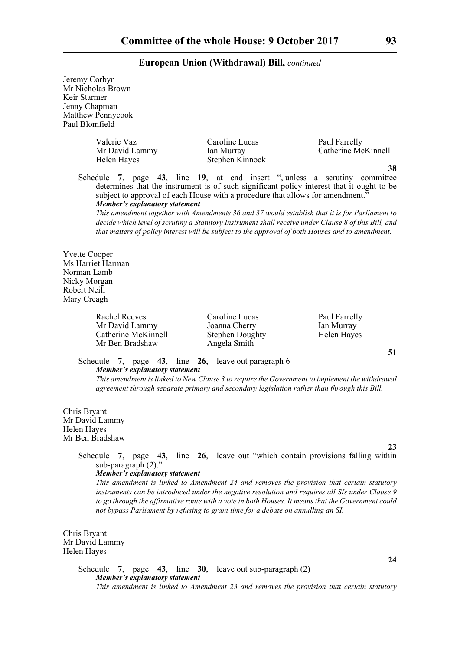Jeremy Corbyn Mr Nicholas Brown Keir Starmer Jenny Chapman Matthew Pennycook Paul Blomfield

| Valerie Vaz<br>Mr David Lammy<br>Helen Hayes | Caroline Lucas<br>Ian Murray<br>Stephen Kinnock | Paul Farrelly<br>Catherine McKinnell |
|----------------------------------------------|-------------------------------------------------|--------------------------------------|
|                                              |                                                 |                                      |
|                                              |                                                 |                                      |

Schedule **7**, page **43**, line **19**, at end insert ", unless a scrutiny committee determines that the instrument is of such significant policy interest that it ought to be subject to approval of each House with a procedure that allows for amendment." *Member's explanatory statement* 

*This amendment together with Amendments 36 and 37 would establish that it is for Parliament to decide which level of scrutiny a Statutory Instrument shall receive under Clause 8 of this Bill, and that matters of policy interest will be subject to the approval of both Houses and to amendment.*

Yvette Cooper Ms Harriet Harman Norman Lamb Nicky Morgan Robert Neill Mary Creagh

> Rachel Reeves Caroline Lucas Paul Farrelly Mr David Lammy Joanna Cherry Ian Murray Catherine McKinnell Stephen Doughty Helen Hayes Mr Ben Bradshaw Angela Smith

**51**

## Schedule **7**, page **43**, line **26**, leave out paragraph 6 *Member's explanatory statement*

*This amendment is linked to New Clause 3 to require the Government to implement the withdrawal agreement through separate primary and secondary legislation rather than through this Bill.*

Chris Bryant Mr David Lammy Helen Hayes Mr Ben Bradshaw

**23**

**24**

## Schedule **7**, page **43**, line **26**, leave out "which contain provisions falling within sub-paragraph (2)."

#### *Member's explanatory statement*

*This amendment is linked to Amendment 24 and removes the provision that certain statutory instruments can be introduced under the negative resolution and requires all SIs under Clause 9 to go through the affirmative route with a vote in both Houses. It means that the Government could not bypass Parliament by refusing to grant time for a debate on annulling an SI.*

Chris Bryant Mr David Lammy Helen Hayes

> Schedule **7**, page **43**, line **30**, leave out sub-paragraph (2) *Member's explanatory statement This amendment is linked to Amendment 23 and removes the provision that certain statutory*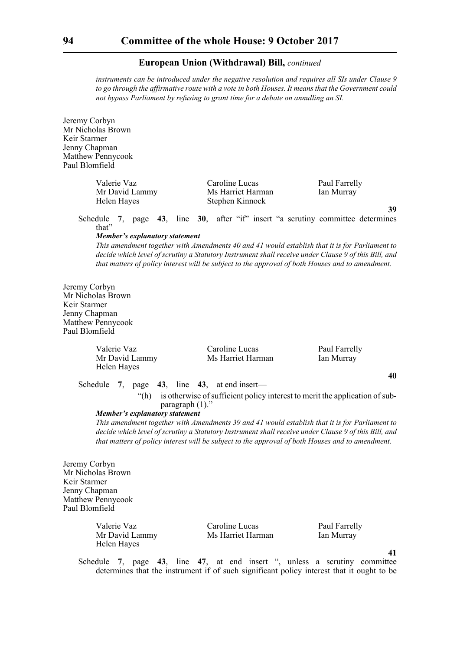*instruments can be introduced under the negative resolution and requires all SIs under Clause 9 to go through the affirmative route with a vote in both Houses. It means that the Government could not bypass Parliament by refusing to grant time for a debate on annulling an SI.*

Jeremy Corbyn Mr Nicholas Brown Keir Starmer Jenny Chapman Matthew Pennycook Paul Blomfield

| Valerie Vaz    | Caroline Lucas    | Paul Farrelly |
|----------------|-------------------|---------------|
| Mr David Lammy | Ms Harriet Harman | Ian Murray    |
| Helen Hayes    | Stephen Kinnock   |               |

Schedule **7**, page **43**, line **30**, after "if" insert "a scrutiny committee determines that"

#### *Member's explanatory statement*

*This amendment together with Amendments 40 and 41 would establish that it is for Parliament to decide which level of scrutiny a Statutory Instrument shall receive under Clause 9 of this Bill, and that matters of policy interest will be subject to the approval of both Houses and to amendment.*

Jeremy Corbyn Mr Nicholas Brown Keir Starmer Jenny Chapman Matthew Pennycook Paul Blomfield

| Valerie Vaz    | Caroline Lucas    | Paul Farrelly |
|----------------|-------------------|---------------|
| Mr David Lammy | Ms Harriet Harman | Ian Murray    |
| Helen Hayes    |                   |               |
|                |                   |               |

Schedule **7**, page **43**, line **43**, at end insert—

"(h) is otherwise of sufficient policy interest to merit the application of subparagraph (1)."

#### *Member's explanatory statement*

*This amendment together with Amendments 39 and 41 would establish that it is for Parliament to decide which level of scrutiny a Statutory Instrument shall receive under Clause 9 of this Bill, and that matters of policy interest will be subject to the approval of both Houses and to amendment.*

Jeremy Corbyn Mr Nicholas Brown Keir Starmer Jenny Chapman Matthew Pennycook Paul Blomfield

| Valerie Vaz    | Caroline Lucas    | Paul Farrelly |
|----------------|-------------------|---------------|
| Mr David Lammy | Ms Harriet Harman | Ian Murray    |
| Helen Hayes    |                   |               |

**41**

**39**

**40**

Schedule **7**, page **43**, line **47**, at end insert ", unless a scrutiny committee determines that the instrument if of such significant policy interest that it ought to be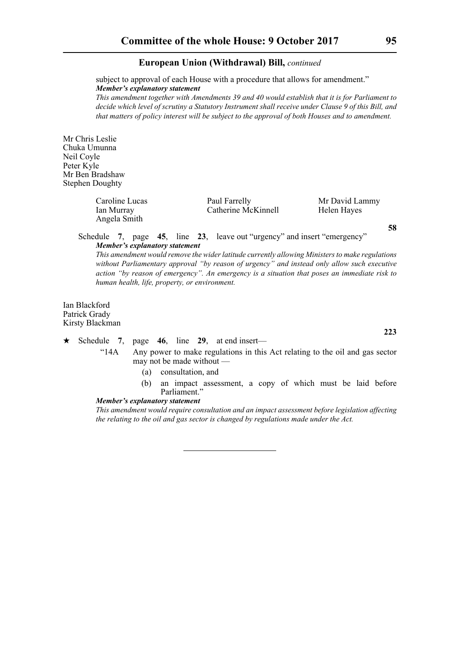subject to approval of each House with a procedure that allows for amendment." *Member's explanatory statement* 

*This amendment together with Amendments 39 and 40 would establish that it is for Parliament to decide which level of scrutiny a Statutory Instrument shall receive under Clause 9 of this Bill, and that matters of policy interest will be subject to the approval of both Houses and to amendment.*

Mr Chris Leslie Chuka Umunna Neil Coyle Peter Kyle Mr Ben Bradshaw Stephen Doughty

> Caroline Lucas **Paul Farrelly** Mr David Lammy Ian Murray Catherine McKinnell Helen Hayes Angela Smith

**58**

**223**

Schedule **7**, page **45**, line **23**, leave out "urgency" and insert "emergency" *Member's explanatory statement* 

*This amendment would remove the wider latitude currently allowing Ministers to make regulations without Parliamentary approval "by reason of urgency" and instead only allow such executive action "by reason of emergency". An emergency is a situation that poses an immediate risk to human health, life, property, or environment.* 

Ian Blackford Patrick Grady Kirsty Blackman

 $\star$  Schedule 7, page 46, line 29, at end insert—

"14A Any power to make regulations in this Act relating to the oil and gas sector may not be made without —

- (a) consultation, and
- (b) an impact assessment, a copy of which must be laid before Parliament."

#### *Member's explanatory statement*

*This amendment would require consultation and an impact assessment before legislation affecting the relating to the oil and gas sector is changed by regulations made under the Act.*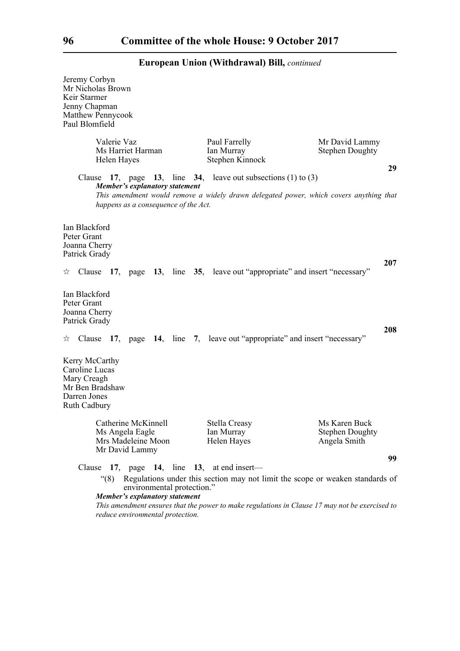| Jeremy Corbyn<br>Mr Nicholas Brown<br>Keir Starmer<br>Jenny Chapman<br>Matthew Pennycook<br>Paul Blomfield |                                                                               |                            |                                                                   |                                                                                        |     |
|------------------------------------------------------------------------------------------------------------|-------------------------------------------------------------------------------|----------------------------|-------------------------------------------------------------------|----------------------------------------------------------------------------------------|-----|
| Valerie Vaz                                                                                                | Ms Harriet Harman<br>Helen Hayes                                              |                            | Paul Farrelly<br>Ian Murray<br>Stephen Kinnock                    | Mr David Lammy<br><b>Stephen Doughty</b>                                               | 29  |
|                                                                                                            | <b>Member's explanatory statement</b><br>happens as a consequence of the Act. |                            | Clause 17, page 13, line 34, leave out subsections $(1)$ to $(3)$ | This amendment would remove a widely drawn delegated power, which covers anything that |     |
| Ian Blackford<br>Peter Grant<br>Joanna Cherry<br>Patrick Grady                                             |                                                                               |                            |                                                                   |                                                                                        | 207 |
|                                                                                                            |                                                                               |                            |                                                                   | $\star$ Clause 17, page 13, line 35, leave out "appropriate" and insert "necessary"    |     |
| Ian Blackford<br>Peter Grant<br>Joanna Cherry<br>Patrick Grady                                             |                                                                               |                            |                                                                   |                                                                                        | 208 |
|                                                                                                            |                                                                               |                            |                                                                   | $\star$ Clause 17, page 14, line 7, leave out "appropriate" and insert "necessary"     |     |
| Kerry McCarthy<br>Caroline Lucas<br>Mary Creagh<br>Mr Ben Bradshaw<br>Darren Jones<br>Ruth Cadbury         |                                                                               |                            |                                                                   |                                                                                        |     |
|                                                                                                            | Catherine McKinnell<br>Ms Angela Eagle<br>Mrs Madeleine Moon                  |                            | <b>Stella Creasy</b><br>Ian Murray<br>Helen Hayes                 | Ms Karen Buck<br><b>Stephen Doughty</b><br>Angela Smith                                |     |
|                                                                                                            | Mr David Lammy                                                                |                            |                                                                   |                                                                                        | 99  |
| $\degree(8)$                                                                                               |                                                                               | environmental protection." | Clause $17$ , page $14$ , line $13$ , at end insert—              | Regulations under this section may not limit the scope or weaken standards of          |     |

*Member's explanatory statement* 

*This amendment ensures that the power to make regulations in Clause 17 may not be exercised to reduce environmental protection.*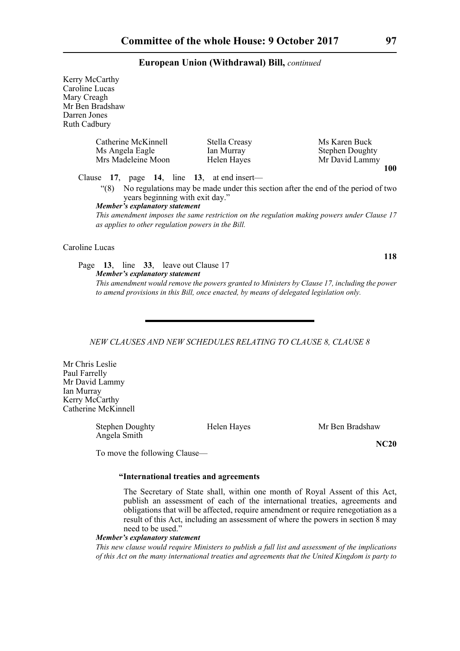| Kerry McCarthy                                       |                                                                                                                                                                                          |                        |
|------------------------------------------------------|------------------------------------------------------------------------------------------------------------------------------------------------------------------------------------------|------------------------|
| Caroline Lucas                                       |                                                                                                                                                                                          |                        |
| Mary Creagh                                          |                                                                                                                                                                                          |                        |
| Mr Ben Bradshaw                                      |                                                                                                                                                                                          |                        |
| Darren Jones                                         |                                                                                                                                                                                          |                        |
| Ruth Cadbury                                         |                                                                                                                                                                                          |                        |
| Catherine McKinnell                                  | Stella Creasy                                                                                                                                                                            | Ms Karen Buck          |
| Ms Angela Eagle                                      | Ian Murray                                                                                                                                                                               | <b>Stephen Doughty</b> |
| Mrs Madeleine Moon                                   | Helen Hayes                                                                                                                                                                              | Mr David Lammy         |
|                                                      |                                                                                                                                                                                          | 100                    |
| Clause $17$ , page $14$ , line $13$ , at end insert— |                                                                                                                                                                                          |                        |
| (8)<br>years beginning with exit day."               | No regulations may be made under this section after the end of the period of two                                                                                                         |                        |
| <b>Member's explanatory statement</b>                |                                                                                                                                                                                          |                        |
| as applies to other regulation powers in the Bill.   | This amendment imposes the same restriction on the regulation making powers under Clause 17                                                                                              |                        |
| Caroline Lucas                                       |                                                                                                                                                                                          |                        |
|                                                      |                                                                                                                                                                                          | 118                    |
| Page 13, line 33, leave out Clause 17                |                                                                                                                                                                                          |                        |
| Member's explanatory statement                       | This amendment would remove the powers granted to Ministers by Clause 17, including the power<br>to amend provisions in this Bill, once enacted, by means of delegated legislation only. |                        |
|                                                      |                                                                                                                                                                                          |                        |

## *NEW CLAUSES AND NEW SCHEDULES RELATING TO CLAUSE 8, CLAUSE 8*

Mr Chris Leslie Paul Farrelly Mr David Lammy Ian Murray Kerry McCarthy Catherine McKinnell

> Stephen Doughty Helen Hayes Mr Ben Bradshaw Angela Smith

**NC20**

To move the following Clause—

## **"International treaties and agreements**

The Secretary of State shall, within one month of Royal Assent of this Act, publish an assessment of each of the international treaties, agreements and obligations that will be affected, require amendment or require renegotiation as a result of this Act, including an assessment of where the powers in section 8 may need to be used."

#### *Member's explanatory statement*

*This new clause would require Ministers to publish a full list and assessment of the implications of this Act on the many international treaties and agreements that the United Kingdom is party to*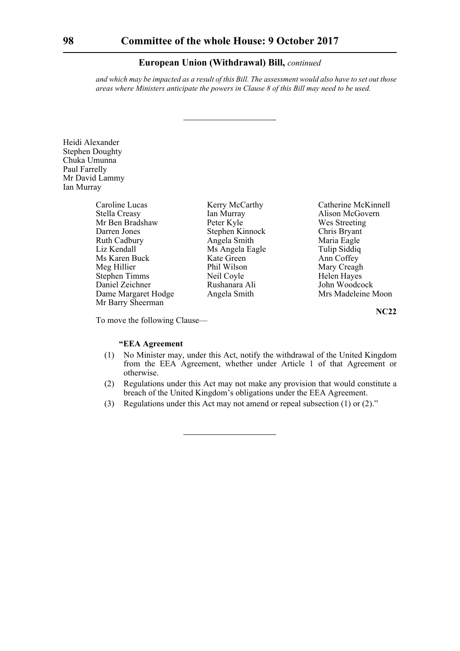*and which may be impacted as a result of this Bill. The assessment would also have to set out those areas where Ministers anticipate the powers in Clause 8 of this Bill may need to be used.*

Heidi Alexander Stephen Doughty Chuka Umunna Paul Farrelly Mr David Lammy Ian Murray

| Caroline Lucas       | Kerry Mc  |
|----------------------|-----------|
| Stella Creasy        | Ian Murra |
| Mr Ben Bradshaw      | Peter Kyl |
| Darren Jones         | Stephen F |
| <b>Ruth Cadbury</b>  | Angela Si |
| Liz Kendall          | Ms Angel  |
| Ms Karen Buck        | Kate Gree |
| Meg Hillier          | Phil Wils |
| <b>Stephen Timms</b> | Neil Coyl |
| Daniel Zeichner      | Rushanar  |
| Dame Margaret Hodge  | Angela Si |
| Mr Barry Sheerman    |           |

cCarthy Catherine McKinnell ay Alison McGovern e Wes Streeting External Chris Bryant<br>
Darren Maria Eagle<br>
Maria Eagle Maria Eagle la Eagle Tulip Siddiq en Ann Coffey<br>Mary Creagl Mary Creagh le Helen Hayes Pa Ali John Woodcock<br>mith Mrs Madeleine P Mrs Madeleine Moon

**NC22**

To move the following Clause—

## **"EEA Agreement**

- (1) No Minister may, under this Act, notify the withdrawal of the United Kingdom from the EEA Agreement, whether under Article 1 of that Agreement or otherwise.
- (2) Regulations under this Act may not make any provision that would constitute a breach of the United Kingdom's obligations under the EEA Agreement.
- (3) Regulations under this Act may not amend or repeal subsection (1) or (2)."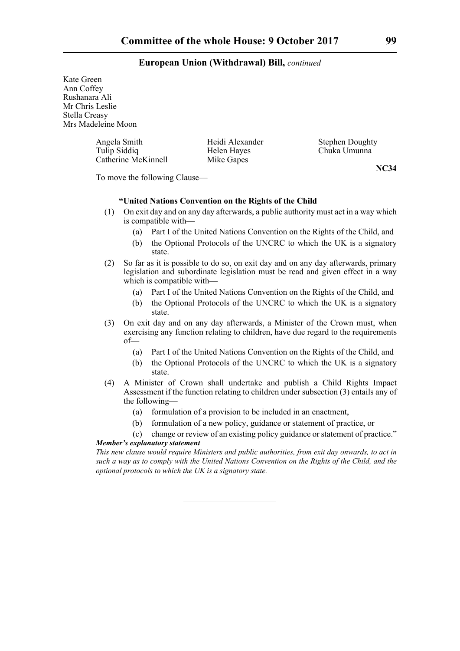Kate Green Ann Coffey Rushanara Ali Mr Chris Leslie Stella Creasy Mrs Madeleine Moon

> Angela Smith Heidi Alexander Stephen Doughty<br>Tulip Siddiq Helen Hayes Chuka Umunna Catherine McKinnell Mike Gapes

Helen Hayes Chuka Umunna

**NC34**

To move the following Clause—

## **"United Nations Convention on the Rights of the Child**

- (1) On exit day and on any day afterwards, a public authority must act in a way which is compatible with—
	- (a) Part I of the United Nations Convention on the Rights of the Child, and
	- (b) the Optional Protocols of the UNCRC to which the UK is a signatory state.
- (2) So far as it is possible to do so, on exit day and on any day afterwards, primary legislation and subordinate legislation must be read and given effect in a way which is compatible with—
	- (a) Part I of the United Nations Convention on the Rights of the Child, and
	- (b) the Optional Protocols of the UNCRC to which the UK is a signatory state.
- (3) On exit day and on any day afterwards, a Minister of the Crown must, when exercising any function relating to children, have due regard to the requirements of—
	- (a) Part I of the United Nations Convention on the Rights of the Child, and
	- (b) the Optional Protocols of the UNCRC to which the UK is a signatory state.
- (4) A Minister of Crown shall undertake and publish a Child Rights Impact Assessment if the function relating to children under subsection (3) entails any of the following—
	- (a) formulation of a provision to be included in an enactment,
	- (b) formulation of a new policy, guidance or statement of practice, or
- (c) change or review of an existing policy guidance or statement of practice." *Member's explanatory statement*

*This new clause would require Ministers and public authorities, from exit day onwards, to act in such a way as to comply with the United Nations Convention on the Rights of the Child, and the optional protocols to which the UK is a signatory state.*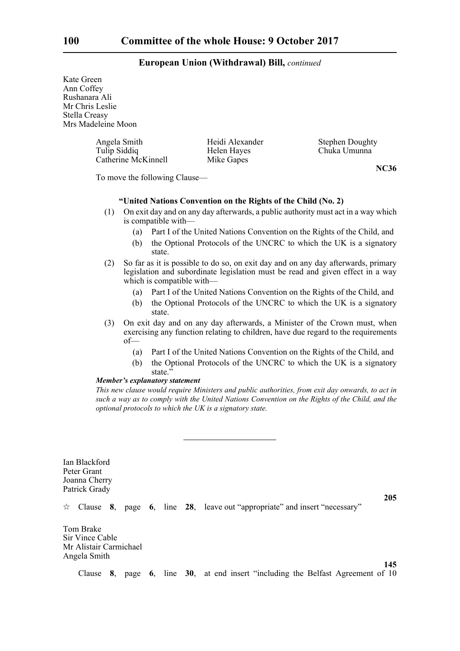Kate Green Ann Coffey Rushanara Ali Mr Chris Leslie Stella Creasy Mrs Madeleine Moon

> Angela Smith Heidi Alexander Stephen Doughty Tulip Siddiq **Helen Hayes** Chuka Umunna Catherine McKinnell Mike Gapes

**NC36**

To move the following Clause—

## **"United Nations Convention on the Rights of the Child (No. 2)**

- (1) On exit day and on any day afterwards, a public authority must act in a way which is compatible with—
	- (a) Part I of the United Nations Convention on the Rights of the Child, and
	- (b) the Optional Protocols of the UNCRC to which the UK is a signatory state.
- (2) So far as it is possible to do so, on exit day and on any day afterwards, primary legislation and subordinate legislation must be read and given effect in a way which is compatible with—
	- (a) Part I of the United Nations Convention on the Rights of the Child, and
	- (b) the Optional Protocols of the UNCRC to which the UK is a signatory state.
- (3) On exit day and on any day afterwards, a Minister of the Crown must, when exercising any function relating to children, have due regard to the requirements of—
	- (a) Part I of the United Nations Convention on the Rights of the Child, and
	- (b) the Optional Protocols of the UNCRC to which the UK is a signatory state<sup>'</sup>

#### *Member's explanatory statement*

*This new clause would require Ministers and public authorities, from exit day onwards, to act in such a way as to comply with the United Nations Convention on the Rights of the Child, and the optional protocols to which the UK is a signatory state.*

Ian Blackford Peter Grant Joanna Cherry Patrick Grady

**205**

**145**

 $\forall$  Clause **8**, page **6**, line **28**, leave out "appropriate" and insert "necessary"

Tom Brake Sir Vince Cable Mr Alistair Carmichael Angela Smith

Clause **8**, page **6**, line **30**, at end insert "including the Belfast Agreement of 10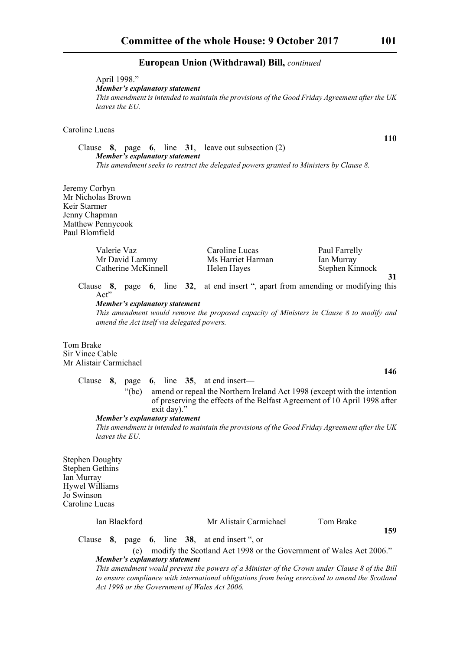April 1998." *Member's explanatory statement This amendment is intended to maintain the provisions of the Good Friday Agreement after the UK leaves the EU.*

## Caroline Lucas

Clause **8**, page **6**, line **31**, leave out subsection (2) *Member's explanatory statement This amendment seeks to restrict the delegated powers granted to Ministers by Clause 8.*

Jeremy Corbyn Mr Nicholas Brown Keir Starmer Jenny Chapman Matthew Pennycook Paul Blomfield

| Valerie Vaz         | Caroline Lucas    | Paul Farrelly   |  |
|---------------------|-------------------|-----------------|--|
| Mr David Lammy      | Ms Harriet Harman | Ian Murray      |  |
| Catherine McKinnell | Helen Hayes       | Stephen Kinnock |  |
|                     |                   |                 |  |

Clause **8**, page **6**, line **32**, at end insert ", apart from amending or modifying this Act"

*Member's explanatory statement* 

*This amendment would remove the proposed capacity of Ministers in Clause 8 to modify and amend the Act itself via delegated powers.*

Tom Brake Sir Vince Cable Mr Alistair Carmichael

Clause **8**, page **6**, line **35**, at end insert—

"(bc) amend or repeal the Northern Ireland Act 1998 (except with the intention of preserving the effects of the Belfast Agreement of 10 April 1998 after exit day)."

*Member's explanatory statement* 

*This amendment is intended to maintain the provisions of the Good Friday Agreement after the UK leaves the EU.*

Stephen Doughty Stephen Gethins Ian Murray Hywel Williams Jo Swinson Caroline Lucas

| Ian Blackford |  |  | Mr Alistair Carmichael | Tom Brake | 159                                                                                                                                  |  |   |
|---------------|--|--|------------------------|-----------|--------------------------------------------------------------------------------------------------------------------------------------|--|---|
|               |  |  |                        |           | Clause $\overline{8}$ , page $\overline{6}$ , line $\overline{38}$ , at end insert ", or<br>$\cdots$ $\sim$ $\cdots$ $\sim$ $\cdots$ |  | . |

(e) modify the Scotland Act 1998 or the Government of Wales Act 2006." *Member's explanatory statement* 

*This amendment would prevent the powers of a Minister of the Crown under Clause 8 of the Bill to ensure compliance with international obligations from being exercised to amend the Scotland Act 1998 or the Government of Wales Act 2006.* 

**110**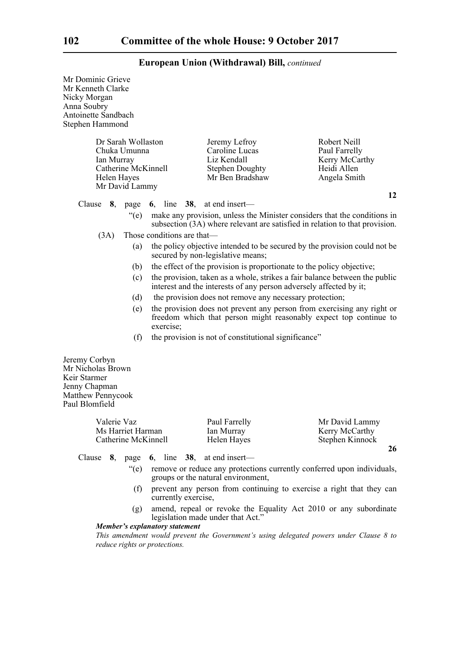| Mr Dominic Grieve<br>Mr Kenneth Clarke<br>Nicky Morgan<br>Anna Soubry<br>Antoinette Sandbach<br>Stephen Hammond |                             |                                                                                             |                                                                                                                                                         |
|-----------------------------------------------------------------------------------------------------------------|-----------------------------|---------------------------------------------------------------------------------------------|---------------------------------------------------------------------------------------------------------------------------------------------------------|
| Dr Sarah Wollaston<br>Chuka Umunna<br>Ian Murray<br>Catherine McKinnell<br>Helen Hayes<br>Mr David Lammy        |                             | Jeremy Lefroy<br>Caroline Lucas<br>Liz Kendall<br><b>Stephen Doughty</b><br>Mr Ben Bradshaw | Robert Neill<br>Paul Farrelly<br>Kerry McCarthy<br>Heidi Allen<br>Angela Smith                                                                          |
| Clause 8, page                                                                                                  |                             | 6, line $38$ , at end insert—                                                               | 12                                                                                                                                                      |
| $\degree$ (e)                                                                                                   |                             |                                                                                             | make any provision, unless the Minister considers that the conditions in<br>subsection (3A) where relevant are satisfied in relation to that provision. |
| (3A)                                                                                                            | Those conditions are that-  |                                                                                             |                                                                                                                                                         |
| (a)                                                                                                             |                             | secured by non-legislative means;                                                           | the policy objective intended to be secured by the provision could not be                                                                               |
| (b)                                                                                                             |                             |                                                                                             | the effect of the provision is proportionate to the policy objective;                                                                                   |
| (c)                                                                                                             |                             | interest and the interests of any person adversely affected by it;                          | the provision, taken as a whole, strikes a fair balance between the public                                                                              |
| (d)                                                                                                             |                             | the provision does not remove any necessary protection;                                     |                                                                                                                                                         |
| (e)                                                                                                             | exercise;                   |                                                                                             | the provision does not prevent any person from exercising any right or<br>freedom which that person might reasonably expect top continue to             |
| (f)                                                                                                             |                             | the provision is not of constitutional significance"                                        |                                                                                                                                                         |
| Jeremy Corbyn<br>Mr Nicholas Brown<br>Keir Starmer<br>Jenny Chapman<br>Matthew Pennycook<br>Paul Blomfield      |                             |                                                                                             |                                                                                                                                                         |
| Valerie Vaz<br>Ms Harriet Harman<br>Catherine McKinnell                                                         |                             | Paul Farrelly<br>Ian Murray<br>Helen Hayes                                                  | Mr David Lammy<br>Kerry McCarthy<br>Stephen Kinnock                                                                                                     |
|                                                                                                                 |                             |                                                                                             | 26                                                                                                                                                      |
| Clause $8$ ,<br>page                                                                                            | <b>6</b> , line <b>38</b> , | at end insert-                                                                              |                                                                                                                                                         |
| " $(e)$                                                                                                         |                             | groups or the natural environment,                                                          | remove or reduce any protections currently conferred upon individuals,                                                                                  |
| (f)                                                                                                             | currently exercise,         |                                                                                             | prevent any person from continuing to exercise a right that they can                                                                                    |
| (g)                                                                                                             |                             |                                                                                             | amend, repeal or revoke the Equality Act 2010 or any subordinate                                                                                        |

legislation made under that Act." *Member's explanatory statement* 

*This amendment would prevent the Government's using delegated powers under Clause 8 to reduce rights or protections.*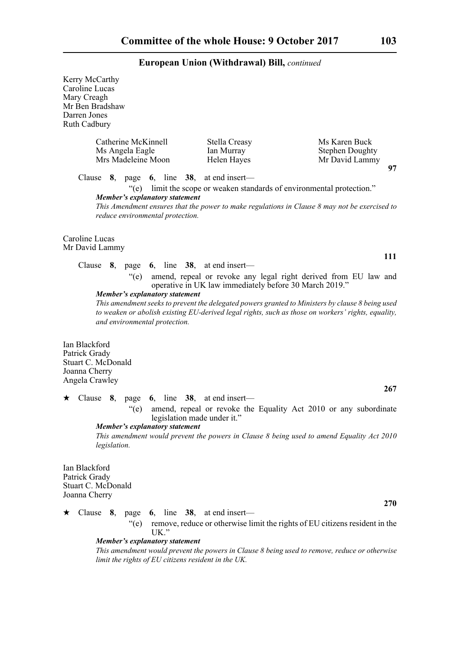| Kerry McCarthy<br>Caroline Lucas<br>Mary Creagh<br>Mr Ben Bradshaw<br>Darren Jones<br>Ruth Cadbury |              |                                                              |                                                                        |                                                        |  |                                                                                                                                                                                                                                                                           |            |
|----------------------------------------------------------------------------------------------------|--------------|--------------------------------------------------------------|------------------------------------------------------------------------|--------------------------------------------------------|--|---------------------------------------------------------------------------------------------------------------------------------------------------------------------------------------------------------------------------------------------------------------------------|------------|
|                                                                                                    |              | Catherine McKinnell<br>Ms Angela Eagle<br>Mrs Madeleine Moon |                                                                        | Stella Creasy<br>Ian Murray<br>Helen Hayes             |  | Ms Karen Buck<br><b>Stephen Doughty</b><br>Mr David Lammy                                                                                                                                                                                                                 | 97         |
|                                                                                                    |              | $\degree$ (e)                                                | Member's explanatory statement<br>reduce environmental protection.     | Clause $8$ , page $6$ , line $38$ , at end insert—     |  | limit the scope or weaken standards of environmental protection."<br>This Amendment ensures that the power to make regulations in Clause 8 may not be exercised to                                                                                                        |            |
| Caroline Lucas<br>Mr David Lammy                                                                   |              |                                                              |                                                                        |                                                        |  |                                                                                                                                                                                                                                                                           |            |
| Clause                                                                                             |              | 8, page                                                      |                                                                        | 6, line $38$ , at end insert—                          |  |                                                                                                                                                                                                                                                                           | 111        |
| Ian Blackford                                                                                      |              | $\degree$ (e)                                                | <b>Member's explanatory statement</b><br>and environmental protection. | operative in UK law immediately before 30 March 2019." |  | amend, repeal or revoke any legal right derived from EU law and<br>This amendment seeks to prevent the delegated powers granted to Ministers by clause 8 being used<br>to weaken or abolish existing EU-derived legal rights, such as those on workers' rights, equality, |            |
| Patrick Grady<br>Stuart C. McDonald<br>Joanna Cherry<br>Angela Crawley                             |              |                                                              |                                                                        |                                                        |  |                                                                                                                                                                                                                                                                           |            |
| Clause<br>★                                                                                        | 8,           | page                                                         |                                                                        | 6, line $38$ , at end insert—                          |  |                                                                                                                                                                                                                                                                           | 267        |
|                                                                                                    |              | $\degree$ (e)                                                | <b>Member's explanatory statement</b>                                  | legislation made under it."                            |  | amend, repeal or revoke the Equality Act 2010 or any subordinate                                                                                                                                                                                                          |            |
|                                                                                                    | legislation. |                                                              |                                                                        |                                                        |  | This amendment would prevent the powers in Clause 8 being used to amend Equality Act 2010                                                                                                                                                                                 |            |
| Ian Blackford<br>Patrick Grady<br>Stuart C. McDonald<br>Joanna Cherry                              |              |                                                              |                                                                        |                                                        |  |                                                                                                                                                                                                                                                                           |            |
| ★                                                                                                  |              | Clause 8, page                                               |                                                                        | 6, line $38$ , at end insert—                          |  |                                                                                                                                                                                                                                                                           | <b>270</b> |
|                                                                                                    |              | $\degree$ (e)                                                | $UK$ ."                                                                |                                                        |  | remove, reduce or otherwise limit the rights of EU citizens resident in the                                                                                                                                                                                               |            |
|                                                                                                    |              |                                                              | <b>Member's explanatory statement</b>                                  | limit the rights of EU citizens resident in the UK.    |  | This amendment would prevent the powers in Clause 8 being used to remove, reduce or otherwise                                                                                                                                                                             |            |
|                                                                                                    |              |                                                              |                                                                        |                                                        |  |                                                                                                                                                                                                                                                                           |            |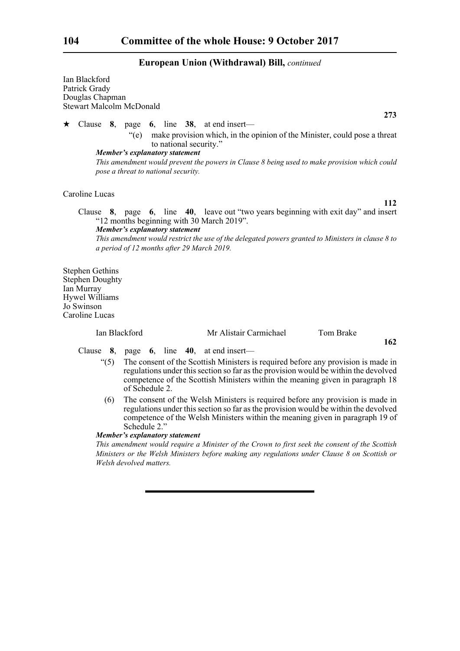Ian Blackford Patrick Grady Douglas Chapman Stewart Malcolm McDonald Clause **8**, page **6**, line **38**, at end insert— "(e) make provision which, in the opinion of the Minister, could pose a threat to national security." *Member's explanatory statement* 

*This amendment would prevent the powers in Clause 8 being used to make provision which could pose a threat to national security.*

Caroline Lucas

Clause **8**, page **6**, line **40**, leave out "two years beginning with exit day" and insert "12 months beginning with 30 March 2019".

*Member's explanatory statement This amendment would restrict the use of the delegated powers granted to Ministers in clause 8 to a period of 12 months after 29 March 2019.*

Stephen Gethins Stephen Doughty Ian Murray Hywel Williams Jo Swinson Caroline Lucas

Ian Blackford Mr Alistair Carmichael Tom Brake

Clause **8**, page **6**, line **40**, at end insert—

- $(5)$  The consent of the Scottish Ministers is required before any provision is made in regulations under this section so far as the provision would be within the devolved competence of the Scottish Ministers within the meaning given in paragraph 18 of Schedule 2.
- (6) The consent of the Welsh Ministers is required before any provision is made in regulations under this section so far as the provision would be within the devolved competence of the Welsh Ministers within the meaning given in paragraph 19 of Schedule 2."

*Member's explanatory statement* 

*This amendment would require a Minister of the Crown to first seek the consent of the Scottish Ministers or the Welsh Ministers before making any regulations under Clause 8 on Scottish or Welsh devolved matters.* 

**273**

**112**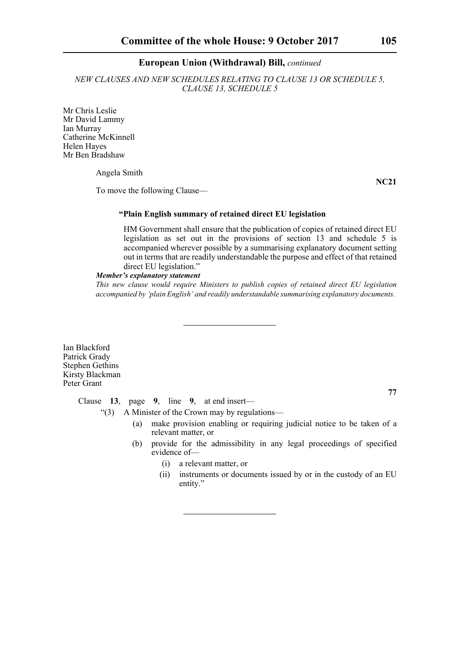*NEW CLAUSES AND NEW SCHEDULES RELATING TO CLAUSE 13 OR SCHEDULE 5, CLAUSE 13, SCHEDULE 5*

Mr Chris Leslie Mr David Lammy Ian Murray Catherine McKinnell Helen Hayes Mr Ben Bradshaw

Angela Smith

**NC21**

To move the following Clause—

## **"Plain English summary of retained direct EU legislation**

HM Government shall ensure that the publication of copies of retained direct EU legislation as set out in the provisions of section 13 and schedule 5 is accompanied wherever possible by a summarising explanatory document setting out in terms that are readily understandable the purpose and effect of that retained direct EU legislation."

#### *Member's explanatory statement*

*This new clause would require Ministers to publish copies of retained direct EU legislation accompanied by 'plain English' and readily understandable summarising explanatory documents.* 

Ian Blackford Patrick Grady Stephen Gethins Kirsty Blackman Peter Grant

**77**

Clause **13**, page **9**, line **9**, at end insert—

"(3) A Minister of the Crown may by regulations—

- (a) make provision enabling or requiring judicial notice to be taken of a relevant matter, or
- (b) provide for the admissibility in any legal proceedings of specified evidence of—
	- (i) a relevant matter, or
	- (ii) instruments or documents issued by or in the custody of an EU entity."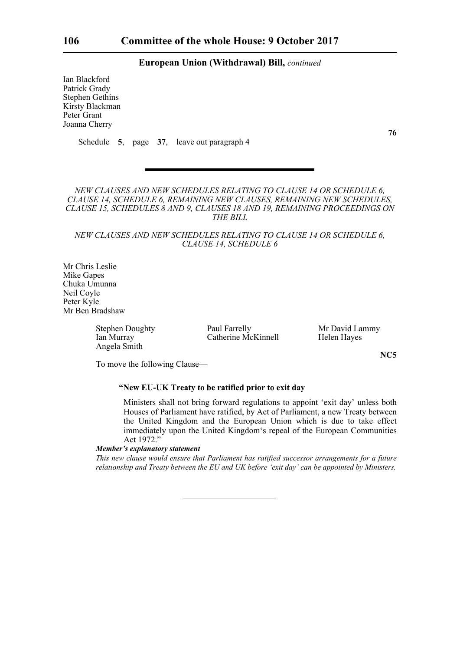Ian Blackford Patrick Grady Stephen Gethins Kirsty Blackman Peter Grant Joanna Cherry

Schedule **5**, page **37**, leave out paragraph 4

*NEW CLAUSES AND NEW SCHEDULES RELATING TO CLAUSE 14 OR SCHEDULE 6, CLAUSE 14, SCHEDULE 6, REMAINING NEW CLAUSES, REMAINING NEW SCHEDULES, CLAUSE 15, SCHEDULES 8 AND 9, CLAUSES 18 AND 19, REMAINING PROCEEDINGS ON THE BILL*

*NEW CLAUSES AND NEW SCHEDULES RELATING TO CLAUSE 14 OR SCHEDULE 6, CLAUSE 14, SCHEDULE 6*

Mr Chris Leslie Mike Gapes Chuka Umunna Neil Coyle Peter Kyle Mr Ben Bradshaw

Angela Smith

Stephen Doughty **Paul Farrelly** Mr David Lammy<br>
Ian Murray Catherine McKinnell Helen Haves Catherine McKinnell Helen Hayes

**NC5**

To move the following Clause—

## **"New EU-UK Treaty to be ratified prior to exit day**

Ministers shall not bring forward regulations to appoint 'exit day' unless both Houses of Parliament have ratified, by Act of Parliament, a new Treaty between the United Kingdom and the European Union which is due to take effect immediately upon the United Kingdom's repeal of the European Communities Act 1972.'

## *Member's explanatory statement*

*This new clause would ensure that Parliament has ratified successor arrangements for a future relationship and Treaty between the EU and UK before 'exit day' can be appointed by Ministers.*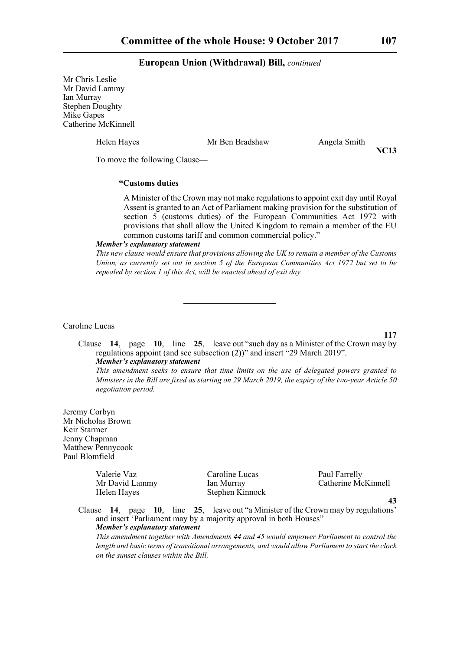Mr Chris Leslie Mr David Lammy Ian Murray Stephen Doughty Mike Gapes Catherine McKinnell

Helen Hayes Mr Ben Bradshaw Angela Smith

**NC13**

To move the following Clause—

## **"Customs duties**

A Minister of the Crown may not make regulations to appoint exit day until Royal Assent is granted to an Act of Parliament making provision for the substitution of section 5 (customs duties) of the European Communities Act 1972 with provisions that shall allow the United Kingdom to remain a member of the EU common customs tariff and common commercial policy."

#### *Member's explanatory statement*

*This new clause would ensure that provisions allowing the UK to remain a member of the Customs Union, as currently set out in section 5 of the European Communities Act 1972 but set to be repealed by section 1 of this Act, will be enacted ahead of exit day.* 

Caroline Lucas

**117**

Clause **14**, page **10**, line **25**, leave out "such day as a Minister of the Crown may by regulations appoint (and see subsection (2))" and insert "29 March 2019". *Member's explanatory statement This amendment seeks to ensure that time limits on the use of delegated powers granted to*

*Ministers in the Bill are fixed as starting on 29 March 2019, the expiry of the two-year Article 50 negotiation period.*

Jeremy Corbyn Mr Nicholas Brown Keir Starmer Jenny Chapman Matthew Pennycook Paul Blomfield

Valerie Vaz Caroline Lucas Paul Farrelly

Helen Hayes Stephen Kinnock

Mr David Lammy Ian Murray Catherine McKinnell

**43**

Clause **14**, page **10**, line **25**, leave out "a Minister of the Crown may by regulations' and insert 'Parliament may by a majority approval in both Houses" *Member's explanatory statement This amendment together with Amendments 44 and 45 would empower Parliament to control the*

*length and basic terms of transitional arrangements, and would allow Parliament to start the clock on the sunset clauses within the Bill.*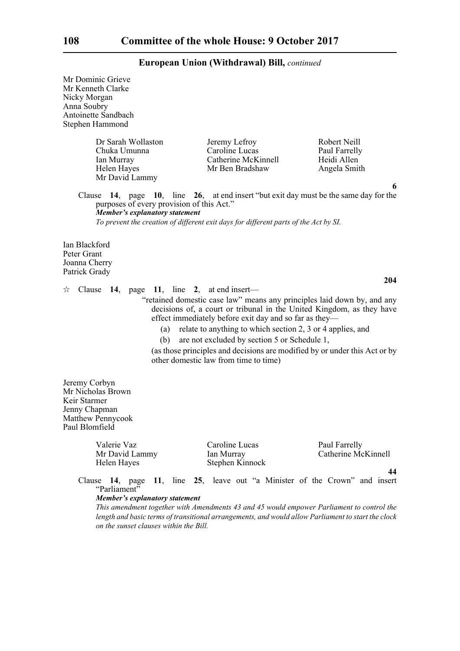| Mr Dominic Grieve<br>Mr Kenneth Clarke<br>Nicky Morgan<br>Anna Soubry<br>Antoinette Sandbach<br>Stephen Hammond                                                         |                                                                                                                                                                                                               |                                                                                                                                                                                                                                       |
|-------------------------------------------------------------------------------------------------------------------------------------------------------------------------|---------------------------------------------------------------------------------------------------------------------------------------------------------------------------------------------------------------|---------------------------------------------------------------------------------------------------------------------------------------------------------------------------------------------------------------------------------------|
| Dr Sarah Wollaston<br>Chuka Umunna<br>Ian Murray<br>Helen Hayes<br>Mr David Lammy                                                                                       | Jeremy Lefroy<br>Caroline Lucas<br>Catherine McKinnell<br>Mr Ben Bradshaw                                                                                                                                     | Robert Neill<br>Paul Farrelly<br>Heidi Allen<br>Angela Smith                                                                                                                                                                          |
| 14, page $10$ ,<br>Clause<br>purposes of every provision of this Act."<br><b>Member's explanatory statement</b>                                                         | To prevent the creation of different exit days for different parts of the Act by SI.                                                                                                                          | 6<br>line 26, at end insert "but exit day must be the same day for the                                                                                                                                                                |
| Ian Blackford<br>Peter Grant<br>Joanna Cherry<br>Patrick Grady                                                                                                          |                                                                                                                                                                                                               |                                                                                                                                                                                                                                       |
| Clause 14, page 11, line 2, at end insert—<br>☆<br>(a)<br>(b)                                                                                                           | effect immediately before exit day and so far as they—<br>relate to anything to which section 2, 3 or 4 applies, and<br>are not excluded by section 5 or Schedule 1,<br>other domestic law from time to time) | 204<br>"retained domestic case law" means any principles laid down by, and any<br>decisions of, a court or tribunal in the United Kingdom, as they have<br>(as those principles and decisions are modified by or under this Act or by |
| Jeremy Corbyn<br>Mr Nicholas Brown<br>Keir Starmer<br>Jenny Chapman<br>Matthew Pennycook<br>Paul Blomfield                                                              |                                                                                                                                                                                                               |                                                                                                                                                                                                                                       |
| Valerie Vaz<br>Mr David Lammy<br>Helen Hayes                                                                                                                            | Caroline Lucas<br>Ian Murray<br>Stephen Kinnock                                                                                                                                                               | Paul Farrelly<br>Catherine McKinnell                                                                                                                                                                                                  |
| Clause 14, page 11, line 25, leave out "a Minister of the Crown" and insert<br>"Parliament"<br>Member's explanatory statement<br>on the sunset clauses within the Bill. |                                                                                                                                                                                                               | 44<br>This amendment together with Amendments 43 and 45 would empower Parliament to control the<br>length and basic terms of transitional arrangements, and would allow Parliament to start the clock                                 |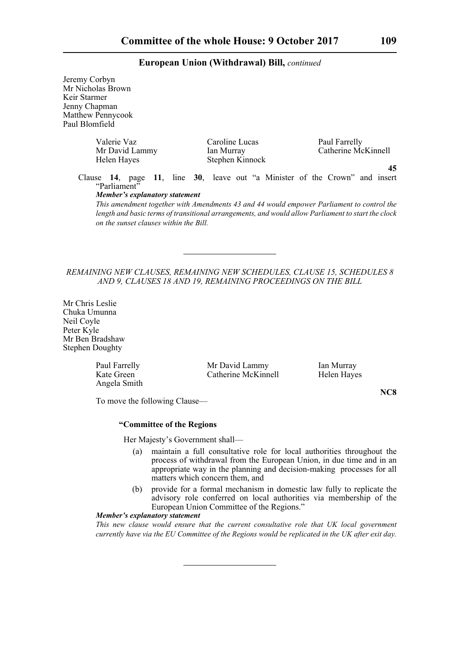Jeremy Corbyn Mr Nicholas Brown Keir Starmer Jenny Chapman Matthew Pennycook Paul Blomfield Valerie Vaz<br>
Caroline Lucas<br>
Paul Farrelly<br>
Caroline Lucas<br>
Caroline Lucas<br>
Caroline Lucas<br>
Catherine Mc Catherine McKinnell Helen Hayes Stephen Kinnock **45** Clause **14**, page **11**, line **30**, leave out "a Minister of the Crown" and insert "Parliament" *Member's explanatory statement* 

*This amendment together with Amendments 43 and 44 would empower Parliament to control the length and basic terms of transitional arrangements, and would allow Parliament to start the clock on the sunset clauses within the Bill.*

## *REMAINING NEW CLAUSES, REMAINING NEW SCHEDULES, CLAUSE 15, SCHEDULES 8 AND 9, CLAUSES 18 AND 19, REMAINING PROCEEDINGS ON THE BILL*

Mr Chris Leslie Chuka Umunna Neil Coyle Peter Kyle Mr Ben Bradshaw Stephen Doughty

| Paul Farrelly | Mr David Lammy      | Ian Murray  |
|---------------|---------------------|-------------|
| Kate Green    | Catherine McKinnell | Helen Hayes |
| Angela Smith  |                     |             |

To move the following Clause—

### **"Committee of the Regions**

Her Majesty's Government shall—

- (a) maintain a full consultative role for local authorities throughout the process of withdrawal from the European Union, in due time and in an appropriate way in the planning and decision-making processes for all matters which concern them, and
- (b) provide for a formal mechanism in domestic law fully to replicate the advisory role conferred on local authorities via membership of the European Union Committee of the Regions."

# *Member's explanatory statement*

*This new clause would ensure that the current consultative role that UK local government currently have via the EU Committee of the Regions would be replicated in the UK after exit day.*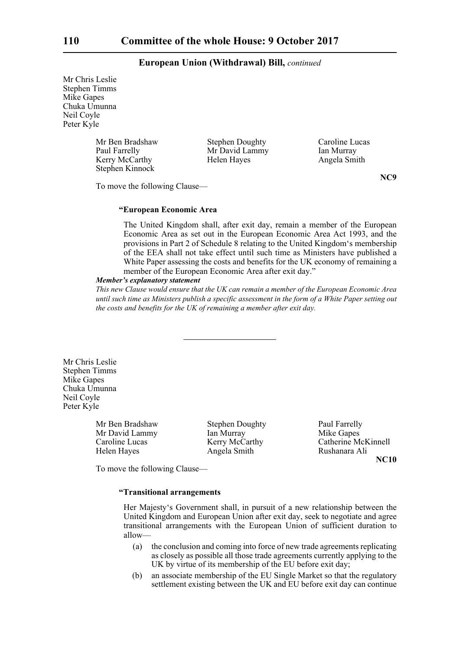Mr Chris Leslie Stephen Timms Mike Gapes Chuka Umunna Neil Coyle Peter Kyle

> Mr Ben Bradshaw Stephen Doughty Caroline Lucas<br>
> Paul Farrelly Mr David Lammy Ian Murray **Paul Farrelly Farrelly Controllering Murray** Ian Murray Kerry McCarthy Helen Hayes Angela Smith Stephen Kinnock

**NC9**

To move the following Clause—

### **"European Economic Area**

The United Kingdom shall, after exit day, remain a member of the European Economic Area as set out in the European Economic Area Act 1993, and the provisions in Part 2 of Schedule 8 relating to the United Kingdom's membership of the EEA shall not take effect until such time as Ministers have published a White Paper assessing the costs and benefits for the UK economy of remaining a member of the European Economic Area after exit day."

# *Member's explanatory statement*

*This new Clause would ensure that the UK can remain a member of the European Economic Area until such time as Ministers publish a specific assessment in the form of a White Paper setting out the costs and benefits for the UK of remaining a member after exit day.*

Mr Chris Leslie Stephen Timms Mike Gapes Chuka Umunna Neil Coyle Peter Kyle

> Mr Ben Bradshaw Stephen Doughty Paul Farrelly Mr David Lammy Ian Murray Ian Muslem Mike Gapes

Helen Hayes **Angela Smith** Rushanara Ali

Caroline Lucas Kerry McCarthy Catherine McKinnell **NC10**

To move the following Clause—

### **"Transitional arrangements**

Her Majesty's Government shall, in pursuit of a new relationship between the United Kingdom and European Union after exit day, seek to negotiate and agree transitional arrangements with the European Union of sufficient duration to allow—

- (a) the conclusion and coming into force of new trade agreements replicating as closely as possible all those trade agreements currently applying to the UK by virtue of its membership of the EU before exit day;
- (b) an associate membership of the EU Single Market so that the regulatory settlement existing between the UK and EU before exit day can continue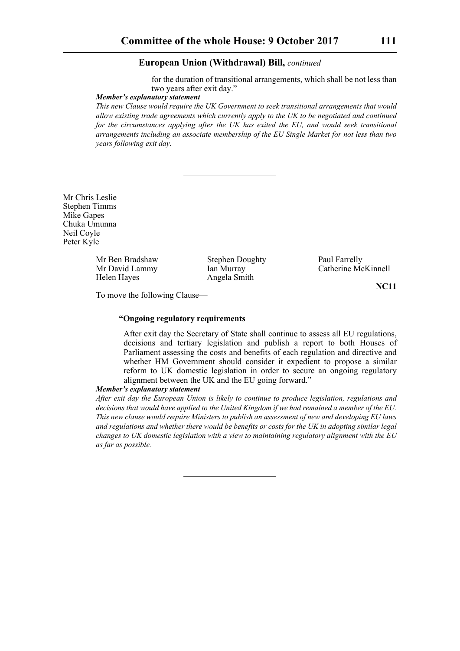for the duration of transitional arrangements, which shall be not less than two years after exit day."

### *Member's explanatory statement*

*This new Clause would require the UK Government to seek transitional arrangements that would allow existing trade agreements which currently apply to the UK to be negotiated and continued for the circumstances applying after the UK has exited the EU, and would seek transitional arrangements including an associate membership of the EU Single Market for not less than two years following exit day.*

Mr Chris Leslie Stephen Timms Mike Gapes Chuka Umunna Neil Coyle Peter Kyle

> Mr Ben Bradshaw Stephen Doughty Paul Farrelly Helen Hayes Angela Smith

Mr David Lammy Ian Murray Catherine McKinnell

**NC11**

To move the following Clause—

# **"Ongoing regulatory requirements**

After exit day the Secretary of State shall continue to assess all EU regulations, decisions and tertiary legislation and publish a report to both Houses of Parliament assessing the costs and benefits of each regulation and directive and whether HM Government should consider it expedient to propose a similar reform to UK domestic legislation in order to secure an ongoing regulatory alignment between the UK and the EU going forward."

### *Member's explanatory statement*

*After exit day the European Union is likely to continue to produce legislation, regulations and decisions that would have applied to the United Kingdom if we had remained a member of the EU. This new clause would require Ministers to publish an assessment of new and developing EU laws and regulations and whether there would be benefits or costs for the UK in adopting similar legal changes to UK domestic legislation with a view to maintaining regulatory alignment with the EU as far as possible.*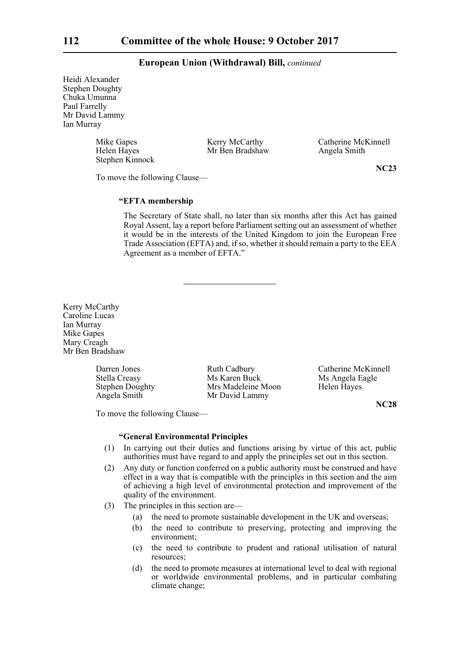Heidi Alexander Stephen Doughty Chuka Umunna Paul Farrelly Mr David Lammy Ian Murray

Stephen Kinnock

Mr Ben Bradshaw Angela Smith

Mike Gapes Kerry McCarthy Catherine McKinnell<br>
Helen Hayes Mr Ben Bradshaw Angela Smith

To move the following Clause—

**NC23**

## **"EFTA membership**

The Secretary of State shall, no later than six months after this Act has gained Royal Assent, lay a report before Parliament setting out an assessment of whether it would be in the interests of the United Kingdom to join the European Free Trade Association (EFTA) and, if so, whether it should remain a party to the EEA Agreement as a member of EFTA."

Kerry McCarthy Caroline Lucas Ian Murray Mike Gapes Mary Creagh Mr Ben Bradshaw

> Darren Jones Ruth Cadbury Catherine McKinnell<br>Stella Creasy Ms Karen Buck Ms Angela Eagle Stella Creasy Ms Karen Buck Ms Angela Eagle<br>Stephen Doughty Mrs Madeleine Moon Helen Hayes Angela Smith Mr David Lammy

Mrs Madeleine Moon Helen Hayes

**NC28**

To move the following Clause—

### **"General Environmental Principles**

- (1) In carrying out their duties and functions arising by virtue of this act, public authorities must have regard to and apply the principles set out in this section.
- (2) Any duty or function conferred on a public authority must be construed and have effect in a way that is compatible with the principles in this section and the aim of achieving a high level of environmental protection and improvement of the quality of the environment.
- (3) The principles in this section are—
	- (a) the need to promote sustainable development in the UK and overseas;
	- (b) the need to contribute to preserving, protecting and improving the environment;
	- (c) the need to contribute to prudent and rational utilisation of natural resources;
	- (d) the need to promote measures at international level to deal with regional or worldwide environmental problems, and in particular combating climate change;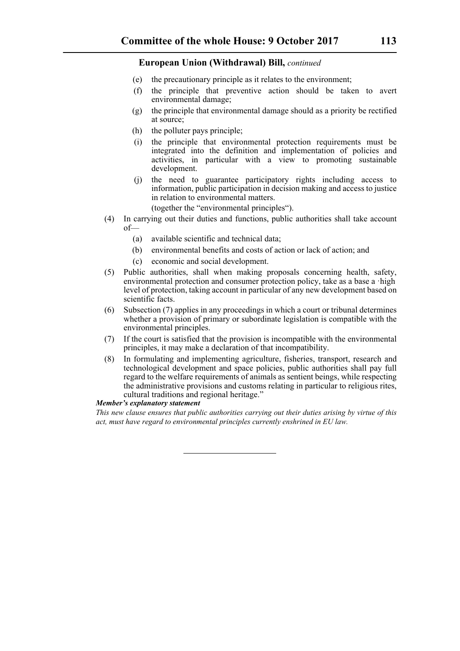- (e) the precautionary principle as it relates to the environment;
- (f) the principle that preventive action should be taken to avert environmental damage;
- (g) the principle that environmental damage should as a priority be rectified at source;
- (h) the polluter pays principle;
- (i) the principle that environmental protection requirements must be integrated into the definition and implementation of policies and activities, in particular with a view to promoting sustainable development.
- (j) the need to guarantee participatory rights including access to information, public participation in decision making and access to justice in relation to environmental matters.

(together the "environmental principles").

- (4) In carrying out their duties and functions, public authorities shall take account of—
	- (a) available scientific and technical data;
	- (b) environmental benefits and costs of action or lack of action; and
	- (c) economic and social development.
- (5) Public authorities, shall when making proposals concerning health, safety, environmental protection and consumer protection policy, take as a base a ·high level of protection, taking account in particular of any new development based on scientific facts.
- (6) Subsection (7) applies in any proceedings in which a court or tribunal determines whether a provision of primary or subordinate legislation is compatible with the environmental principles.
- (7) If the court is satisfied that the provision is incompatible with the environmental principles, it may make a declaration of that incompatibility.
- (8) In formulating and implementing agriculture, fisheries, transport, research and technological development and space policies, public authorities shall pay full regard to the welfare requirements of animals as sentient beings, while respecting the administrative provisions and customs relating in particular to religious rites, cultural traditions and regional heritage."

### *Member's explanatory statement*

*This new clause ensures that public authorities carrying out their duties arising by virtue of this act, must have regard to environmental principles currently enshrined in EU law.*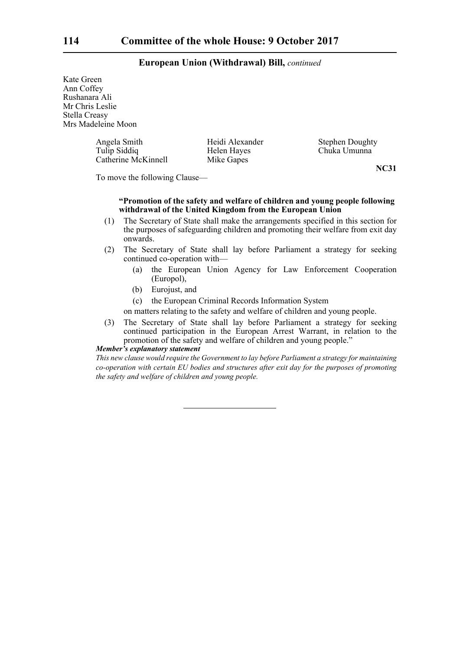Kate Green Ann Coffey Rushanara Ali Mr Chris Leslie Stella Creasy Mrs Madeleine Moon

> Angela Smith Heidi Alexander Stephen Doughty<br>Tulip Siddiq Helen Hayes Chuka Umunna Catherine McKinnell Mike Gapes

Helen Hayes Chuka Umunna

**NC31**

To move the following Clause—

# **"Promotion of the safety and welfare of children and young people following withdrawal of the United Kingdom from the European Union**

- (1) The Secretary of State shall make the arrangements specified in this section for the purposes of safeguarding children and promoting their welfare from exit day onwards.
- (2) The Secretary of State shall lay before Parliament a strategy for seeking continued co-operation with—
	- (a) the European Union Agency for Law Enforcement Cooperation (Europol),
	- (b) Eurojust, and
	- (c) the European Criminal Records Information System
	- on matters relating to the safety and welfare of children and young people.
- (3) The Secretary of State shall lay before Parliament a strategy for seeking continued participation in the European Arrest Warrant, in relation to the promotion of the safety and welfare of children and young people."

### *Member's explanatory statement*

*This new clause would require the Government to lay before Parliament a strategy for maintaining co-operation with certain EU bodies and structures after exit day for the purposes of promoting the safety and welfare of children and young people.*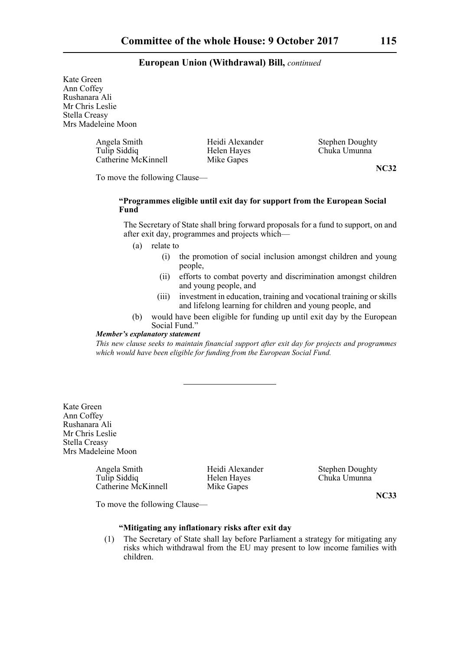Kate Green Ann Coffey Rushanara Ali Mr Chris Leslie Stella Creasy Mrs Madeleine Moon

> Angela Smith Heidi Alexander Stephen Doughty<br>Tulip Siddiq Helen Hayes Chuka Umunna Catherine McKinnell Mike Gapes

Chuka Umunna

**NC32**

To move the following Clause—

# **"Programmes eligible until exit day for support from the European Social Fund**

The Secretary of State shall bring forward proposals for a fund to support, on and after exit day, programmes and projects which—

(a) relate to

- (i) the promotion of social inclusion amongst children and young people,
- (ii) efforts to combat poverty and discrimination amongst children and young people, and
- (iii) investment in education, training and vocational training or skills and lifelong learning for children and young people, and
- (b) would have been eligible for funding up until exit day by the European Social Fund."

## *Member's explanatory statement*

*This new clause seeks to maintain financial support after exit day for projects and programmes which would have been eligible for funding from the European Social Fund.* 

Kate Green Ann Coffey Rushanara Ali Mr Chris Leslie Stella Creasy Mrs Madeleine Moon

> Angela Smith Heidi Alexander Stephen Doughty<br>Tulio Siddia Helen Hayes Chuka Umunna Catherine McKinnell Mike Gapes

Helen Hayes Chuka Umunna

**NC33**

To move the following Clause—

# **"Mitigating any inflationary risks after exit day**

(1) The Secretary of State shall lay before Parliament a strategy for mitigating any risks which withdrawal from the EU may present to low income families with children.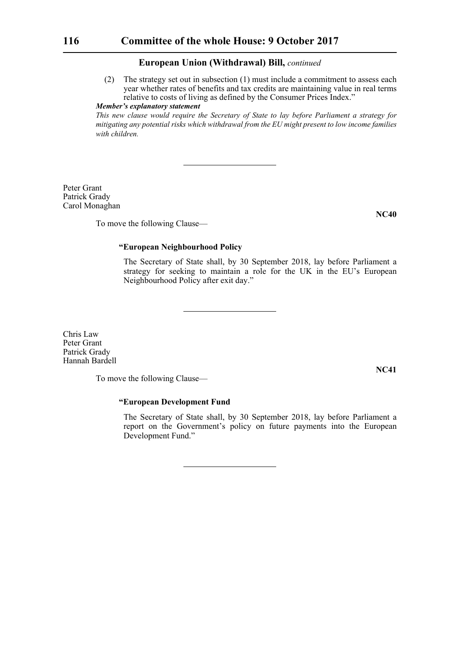(2) The strategy set out in subsection (1) must include a commitment to assess each year whether rates of benefits and tax credits are maintaining value in real terms relative to costs of living as defined by the Consumer Prices Index."

# *Member's explanatory statement*

*This new clause would require the Secretary of State to lay before Parliament a strategy for mitigating any potential risks which withdrawal from the EU might present to low income families with children.* 

Peter Grant Patrick Grady Carol Monaghan

To move the following Clause—

# **"European Neighbourhood Policy**

The Secretary of State shall, by 30 September 2018, lay before Parliament a strategy for seeking to maintain a role for the UK in the EU's European Neighbourhood Policy after exit day."

Chris Law Peter Grant Patrick Grady Hannah Bardell

To move the following Clause—

# **"European Development Fund**

The Secretary of State shall, by 30 September 2018, lay before Parliament a report on the Government's policy on future payments into the European Development Fund."

**NC41**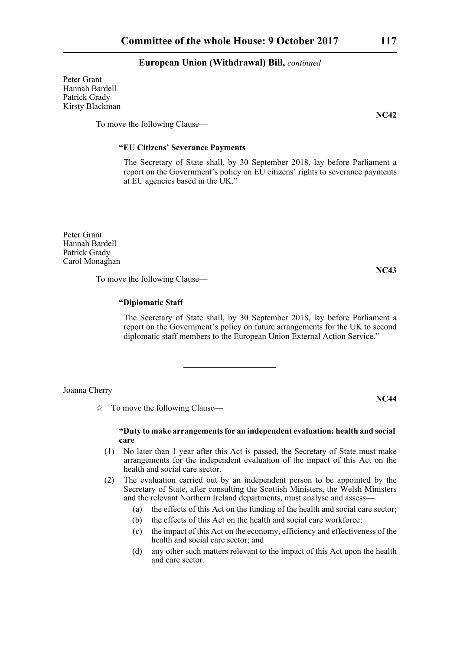Peter Grant Hannah Bardell Patrick Grady Kirsty Blackman

To move the following Clause—

### **"EU Citizens' Severance Payments**

The Secretary of State shall, by 30 September 2018, lay before Parliament a report on the Government's policy on EU citizens' rights to severance payments at EU agencies based in the UK."

Peter Grant Hannah Bardell Patrick Grady Carol Monaghan

To move the following Clause—

# **"Diplomatic Staff**

The Secretary of State shall, by 30 September 2018, lay before Parliament a report on the Government's policy on future arrangements for the UK to second diplomatic staff members to the European Union External Action Service."

Joanna Cherry

 $\vec{x}$  To move the following Clause—

### **"Duty to make arrangements for an independent evaluation: health and social care**

- (1) No later than 1 year after this Act is passed, the Secretary of State must make arrangements for the independent evaluation of the impact of this Act on the health and social care sector.
- (2) The evaluation carried out by an independent person to be appointed by the Secretary of State, after consulting the Scottish Ministers, the Welsh Ministers and the relevant Northern Ireland departments, must analyse and assess—
	- (a) the effects of this Act on the funding of the health and social care sector;
	- (b) the effects of this Act on the health and social care workforce;
	- (c) the impact of this Act on the economy, efficiency and effectiveness of the health and social care sector; and
	- (d) any other such matters relevant to the impact of this Act upon the health and care sector.

**NC44**

**NC43**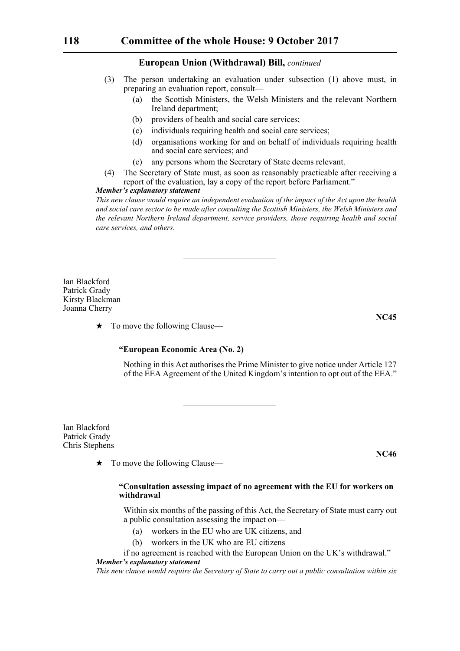- (3) The person undertaking an evaluation under subsection (1) above must, in preparing an evaluation report, consult—
	- (a) the Scottish Ministers, the Welsh Ministers and the relevant Northern Ireland department;
	- (b) providers of health and social care services;
	- (c) individuals requiring health and social care services;
	- (d) organisations working for and on behalf of individuals requiring health and social care services; and
	- (e) any persons whom the Secretary of State deems relevant.
- (4) The Secretary of State must, as soon as reasonably practicable after receiving a report of the evaluation, lay a copy of the report before Parliament."

### *Member's explanatory statement*

*This new clause would require an independent evaluation of the impact of the Act upon the health and social care sector to be made after consulting the Scottish Ministers, the Welsh Ministers and the relevant Northern Ireland department, service providers, those requiring health and social care services, and others.*

Ian Blackford Patrick Grady Kirsty Blackman Joanna Cherry

 $\star$  To move the following Clause—

# **"European Economic Area (No. 2)**

Nothing in this Act authorises the Prime Minister to give notice under Article 127 of the EEA Agreement of the United Kingdom's intention to opt out of the EEA."

Ian Blackford Patrick Grady Chris Stephens

 $\star$  To move the following Clause—

# **"Consultation assessing impact of no agreement with the EU for workers on withdrawal**

Within six months of the passing of this Act, the Secretary of State must carry out a public consultation assessing the impact on—

- (a) workers in the EU who are UK citizens, and
- (b) workers in the UK who are EU citizens
- if no agreement is reached with the European Union on the UK's withdrawal." *Member's explanatory statement*

*This new clause would require the Secretary of State to carry out a public consultation within six*

**NC45**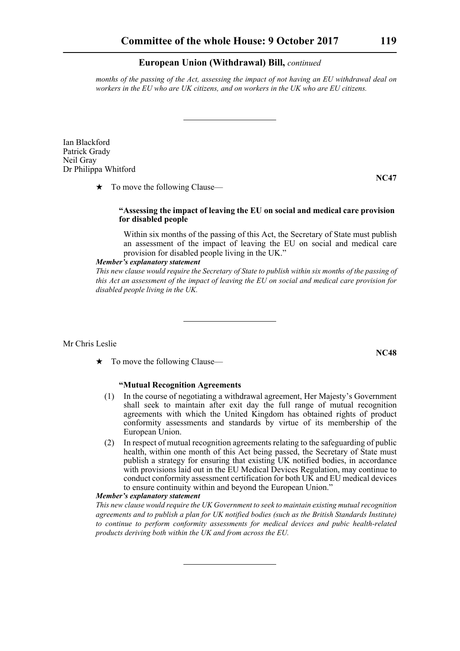*months of the passing of the Act, assessing the impact of not having an EU withdrawal deal on workers in the EU who are UK citizens, and on workers in the UK who are EU citizens.*

Ian Blackford Patrick Grady Neil Gray Dr Philippa Whitford

 $\star$  To move the following Clause—

### **"Assessing the impact of leaving the EU on social and medical care provision for disabled people**

Within six months of the passing of this Act, the Secretary of State must publish an assessment of the impact of leaving the EU on social and medical care provision for disabled people living in the UK."

### *Member's explanatory statement*

*This new clause would require the Secretary of State to publish within six months of the passing of this Act an assessment of the impact of leaving the EU on social and medical care provision for disabled people living in the UK.*

Mr Chris Leslie

 $\star$  To move the following Clause—

# **"Mutual Recognition Agreements**

- (1) In the course of negotiating a withdrawal agreement, Her Majesty's Government shall seek to maintain after exit day the full range of mutual recognition agreements with which the United Kingdom has obtained rights of product conformity assessments and standards by virtue of its membership of the European Union.
- (2) In respect of mutual recognition agreements relating to the safeguarding of public health, within one month of this Act being passed, the Secretary of State must publish a strategy for ensuring that existing UK notified bodies, in accordance with provisions laid out in the EU Medical Devices Regulation, may continue to conduct conformity assessment certification for both UK and EU medical devices to ensure continuity within and beyond the European Union."

### *Member's explanatory statement*

*This new clause would require the UK Government to seek to maintain existing mutual recognition agreements and to publish a plan for UK notified bodies (such as the British Standards Institute) to continue to perform conformity assessments for medical devices and pubic health-related products deriving both within the UK and from across the EU.*

**NC47**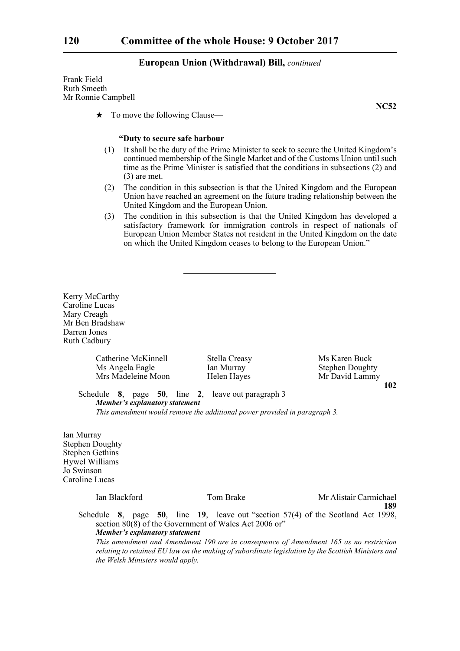Frank Field Ruth Smeeth Mr Ronnie Campbell

 $\star$  To move the following Clause—

### **"Duty to secure safe harbour**

- (1) It shall be the duty of the Prime Minister to seek to secure the United Kingdom's continued membership of the Single Market and of the Customs Union until such time as the Prime Minister is satisfied that the conditions in subsections (2) and (3) are met.
- (2) The condition in this subsection is that the United Kingdom and the European Union have reached an agreement on the future trading relationship between the United Kingdom and the European Union.
- (3) The condition in this subsection is that the United Kingdom has developed a satisfactory framework for immigration controls in respect of nationals of European Union Member States not resident in the United Kingdom on the date on which the United Kingdom ceases to belong to the European Union."

Kerry McCarthy Caroline Lucas Mary Creagh Mr Ben Bradshaw Darren Jones Ruth Cadbury

Catherine McKinnell Stella Creasy Ms Karen Buck<br>
Ms Angela Eagle Ian Murray Stephen Dought

Stephen Doughty Mrs Madeleine Moon Helen Hayes Mr David Lammy

**102**

Schedule **8**, page **50**, line **2**, leave out paragraph 3 *Member's explanatory statement* 

*This amendment would remove the additional power provided in paragraph 3.*

Ian Murray Stephen Doughty Stephen Gethins Hywel Williams Jo Swinson Caroline Lucas

Ian Blackford Tom Brake Mr Alistair Carmichael **189**

Schedule **8**, page **50**, line **19**, leave out "section 57(4) of the Scotland Act 1998, section  $80(8)$  of the Government of Wales Act 2006 or" *Member's explanatory statement* 

*This amendment and Amendment 190 are in consequence of Amendment 165 as no restriction relating to retained EU law on the making of subordinate legislation by the Scottish Ministers and the Welsh Ministers would apply.*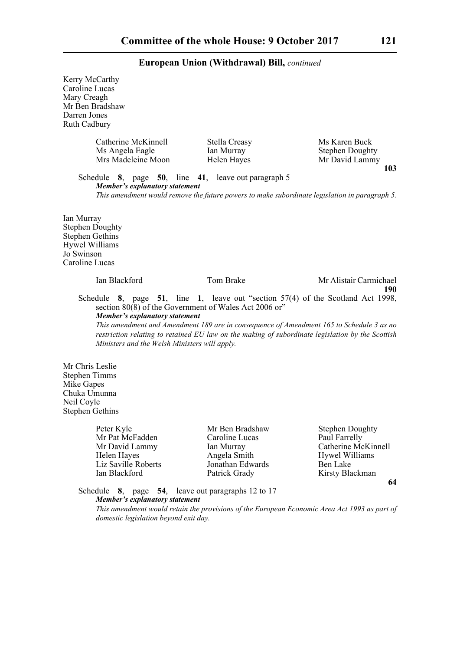Kerry McCarthy Caroline Lucas Mary Creagh Mr Ben Bradshaw Darren Jones Ruth Cadbury Catherine McKinnell Stella Creasy Ms Karen Buck<br>
Ms Angela Eagle Ian Murray Stephen Doughty Ms Angela Eagle Ian Murray Mrs Madeleine Moon Helen Hayes Mr David Lammy **103** Schedule **8**, page **50**, line **41**, leave out paragraph 5 *Member's explanatory statement This amendment would remove the future powers to make subordinate legislation in paragraph 5.* Ian Murray Stephen Doughty Stephen Gethins Hywel Williams Jo Swinson Caroline Lucas Ian Blackford Tom Brake Mr Alistair Carmichael **190** Schedule **8**, page **51**, line **1**, leave out "section 57(4) of the Scotland Act 1998, section 80(8) of the Government of Wales Act 2006 or" *Member's explanatory statement This amendment and Amendment 189 are in consequence of Amendment 165 to Schedule 3 as no restriction relating to retained EU law on the making of subordinate legislation by the Scottish Ministers and the Welsh Ministers will apply.* Mr Chris Leslie Stephen Timms Mike Gapes Chuka Umunna Neil Coyle Stephen Gethins Peter Kyle Mr Ben Bradshaw Stephen Doughty<br>
Mr Pat McFadden Caroline Lucas Paul Farrelly Mr Pat McFadden Caroline Lucas Mr David Lammy Ian Murray Catherine McKinnell Helen Hayes **Angela Smith** Hywel Williams Liz Saville Roberts Jonathan Edwards Ben Lake Ian Blackford Patrick Grady Kirsty Blackman

**64**

Schedule **8**, page **54**, leave out paragraphs 12 to 17 *Member's explanatory statement* 

*This amendment would retain the provisions of the European Economic Area Act 1993 as part of domestic legislation beyond exit day.*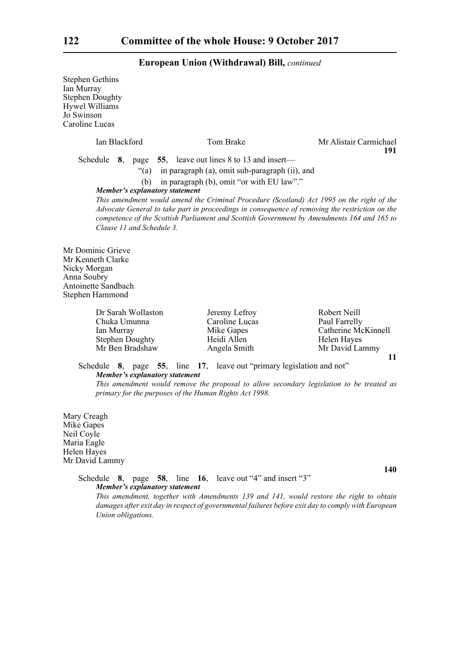| <b>Stephen Gethins</b><br>Ian Murray<br><b>Stephen Doughty</b><br><b>Hywel Williams</b><br>Jo Swinson<br>Caroline Lucas |                                                                                                                                                                                                                                                                         |                                                                                             |
|-------------------------------------------------------------------------------------------------------------------------|-------------------------------------------------------------------------------------------------------------------------------------------------------------------------------------------------------------------------------------------------------------------------|---------------------------------------------------------------------------------------------|
| Ian Blackford                                                                                                           | Tom Brake                                                                                                                                                                                                                                                               | Mr Alistair Carmichael                                                                      |
| (b)<br>Member's explanatory statement                                                                                   | Schedule $\,8, \,$ page $\,55, \,$ leave out lines 8 to 13 and insert—<br>"(a) in paragraph (a), omit sub-paragraph (ii), and<br>in paragraph (b), omit "or with EU law"."<br>This amendment would amend the Criminal Procedure (Scotland) Act 1995 on the right of the | 191                                                                                         |
| Clause 11 and Schedule 3.                                                                                               | Advocate General to take part in proceedings in consequence of removing the restriction on the<br>competence of the Scottish Parliament and Scottish Government by Amendments 164 and 165 to                                                                            |                                                                                             |
| Mr Dominic Grieve<br>Mr Kenneth Clarke<br>Nicky Morgan<br>Anna Soubry<br>Antoinette Sandbach<br>Stephen Hammond         |                                                                                                                                                                                                                                                                         |                                                                                             |
| Dr Sarah Wollaston<br>Chuka Umunna<br>Ian Murray<br><b>Stephen Doughty</b><br>Mr Ben Bradshaw                           | Jeremy Lefroy<br>Caroline Lucas<br>Mike Gapes<br>Heidi Allen<br>Angela Smith                                                                                                                                                                                            | Robert Neill<br>Paul Farrelly<br>Catherine McKinnell<br>Helen Hayes<br>Mr David Lammy<br>11 |
| Schedule<br><b>Member's explanatory statement</b>                                                                       | 17, leave out "primary legislation and not"<br>8, page 55, line<br>This amendment would remove the proposal to allow secondary legislation to be treated as<br>primary for the purposes of the Human Rights Act 1998.                                                   |                                                                                             |
| Mary Creagh<br>Mike Ganes                                                                                               |                                                                                                                                                                                                                                                                         |                                                                                             |

Mike Gapes Neil Coyle Maria Eagle Helen Hayes Mr David Lammy

**140**

Schedule **8**, page **58**, line **16**, leave out "4" and insert "3" *Member's explanatory statement* 

*This amendment, together with Amendments 139 and 141, would restore the right to obtain damages after exit day in respect of governmental failures before exit day to comply with European Union obligations.*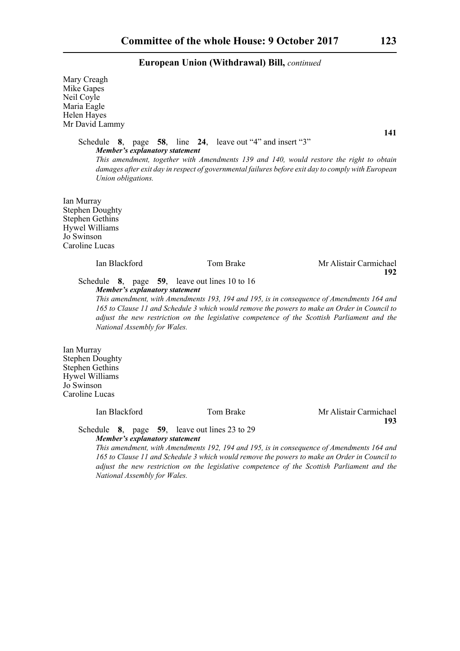Mary Creagh Mike Gapes Neil Coyle Maria Eagle Helen Hayes Mr David Lammy

**141**

Schedule **8**, page **58**, line **24**, leave out "4" and insert "3" *Member's explanatory statement This amendment, together with Amendments 139 and 140, would restore the right to obtain damages after exit day in respect of governmental failures before exit day to comply with European Union obligations.* 

Ian Murray Stephen Doughty Stephen Gethins Hywel Williams Jo Swinson Caroline Lucas

# Ian Blackford Tom Brake Mr Alistair Carmichael **192**

Schedule **8**, page **59**, leave out lines 10 to 16 *Member's explanatory statement* 

*This amendment, with Amendments 193, 194 and 195, is in consequence of Amendments 164 and 165 to Clause 11 and Schedule 3 which would remove the powers to make an Order in Council to adjust the new restriction on the legislative competence of the Scottish Parliament and the National Assembly for Wales.*

Ian Murray Stephen Doughty Stephen Gethins Hywel Williams Jo Swinson Caroline Lucas

Ian Blackford Tom Brake Mr Alistair Carmichael **193**

Schedule **8**, page **59**, leave out lines 23 to 29 *Member's explanatory statement* 

*This amendment, with Amendments 192, 194 and 195, is in consequence of Amendments 164 and 165 to Clause 11 and Schedule 3 which would remove the powers to make an Order in Council to adjust the new restriction on the legislative competence of the Scottish Parliament and the National Assembly for Wales.*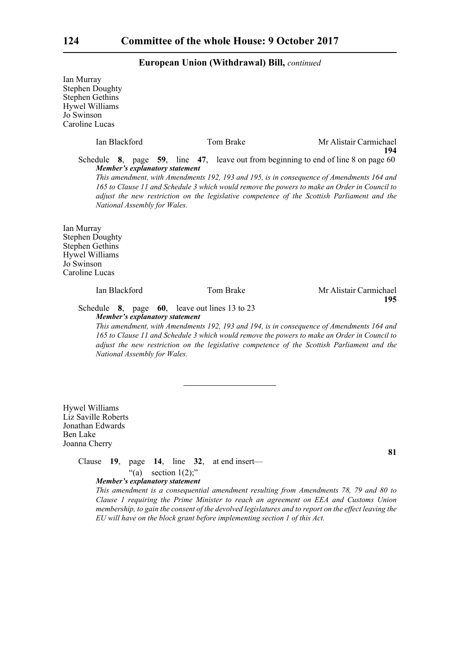Ian Murray Stephen Doughty Stephen Gethins Hywel Williams Jo Swinson Caroline Lucas Ian Blackford Tom Brake Mr Alistair Carmichael **194** Schedule **8**, page **59**, line **47**, leave out from beginning to end of line 8 on page 60 *Member's explanatory statement This amendment, with Amendments 192, 193 and 195, is in consequence of Amendments 164 and 165 to Clause 11 and Schedule 3 which would remove the powers to make an Order in Council to adjust the new restriction on the legislative competence of the Scottish Parliament and the National Assembly for Wales.* Ian Murray Stephen Doughty Stephen Gethins Hywel Williams Jo Swinson Caroline Lucas Ian Blackford Tom Brake Mr Alistair Carmichael **195** Schedule **8**, page **60**, leave out lines 13 to 23 *Member's explanatory statement* 

*This amendment, with Amendments 192, 193 and 194, is in consequence of Amendments 164 and 165 to Clause 11 and Schedule 3 which would remove the powers to make an Order in Council to adjust the new restriction on the legislative competence of the Scottish Parliament and the National Assembly for Wales.*

Hywel Williams Liz Saville Roberts Jonathan Edwards Ben Lake Joanna Cherry

Clause **19**, page **14**, line **32**, at end insert—

### "(a) section  $1(2)$ ;" *Member's explanatory statement*

*This amendment is a consequential amendment resulting from Amendments 78, 79 and 80 to Clause 1 requiring the Prime Minister to reach an agreement on EEA and Customs Union membership, to gain the consent of the devolved legislatures and to report on the effect leaving the EU will have on the block grant before implementing section 1 of this Act.*

**81**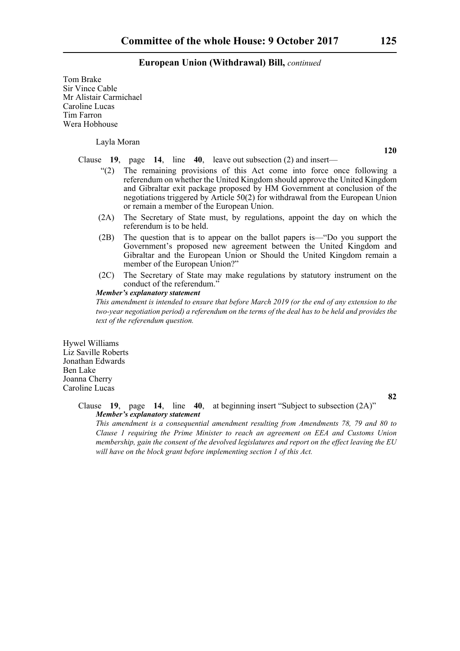Tom Brake Sir Vince Cable Mr Alistair Carmichael Caroline Lucas Tim Farron Wera Hobhouse

Layla Moran

**120**

Clause **19**, page **14**, line **40**, leave out subsection (2) and insert—

- "(2) The remaining provisions of this Act come into force once following a referendum on whether the United Kingdom should approve the United Kingdom and Gibraltar exit package proposed by HM Government at conclusion of the negotiations triggered by Article 50(2) for withdrawal from the European Union or remain a member of the European Union.
- (2A) The Secretary of State must, by regulations, appoint the day on which the referendum is to be held.
- (2B) The question that is to appear on the ballot papers is—"Do you support the Government's proposed new agreement between the United Kingdom and Gibraltar and the European Union or Should the United Kingdom remain a member of the European Union?"
- (2C) The Secretary of State may make regulations by statutory instrument on the conduct of the referendum."

### *Member's explanatory statement*

*This amendment is intended to ensure that before March 2019 (or the end of any extension to the two-year negotiation period) a referendum on the terms of the deal has to be held and provides the text of the referendum question.*

Hywel Williams Liz Saville Roberts Jonathan Edwards Ben Lake Joanna Cherry Caroline Lucas

**82**

### Clause **19**, page **14**, line **40**, at beginning insert "Subject to subsection (2A)" *Member's explanatory statement*

*This amendment is a consequential amendment resulting from Amendments 78, 79 and 80 to Clause 1 requiring the Prime Minister to reach an agreement on EEA and Customs Union membership, gain the consent of the devolved legislatures and report on the effect leaving the EU will have on the block grant before implementing section 1 of this Act.*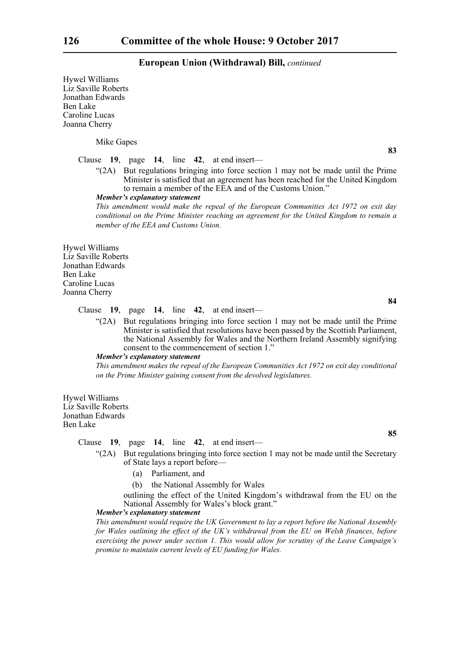Hywel Williams Liz Saville Roberts Jonathan Edwards Ben Lake Caroline Lucas Joanna Cherry

Mike Gapes

**83**

## Clause **19**, page **14**, line **42**, at end insert—

"(2A) But regulations bringing into force section 1 may not be made until the Prime Minister is satisfied that an agreement has been reached for the United Kingdom to remain a member of the EEA and of the Customs Union."

*Member's explanatory statement* 

*This amendment would make the repeal of the European Communities Act 1972 on exit day conditional on the Prime Minister reaching an agreement for the United Kingdom to remain a member of the EEA and Customs Union.*

Hywel Williams Liz Saville Roberts Jonathan Edwards Ben Lake Caroline Lucas Joanna Cherry

### Clause **19**, page **14**, line **42**, at end insert—

"(2A) But regulations bringing into force section 1 may not be made until the Prime Minister is satisfied that resolutions have been passed by the Scottish Parliament, the National Assembly for Wales and the Northern Ireland Assembly signifying consent to the commencement of section 1."

### *Member's explanatory statement*

*This amendment makes the repeal of the European Communities Act 1972 on exit day conditional on the Prime Minister gaining consent from the devolved legislatures.*

Hywel Williams Liz Saville Roberts Jonathan Edwards Ben Lake

Clause **19**, page **14**, line **42**, at end insert—

- "(2A) But regulations bringing into force section 1 may not be made until the Secretary of State lays a report before—
	- (a) Parliament, and
	- (b) the National Assembly for Wales

outlining the effect of the United Kingdom's withdrawal from the EU on the National Assembly for Wales's block grant."

# *Member's explanatory statement*

*This amendment would require the UK Government to lay a report before the National Assembly for Wales outlining the effect of the UK's withdrawal from the EU on Welsh finances, before exercising the power under section 1. This would allow for scrutiny of the Leave Campaign's promise to maintain current levels of EU funding for Wales.*

**84**

**85**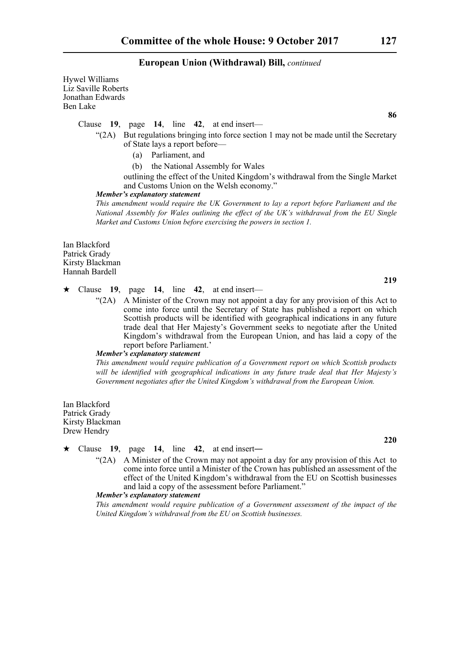Hywel Williams Liz Saville Roberts Jonathan Edwards Ben Lake

Clause **19**, page **14**, line **42**, at end insert—

- $\mathcal{L}(2A)$  But regulations bringing into force section 1 may not be made until the Secretary of State lays a report before—
	- (a) Parliament, and
	- (b) the National Assembly for Wales

outlining the effect of the United Kingdom's withdrawal from the Single Market and Customs Union on the Welsh economy."

### *Member's explanatory statement*

*This amendment would require the UK Government to lay a report before Parliament and the National Assembly for Wales outlining the effect of the UK's withdrawal from the EU Single Market and Customs Union before exercising the powers in section 1.*

Ian Blackford Patrick Grady Kirsty Blackman Hannah Bardell

Clause **19**, page **14**, line **42**, at end insert—

"(2A) A Minister of the Crown may not appoint a day for any provision of this Act to come into force until the Secretary of State has published a report on which Scottish products will be identified with geographical indications in any future trade deal that Her Majesty's Government seeks to negotiate after the United Kingdom's withdrawal from the European Union, and has laid a copy of the report before Parliament.'

### *Member's explanatory statement*

*This amendment would require publication of a Government report on which Scottish products will be identified with geographical indications in any future trade deal that Her Majesty's Government negotiates after the United Kingdom's withdrawal from the European Union.*

Ian Blackford Patrick Grady Kirsty Blackman Drew Hendry

 $\star$  Clause 19, page 14, line 42, at end insert—

" $(2A)$  A Minister of the Crown may not appoint a day for any provision of this Act to come into force until a Minister of the Crown has published an assessment of the effect of the United Kingdom's withdrawal from the EU on Scottish businesses and laid a copy of the assessment before Parliament."

## *Member's explanatory statement*

*This amendment would require publication of a Government assessment of the impact of the United Kingdom's withdrawal from the EU on Scottish businesses.*

**86**

**219**

**220**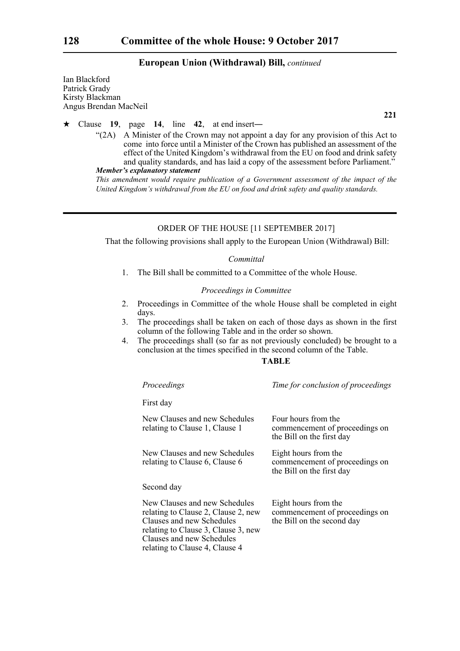Ian Blackford Patrick Grady Kirsty Blackman Angus Brendan MacNeil

**221**

# Clause **19**, page **14**, line **42**, at end insert―

"(2A) A Minister of the Crown may not appoint a day for any provision of this Act to come into force until a Minister of the Crown has published an assessment of the effect of the United Kingdom's withdrawal from the EU on food and drink safety and quality standards, and has laid a copy of the assessment before Parliament."

```
Member's explanatory statement
```
*This amendment would require publication of a Government assessment of the impact of the United Kingdom's withdrawal from the EU on food and drink safety and quality standards.*

# ORDER OF THE HOUSE [11 SEPTEMBER 2017]

That the following provisions shall apply to the European Union (Withdrawal) Bill:

### *Committal*

1. The Bill shall be committed to a Committee of the whole House.

### *Proceedings in Committee*

- 2. Proceedings in Committee of the whole House shall be completed in eight days.
- 3. The proceedings shall be taken on each of those days as shown in the first column of the following Table and in the order so shown.
- 4. The proceedings shall (so far as not previously concluded) be brought to a conclusion at the times specified in the second column of the Table.

# **TABLE**

| Proceedings                                                                                                                                                                                             | Time for conclusion of proceedings                                                   |
|---------------------------------------------------------------------------------------------------------------------------------------------------------------------------------------------------------|--------------------------------------------------------------------------------------|
| First day                                                                                                                                                                                               |                                                                                      |
| New Clauses and new Schedules<br>relating to Clause 1, Clause 1                                                                                                                                         | Four hours from the<br>commencement of proceedings on<br>the Bill on the first day   |
| New Clauses and new Schedules<br>relating to Clause 6, Clause 6                                                                                                                                         | Eight hours from the<br>commencement of proceedings on<br>the Bill on the first day  |
| Second day                                                                                                                                                                                              |                                                                                      |
| New Clauses and new Schedules<br>relating to Clause 2, Clause 2, new<br>Clauses and new Schedules<br>relating to Clause 3, Clause 3, new<br>Clauses and new Schedules<br>relating to Clause 4, Clause 4 | Eight hours from the<br>commencement of proceedings on<br>the Bill on the second day |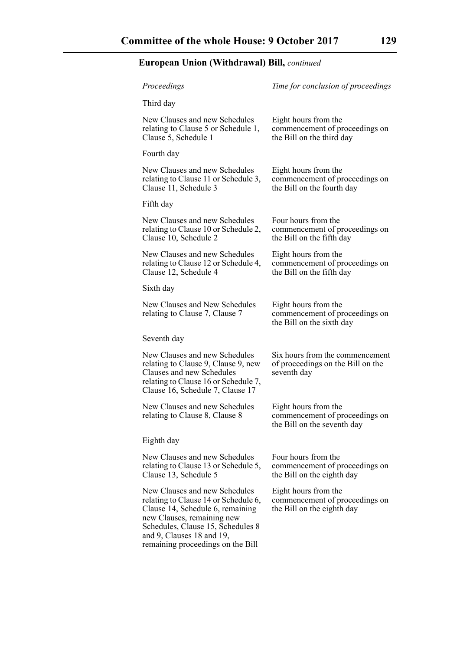| Proceedings                                                                                                                                                                                                                                    | Time for conclusion of proceedings                                                    |
|------------------------------------------------------------------------------------------------------------------------------------------------------------------------------------------------------------------------------------------------|---------------------------------------------------------------------------------------|
| Third day                                                                                                                                                                                                                                      |                                                                                       |
| New Clauses and new Schedules<br>relating to Clause 5 or Schedule 1,<br>Clause 5, Schedule 1                                                                                                                                                   | Eight hours from the<br>commencement of proceedings on<br>the Bill on the third day   |
| Fourth day                                                                                                                                                                                                                                     |                                                                                       |
| New Clauses and new Schedules<br>relating to Clause 11 or Schedule 3,<br>Clause 11, Schedule 3                                                                                                                                                 | Eight hours from the<br>commencement of proceedings on<br>the Bill on the fourth day  |
| Fifth day                                                                                                                                                                                                                                      |                                                                                       |
| New Clauses and new Schedules<br>relating to Clause 10 or Schedule 2,<br>Clause 10, Schedule 2                                                                                                                                                 | Four hours from the<br>commencement of proceedings on<br>the Bill on the fifth day    |
| New Clauses and new Schedules<br>relating to Clause 12 or Schedule 4,<br>Clause 12, Schedule 4                                                                                                                                                 | Eight hours from the<br>commencement of proceedings on<br>the Bill on the fifth day   |
| Sixth day                                                                                                                                                                                                                                      |                                                                                       |
| New Clauses and New Schedules<br>relating to Clause 7, Clause 7                                                                                                                                                                                | Eight hours from the<br>commencement of proceedings on<br>the Bill on the sixth day   |
| Seventh day                                                                                                                                                                                                                                    |                                                                                       |
| New Clauses and new Schedules<br>relating to Clause 9, Clause 9, new<br>Clauses and new Schedules<br>relating to Clause 16 or Schedule 7,<br>Clause 16, Schedule 7, Clause 17                                                                  | Six hours from the commencement<br>of proceedings on the Bill on the<br>seventh day   |
| New Clauses and new Schedules<br>relating to Clause 8, Clause 8                                                                                                                                                                                | Eight hours from the<br>commencement of proceedings on<br>the Bill on the seventh day |
| Eighth day                                                                                                                                                                                                                                     |                                                                                       |
| New Clauses and new Schedules<br>relating to Clause 13 or Schedule 5,<br>Clause 13, Schedule 5                                                                                                                                                 | Four hours from the<br>commencement of proceedings on<br>the Bill on the eighth day   |
| New Clauses and new Schedules<br>relating to Clause 14 or Schedule 6,<br>Clause 14, Schedule 6, remaining<br>new Clauses, remaining new<br>Schedules, Clause 15, Schedules 8<br>and 9, Clauses 18 and 19,<br>remaining proceedings on the Bill | Eight hours from the<br>commencement of proceedings on<br>the Bill on the eighth day  |